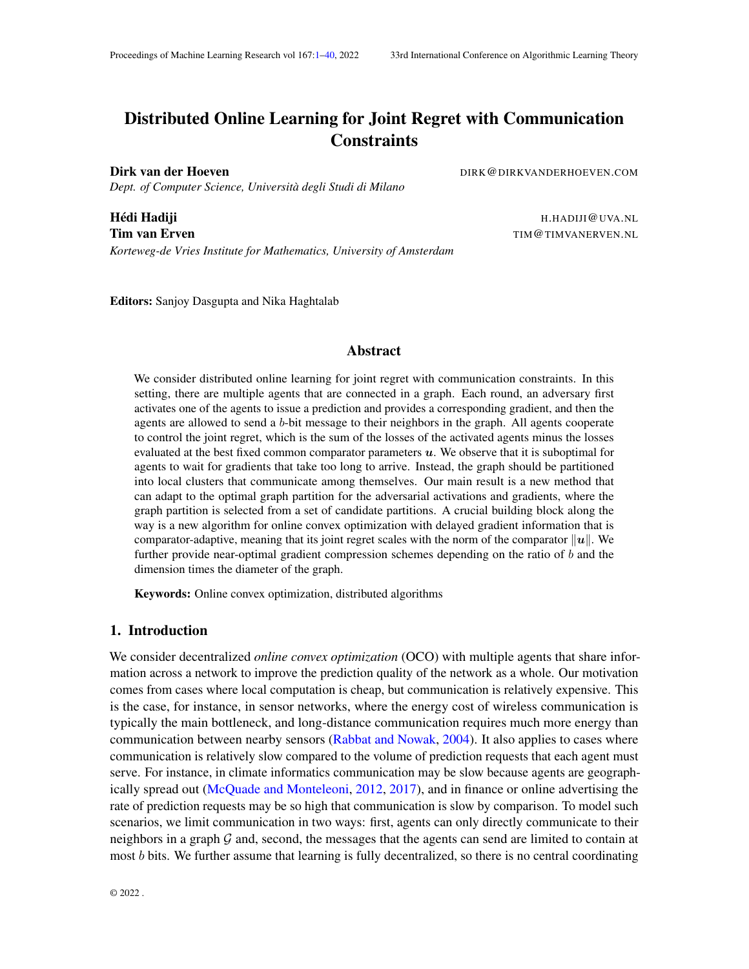# <span id="page-0-0"></span>Distributed Online Learning for Joint Regret with Communication **Constraints**

Dirk van der Hoeven **Direction Billiet (DIRK ANDERHOEVEN.COM** DIRK **@DIRKVANDERHOEVEN.COM** 

*Dept. of Computer Science, Università degli Studi di Milano*

*Korteweg-de Vries Institute for Mathematics, University of Amsterdam*

**Hédi Hadiji** Haman Hadisi Hadiji Hadisi Hadisi Hadisi Hadisi Hadisi Hadisi Hadisi Hadisi Hadisi Hadisi Hadisi H Tim van Erven TIME ERSTEIN ERSTEIN EEN TIME TIME TIME TIME ERSTEIN.

Editors: Sanjoy Dasgupta and Nika Haghtalab

#### Abstract

We consider distributed online learning for joint regret with communication constraints. In this setting, there are multiple agents that are connected in a graph. Each round, an adversary first activates one of the agents to issue a prediction and provides a corresponding gradient, and then the agents are allowed to send a b-bit message to their neighbors in the graph. All agents cooperate to control the joint regret, which is the sum of the losses of the activated agents minus the losses evaluated at the best fixed common comparator parameters  $u$ . We observe that it is suboptimal for agents to wait for gradients that take too long to arrive. Instead, the graph should be partitioned into local clusters that communicate among themselves. Our main result is a new method that can adapt to the optimal graph partition for the adversarial activations and gradients, where the graph partition is selected from a set of candidate partitions. A crucial building block along the way is a new algorithm for online convex optimization with delayed gradient information that is comparator-adaptive, meaning that its joint regret scales with the norm of the comparator  $||u||$ . We further provide near-optimal gradient compression schemes depending on the ratio of b and the dimension times the diameter of the graph.

Keywords: Online convex optimization, distributed algorithms

#### <span id="page-0-1"></span>1. Introduction

We consider decentralized *online convex optimization* (OCO) with multiple agents that share information across a network to improve the prediction quality of the network as a whole. Our motivation comes from cases where local computation is cheap, but communication is relatively expensive. This is the case, for instance, in sensor networks, where the energy cost of wireless communication is typically the main bottleneck, and long-distance communication requires much more energy than communication between nearby sensors [\(Rabbat and Nowak,](#page-16-0) [2004\)](#page-16-0). It also applies to cases where communication is relatively slow compared to the volume of prediction requests that each agent must serve. For instance, in climate informatics communication may be slow because agents are geographically spread out [\(McQuade and Monteleoni,](#page-15-0) [2012,](#page-15-0) [2017\)](#page-15-1), and in finance or online advertising the rate of prediction requests may be so high that communication is slow by comparison. To model such scenarios, we limit communication in two ways: first, agents can only directly communicate to their neighbors in a graph  $G$  and, second, the messages that the agents can send are limited to contain at most b bits. We further assume that learning is fully decentralized, so there is no central coordinating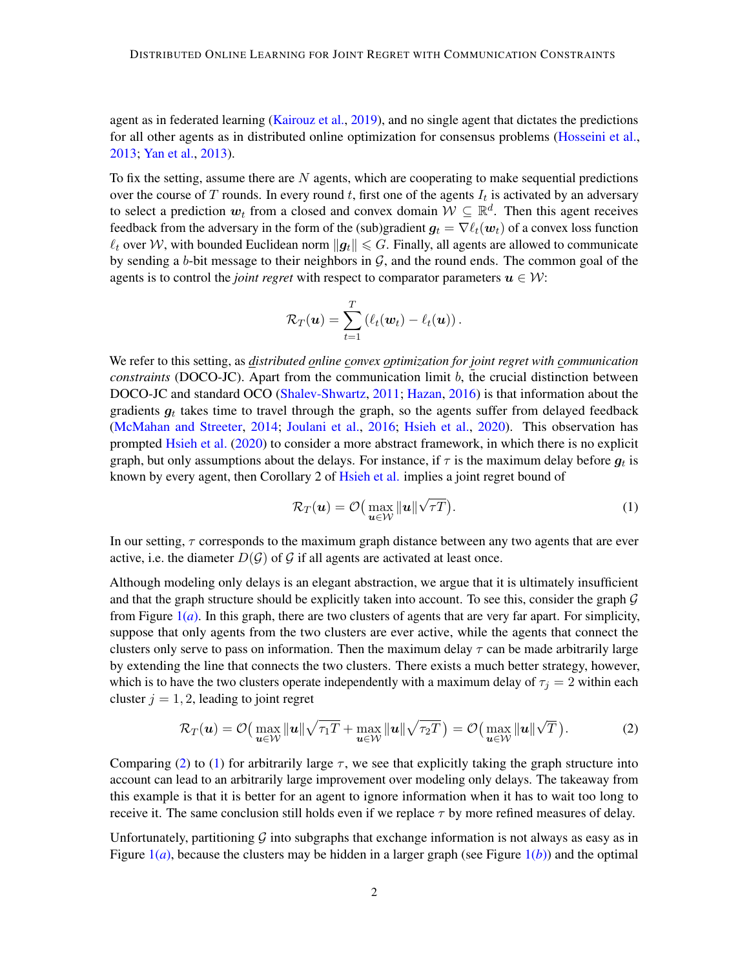agent as in federated learning [\(Kairouz et al.,](#page-14-0) [2019\)](#page-14-0), and no single agent that dictates the predictions for all other agents as in distributed online optimization for consensus problems [\(Hosseini et al.,](#page-14-1) [2013;](#page-14-1) [Yan et al.,](#page-17-0) [2013\)](#page-17-0).

To fix the setting, assume there are  $N$  agents, which are cooperating to make sequential predictions over the course of T rounds. In every round t, first one of the agents  $I_t$  is activated by an adversary to select a prediction  $w_t$  from a closed and convex domain  $W \subseteq \mathbb{R}^d$ . Then this agent receives feedback from the adversary in the form of the (sub)gradient  $g_t = \nabla \ell_t(\boldsymbol{w}_t)$  of a convex loss function  $\ell_t$  over W, with bounded Euclidean norm  $\|g_t\| \leqslant G$ . Finally, all agents are allowed to communicate by sending a b-bit message to their neighbors in  $G$ , and the round ends. The common goal of the agents is to control the *joint regret* with respect to comparator parameters  $u \in W$ :

$$
\mathcal{R}_T(\boldsymbol{u}) = \sum_{t=1}^T \left( \ell_t(\boldsymbol{w}_t) - \ell_t(\boldsymbol{u}) \right).
$$

We refer to this setting, as *distributed online convex optimization for joint regret with communication constraints* (DOCO-JC). Apart from the communication limit b, the crucial distinction between DOCO-JC and standard OCO [\(Shalev-Shwartz,](#page-16-1) [2011;](#page-16-1) [Hazan,](#page-14-2) [2016\)](#page-14-2) is that information about the gradients  $g_t$  takes time to travel through the graph, so the agents suffer from delayed feedback [\(McMahan and Streeter,](#page-15-2) [2014;](#page-15-2) [Joulani et al.,](#page-14-3) [2016;](#page-14-3) [Hsieh et al.,](#page-14-4) [2020\)](#page-14-4). This observation has prompted [Hsieh et al.](#page-14-4) [\(2020\)](#page-14-4) to consider a more abstract framework, in which there is no explicit graph, but only assumptions about the delays. For instance, if  $\tau$  is the maximum delay before  $g_t$  is known by every agent, then Corollary 2 of [Hsieh et al.](#page-14-4) implies a joint regret bound of

<span id="page-1-1"></span>
$$
\mathcal{R}_T(\boldsymbol{u}) = \mathcal{O}\big(\max_{\boldsymbol{u}\in\mathcal{W}} \|\boldsymbol{u}\|\sqrt{\tau T}\big). \tag{1}
$$

In our setting,  $\tau$  corresponds to the maximum graph distance between any two agents that are ever active, i.e. the diameter  $D(G)$  of G if all agents are activated at least once.

Although modeling only delays is an elegant abstraction, we argue that it is ultimately insufficient and that the graph structure should be explicitly taken into account. To see this, consider the graph  $G$ from Figure [1\(](#page-2-0)*a*). In this graph, there are two clusters of agents that are very far apart. For simplicity, suppose that only agents from the two clusters are ever active, while the agents that connect the clusters only serve to pass on information. Then the maximum delay  $\tau$  can be made arbitrarily large by extending the line that connects the two clusters. There exists a much better strategy, however, which is to have the two clusters operate independently with a maximum delay of  $\tau_i = 2$  within each cluster  $j = 1, 2$ , leading to joint regret

<span id="page-1-0"></span>
$$
\mathcal{R}_T(\boldsymbol{u}) = \mathcal{O}\big(\max_{\boldsymbol{u}\in\mathcal{W}} \|\boldsymbol{u}\|\sqrt{\tau_1 T} + \max_{\boldsymbol{u}\in\mathcal{W}} \|\boldsymbol{u}\|\sqrt{\tau_2 T}\big) = \mathcal{O}\big(\max_{\boldsymbol{u}\in\mathcal{W}} \|\boldsymbol{u}\|\sqrt{T}\big).
$$
 (2)

Comparing [\(2\)](#page-1-0) to [\(1\)](#page-1-1) for arbitrarily large  $\tau$ , we see that explicitly taking the graph structure into account can lead to an arbitrarily large improvement over modeling only delays. The takeaway from this example is that it is better for an agent to ignore information when it has to wait too long to receive it. The same conclusion still holds even if we replace  $\tau$  by more refined measures of delay.

Unfortunately, partitioning  $G$  into subgraphs that exchange information is not always as easy as in Figure  $1(a)$  $1(a)$ , because the clusters may be hidden in a larger graph (see Figure  $1(b)$ ) and the optimal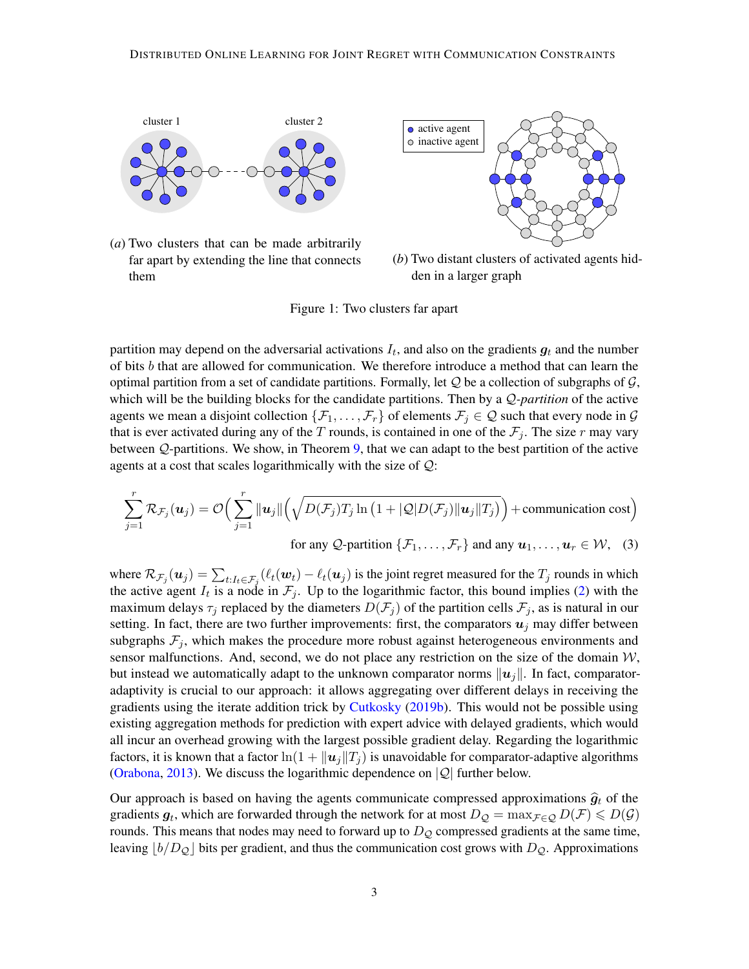<span id="page-2-0"></span>

(*a*) Two clusters that can be made arbitrarily far apart by extending the line that connects them



<span id="page-2-2"></span><span id="page-2-1"></span>(*b*) Two distant clusters of activated agents hidden in a larger graph

Figure 1: Two clusters far apart

partition may depend on the adversarial activations  $I_t$ , and also on the gradients  $g_t$  and the number of bits  $b$  that are allowed for communication. We therefore introduce a method that can learn the optimal partition from a set of candidate partitions. Formally, let  $Q$  be a collection of subgraphs of  $G$ , which will be the building blocks for the candidate partitions. Then by a Q*-partition* of the active agents we mean a disjoint collection  $\{\mathcal{F}_1,\ldots,\mathcal{F}_r\}$  of elements  $\mathcal{F}_j \in \mathcal{Q}$  such that every node in  $\mathcal{G}$ that is ever activated during any of the T rounds, is contained in one of the  $\mathcal{F}_j$ . The size r may vary between Q-partitions. We show, in Theorem [9,](#page-11-0) that we can adapt to the best partition of the active agents at a cost that scales logarithmically with the size of Q:

$$
\sum_{j=1}^{r} \mathcal{R}_{\mathcal{F}_j}(\boldsymbol{u}_j) = \mathcal{O}\Big(\sum_{j=1}^{r} \|\boldsymbol{u}_j\| \Big(\sqrt{D(\mathcal{F}_j)T_j \ln\big(1 + |\mathcal{Q}|D(\mathcal{F}_j)||\boldsymbol{u}_j||T_j\big)}\Big) + \text{communication cost}\Big)
$$
\n
$$
\text{for any } \mathcal{Q}\text{-partition }\{\mathcal{F}_1,\ldots,\mathcal{F}_r\} \text{ and any } \boldsymbol{u}_1,\ldots,\boldsymbol{u}_r \in \mathcal{W}, \tag{3}
$$

where  $\mathcal{R}_{\mathcal{F}_j}(\bm{u}_j) = \sum_{t: I_t \in \mathcal{F}_j} (\ell_t(\bm{w}_t) - \ell_t(\bm{u}_j))$  is the joint regret measured for the  $T_j$  rounds in which the active agent  $I_t$  is a node in  $\mathcal{F}_j$ . Up to the logarithmic factor, this bound implies [\(2\)](#page-1-0) with the maximum delays  $\tau_j$  replaced by the diameters  $D(\mathcal{F}_j)$  of the partition cells  $\mathcal{F}_j$ , as is natural in our setting. In fact, there are two further improvements: first, the comparators  $u_j$  may differ between subgraphs  $\mathcal{F}_j$ , which makes the procedure more robust against heterogeneous environments and sensor malfunctions. And, second, we do not place any restriction on the size of the domain  $W$ , but instead we automatically adapt to the unknown comparator norms  $||u_i||$ . In fact, comparatoradaptivity is crucial to our approach: it allows aggregating over different delays in receiving the gradients using the iterate addition trick by [Cutkosky](#page-13-0) [\(2019b\)](#page-13-0). This would not be possible using existing aggregation methods for prediction with expert advice with delayed gradients, which would all incur an overhead growing with the largest possible gradient delay. Regarding the logarithmic factors, it is known that a factor  $\ln(1 + ||u_i||T_i)$  is unavoidable for comparator-adaptive algorithms [\(Orabona,](#page-16-2) [2013\)](#page-16-2). We discuss the logarithmic dependence on  $|Q|$  further below.

Our approach is based on having the agents communicate compressed approximations  $\hat{g}_t$  of the gradients  $g_t$ , which are forwarded through the network for at most  $D_{\mathcal{Q}} = \max_{\mathcal{F} \in \mathcal{Q}} D(\mathcal{F}) \leq D(\mathcal{G})$ rounds. This means that nodes may need to forward up to  $D_{\mathcal{Q}}$  compressed gradients at the same time, leaving  $\vert b/D_{\mathcal{Q}}\vert$  bits per gradient, and thus the communication cost grows with  $D_{\mathcal{Q}}$ . Approximations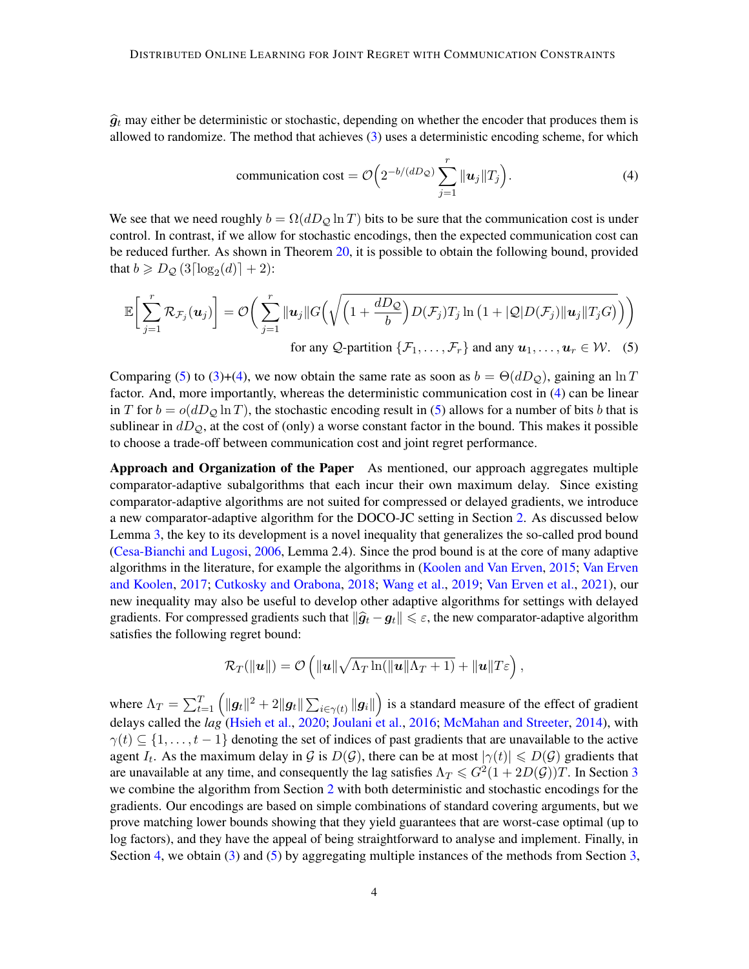$\hat{g}_t$  may either be deterministic or stochastic, depending on whether the encoder that produces them is allowed to randomize. The method that achieves [\(3\)](#page-2-2) uses a deterministic encoding scheme, for which

<span id="page-3-1"></span><span id="page-3-0"></span>
$$
\text{communication cost} = \mathcal{O}\left(2^{-b/(dD_{\mathcal{Q}})}\sum_{j=1}^{r} \|\mathbf{u}_{j}\| T_{j}\right). \tag{4}
$$

We see that we need roughly  $b = \Omega(dD_{\mathcal{O}} \ln T)$  bits to be sure that the communication cost is under control. In contrast, if we allow for stochastic encodings, then the expected communication cost can be reduced further. As shown in Theorem [20,](#page-32-0) it is possible to obtain the following bound, provided that  $b \geq D_{\mathcal{Q}}(3\lceil \log_2(d) \rceil + 2)$ :

$$
\mathbb{E}\bigg[\sum_{j=1}^r \mathcal{R}_{\mathcal{F}_j}(\boldsymbol{u}_j)\bigg] = \mathcal{O}\bigg(\sum_{j=1}^r \|\boldsymbol{u}_j\| G\Big(\sqrt{\Big(1+\frac{dD_{\mathcal{Q}}}{b}\Big)D(\mathcal{F}_j)T_j\ln\big(1+|\mathcal{Q}|D(\mathcal{F}_j)\|\boldsymbol{u}_j\|T_jG\big)}\Big)\bigg)
$$
\nfor any  $Q$ -partition  $\{\mathcal{F}_1,\ldots,\mathcal{F}_r\}$  and any  $\boldsymbol{u}_1,\ldots,\boldsymbol{u}_r \in \mathcal{W}$ . (5)

Comparing [\(5\)](#page-3-0) to [\(3\)](#page-2-2)+[\(4\)](#page-3-1), we now obtain the same rate as soon as  $b = \Theta(dD_{\mathcal{O}})$ , gaining an ln T factor. And, more importantly, whereas the deterministic communication cost in [\(4\)](#page-3-1) can be linear in T for  $b = o(dD<sub>Q</sub> \ln T)$ , the stochastic encoding result in [\(5\)](#page-3-0) allows for a number of bits b that is sublinear in  $dD_{\mathcal{Q}}$ , at the cost of (only) a worse constant factor in the bound. This makes it possible to choose a trade-off between communication cost and joint regret performance.

Approach and Organization of the Paper As mentioned, our approach aggregates multiple comparator-adaptive subalgorithms that each incur their own maximum delay. Since existing comparator-adaptive algorithms are not suited for compressed or delayed gradients, we introduce a new comparator-adaptive algorithm for the DOCO-JC setting in Section [2.](#page-5-0) As discussed below Lemma [3,](#page-8-0) the key to its development is a novel inequality that generalizes the so-called prod bound [\(Cesa-Bianchi and Lugosi,](#page-13-1) [2006,](#page-13-1) Lemma 2.4). Since the prod bound is at the core of many adaptive algorithms in the literature, for example the algorithms in [\(Koolen and Van Erven,](#page-15-3) [2015;](#page-15-3) [Van Erven](#page-14-5) [and Koolen,](#page-14-5) [2017;](#page-14-5) [Cutkosky and Orabona,](#page-13-2) [2018;](#page-13-2) [Wang et al.,](#page-17-1) [2019;](#page-17-1) [Van Erven et al.,](#page-14-6) [2021\)](#page-14-6), our new inequality may also be useful to develop other adaptive algorithms for settings with delayed gradients. For compressed gradients such that  $\|\hat{g}_t - g_t\| \leq \varepsilon$ , the new comparator-adaptive algorithm satisfies the following regret bound:

$$
\mathcal{R}_T(\|\boldsymbol{u}\|) = \mathcal{O}\left(\|\boldsymbol{u}\|\sqrt{\Lambda_T \ln(\|\boldsymbol{u}\|\Lambda_T+1)} + \|\boldsymbol{u}\|T\boldsymbol{\varepsilon}\right),\,
$$

where  $\Lambda_T = \sum_{t=1}^T \left(\|\bm{g}_t\|^2+2\|\bm{g}_t\|\sum_{i\in\gamma(t)}\|\bm{g}_i\|\right)$  is a standard measure of the effect of gradient delays called the *lag* [\(Hsieh et al.,](#page-14-4) [2020;](#page-14-4) [Joulani et al.,](#page-14-3) [2016;](#page-14-3) [McMahan and Streeter,](#page-15-2) [2014\)](#page-15-2), with  $\gamma(t) \subseteq \{1, \ldots, t-1\}$  denoting the set of indices of past gradients that are unavailable to the active agent  $I_t$ . As the maximum delay in G is  $D(G)$ , there can be at most  $|\gamma(t)| \leq D(G)$  gradients that are unavailable at any time, and consequently the lag satisfies  $\Lambda_T \leqslant G^2(1+2D(\mathcal{G}))T$ . In Section [3](#page-8-1) we combine the algorithm from Section [2](#page-5-0) with both deterministic and stochastic encodings for the gradients. Our encodings are based on simple combinations of standard covering arguments, but we prove matching lower bounds showing that they yield guarantees that are worst-case optimal (up to log factors), and they have the appeal of being straightforward to analyse and implement. Finally, in Section [4,](#page-11-1) we obtain [\(3\)](#page-2-2) and [\(5\)](#page-3-0) by aggregating multiple instances of the methods from Section [3,](#page-8-1)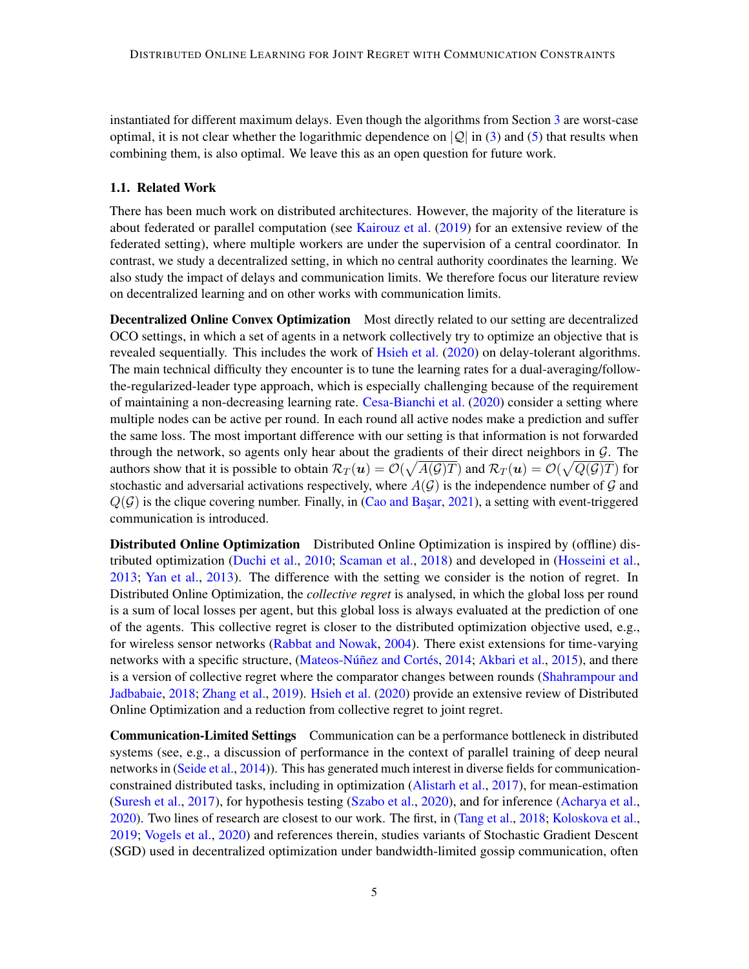instantiated for different maximum delays. Even though the algorithms from Section [3](#page-8-1) are worst-case optimal, it is not clear whether the logarithmic dependence on  $|Q|$  in [\(3\)](#page-2-2) and [\(5\)](#page-3-0) that results when combining them, is also optimal. We leave this as an open question for future work.

#### 1.1. Related Work

There has been much work on distributed architectures. However, the majority of the literature is about federated or parallel computation (see [Kairouz et al.](#page-14-0) [\(2019\)](#page-14-0) for an extensive review of the federated setting), where multiple workers are under the supervision of a central coordinator. In contrast, we study a decentralized setting, in which no central authority coordinates the learning. We also study the impact of delays and communication limits. We therefore focus our literature review on decentralized learning and on other works with communication limits.

**Decentralized Online Convex Optimization** Most directly related to our setting are decentralized OCO settings, in which a set of agents in a network collectively try to optimize an objective that is revealed sequentially. This includes the work of [Hsieh et al.](#page-14-4) [\(2020\)](#page-14-4) on delay-tolerant algorithms. The main technical difficulty they encounter is to tune the learning rates for a dual-averaging/followthe-regularized-leader type approach, which is especially challenging because of the requirement of maintaining a non-decreasing learning rate. [Cesa-Bianchi et al.](#page-13-3) [\(2020\)](#page-13-3) consider a setting where multiple nodes can be active per round. In each round all active nodes make a prediction and suffer the same loss. The most important difference with our setting is that information is not forwarded through the network, so agents only hear about the gradients of their direct neighbors in  $G$ . The authors show that it is possible to obtain  $\mathcal{R}_T(u)=\mathcal{O}(\sqrt{A(\mathcal{G})T})$  and  $\mathcal{R}_T(u)=\mathcal{O}(\sqrt{Q(\mathcal{G})T})$  for stochastic and adversarial activations respectively, where  $A(G)$  is the independence number of G and  $Q(G)$  is the clique covering number. Finally, in (Cao and Başar, [2021\)](#page-13-4), a setting with event-triggered communication is introduced.

Distributed Online Optimization Distributed Online Optimization is inspired by (offline) distributed optimization [\(Duchi et al.,](#page-13-5) [2010;](#page-13-5) [Scaman et al.,](#page-16-3) [2018\)](#page-16-3) and developed in [\(Hosseini et al.,](#page-14-1) [2013;](#page-14-1) [Yan et al.,](#page-17-0) [2013\)](#page-17-0). The difference with the setting we consider is the notion of regret. In Distributed Online Optimization, the *collective regret* is analysed, in which the global loss per round is a sum of local losses per agent, but this global loss is always evaluated at the prediction of one of the agents. This collective regret is closer to the distributed optimization objective used, e.g., for wireless sensor networks [\(Rabbat and Nowak,](#page-16-0) [2004\)](#page-16-0). There exist extensions for time-varying networks with a specific structure, [\(Mateos-Núñez and Cortés,](#page-15-4) [2014;](#page-15-4) [Akbari et al.,](#page-13-6) [2015\)](#page-13-6), and there is a version of collective regret where the comparator changes between rounds [\(Shahrampour and](#page-16-4) [Jadbabaie,](#page-16-4) [2018;](#page-16-4) [Zhang et al.,](#page-17-2) [2019\)](#page-17-2). [Hsieh et al.](#page-14-4) [\(2020\)](#page-14-4) provide an extensive review of Distributed Online Optimization and a reduction from collective regret to joint regret.

Communication-Limited Settings Communication can be a performance bottleneck in distributed systems (see, e.g., a discussion of performance in the context of parallel training of deep neural networks in [\(Seide et al.,](#page-16-5) [2014\)](#page-16-5)). This has generated much interest in diverse fields for communicationconstrained distributed tasks, including in optimization [\(Alistarh et al.,](#page-13-7) [2017\)](#page-13-7), for mean-estimation [\(Suresh et al.,](#page-16-6) [2017\)](#page-16-6), for hypothesis testing [\(Szabo et al.,](#page-16-7) [2020\)](#page-16-7), and for inference [\(Acharya et al.,](#page-13-8) [2020\)](#page-13-8). Two lines of research are closest to our work. The first, in [\(Tang et al.,](#page-16-8) [2018;](#page-16-8) [Koloskova et al.,](#page-15-5) [2019;](#page-15-5) [Vogels et al.,](#page-17-3) [2020\)](#page-17-3) and references therein, studies variants of Stochastic Gradient Descent (SGD) used in decentralized optimization under bandwidth-limited gossip communication, often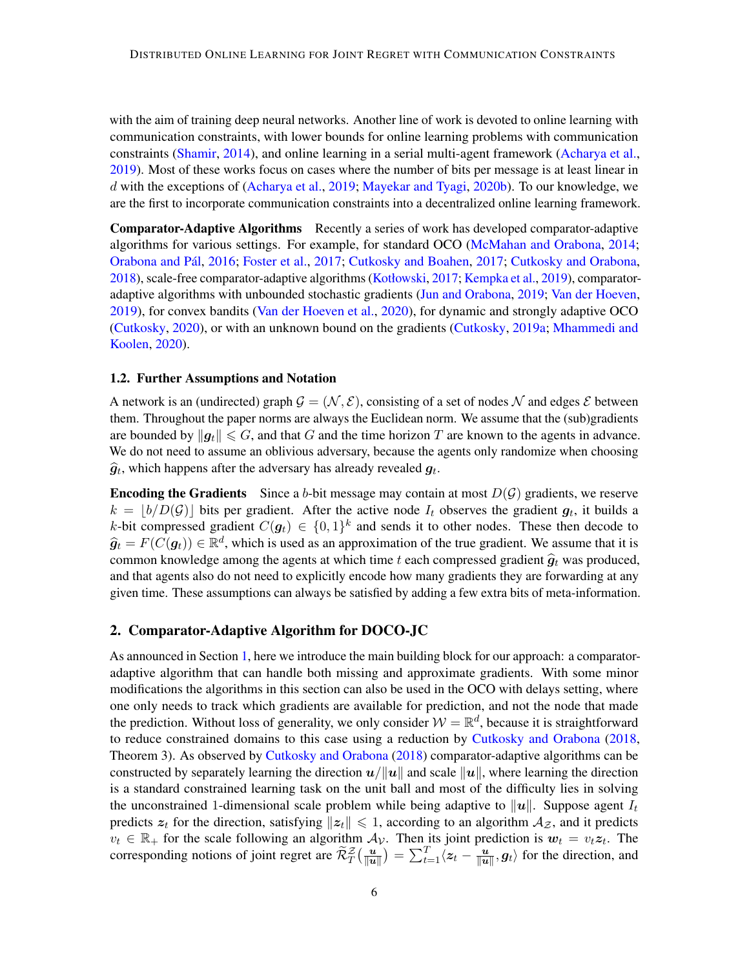with the aim of training deep neural networks. Another line of work is devoted to online learning with communication constraints, with lower bounds for online learning problems with communication constraints [\(Shamir,](#page-16-9) [2014\)](#page-16-9), and online learning in a serial multi-agent framework [\(Acharya et al.,](#page-12-0) [2019\)](#page-12-0). Most of these works focus on cases where the number of bits per message is at least linear in d with the exceptions of [\(Acharya et al.,](#page-12-0) [2019;](#page-12-0) [Mayekar and Tyagi,](#page-15-6) [2020b\)](#page-15-6). To our knowledge, we are the first to incorporate communication constraints into a decentralized online learning framework.

Comparator-Adaptive Algorithms Recently a series of work has developed comparator-adaptive algorithms for various settings. For example, for standard OCO [\(McMahan and Orabona,](#page-15-7) [2014;](#page-15-7) [Orabona and Pál,](#page-16-10) [2016;](#page-16-10) [Foster et al.,](#page-14-7) [2017;](#page-14-7) [Cutkosky and Boahen,](#page-13-9) [2017;](#page-13-9) [Cutkosky and Orabona,](#page-13-2) [2018\)](#page-13-2), scale-free comparator-adaptive algorithms [\(Kotłowski,](#page-15-8) [2017;](#page-15-8) [Kempka et al.,](#page-15-9) [2019\)](#page-15-9), comparatoradaptive algorithms with unbounded stochastic gradients [\(Jun and Orabona,](#page-14-8) [2019;](#page-14-8) [Van der Hoeven,](#page-14-9) [2019\)](#page-14-9), for convex bandits [\(Van der Hoeven et al.,](#page-14-10) [2020\)](#page-14-10), for dynamic and strongly adaptive OCO [\(Cutkosky,](#page-13-10) [2020\)](#page-13-10), or with an unknown bound on the gradients [\(Cutkosky,](#page-13-11) [2019a;](#page-13-11) [Mhammedi and](#page-16-11) [Koolen,](#page-16-11) [2020\)](#page-16-11).

#### 1.2. Further Assumptions and Notation

A network is an (undirected) graph  $\mathcal{G} = (\mathcal{N}, \mathcal{E})$ , consisting of a set of nodes  $\mathcal N$  and edges  $\mathcal E$  between them. Throughout the paper norms are always the Euclidean norm. We assume that the (sub)gradients are bounded by  $\|g_t\| \leq G$ , and that G and the time horizon T are known to the agents in advance. We do not need to assume an oblivious adversary, because the agents only randomize when choosing  $\widehat{g}_t$ , which happens after the adversary has already revealed  $g_t$ .

**Encoding the Gradients** Since a b-bit message may contain at most  $D(G)$  gradients, we reserve  $k = \lfloor b/D(\mathcal{G}) \rfloor$  bits per gradient. After the active node  $I_t$  observes the gradient  $g_t$ , it builds a k-bit compressed gradient  $C(g_t) \in \{0,1\}^k$  and sends it to other nodes. These then decode to  $\hat{g}_t = F(C(g_t)) \in \mathbb{R}^d$ , which is used as an approximation of the true gradient. We assume that it is common knowledge among the agents at which time t each compressed gradient  $\hat{g}_t$  was produced, and that agents also do not need to explicitly encode how many gradients they are forwarding at any given time. These assumptions can always be satisfied by adding a few extra bits of meta-information.

#### <span id="page-5-0"></span>2. Comparator-Adaptive Algorithm for DOCO-JC

As announced in Section [1,](#page-0-1) here we introduce the main building block for our approach: a comparatoradaptive algorithm that can handle both missing and approximate gradients. With some minor modifications the algorithms in this section can also be used in the OCO with delays setting, where one only needs to track which gradients are available for prediction, and not the node that made the prediction. Without loss of generality, we only consider  $W = \mathbb{R}^d$ , because it is straightforward to reduce constrained domains to this case using a reduction by [Cutkosky and Orabona](#page-13-2) [\(2018,](#page-13-2) Theorem 3). As observed by [Cutkosky and Orabona](#page-13-2) [\(2018\)](#page-13-2) comparator-adaptive algorithms can be constructed by separately learning the direction  $u/||u||$  and scale  $||u||$ , where learning the direction is a standard constrained learning task on the unit ball and most of the difficulty lies in solving the unconstrained 1-dimensional scale problem while being adaptive to ||u||. Suppose agent  $I_t$ predicts  $z_t$  for the direction, satisfying  $||z_t|| \leq 1$ , according to an algorithm  $A_{\mathcal{Z}}$ , and it predicts  $v_t \in \mathbb{R}_+$  for the scale following an algorithm  $\mathcal{A}_{\mathcal{V}}$ . Then its joint prediction is  $w_t = v_t z_t$ . The corresponding notions of joint regret are  $\widetilde{\mathcal{R}}^{\mathcal{Z}}_T(\frac{u}{\|u\|})$  $\frac{\boldsymbol{u}}{\|\boldsymbol{u}\|}\big) = \sum_{t=1}^T \langle \boldsymbol{z}_t - \frac{\boldsymbol{u}}{\|\boldsymbol{u}\|}$  $\frac{u}{\Vert u \Vert}, g_t \rangle$  for the direction, and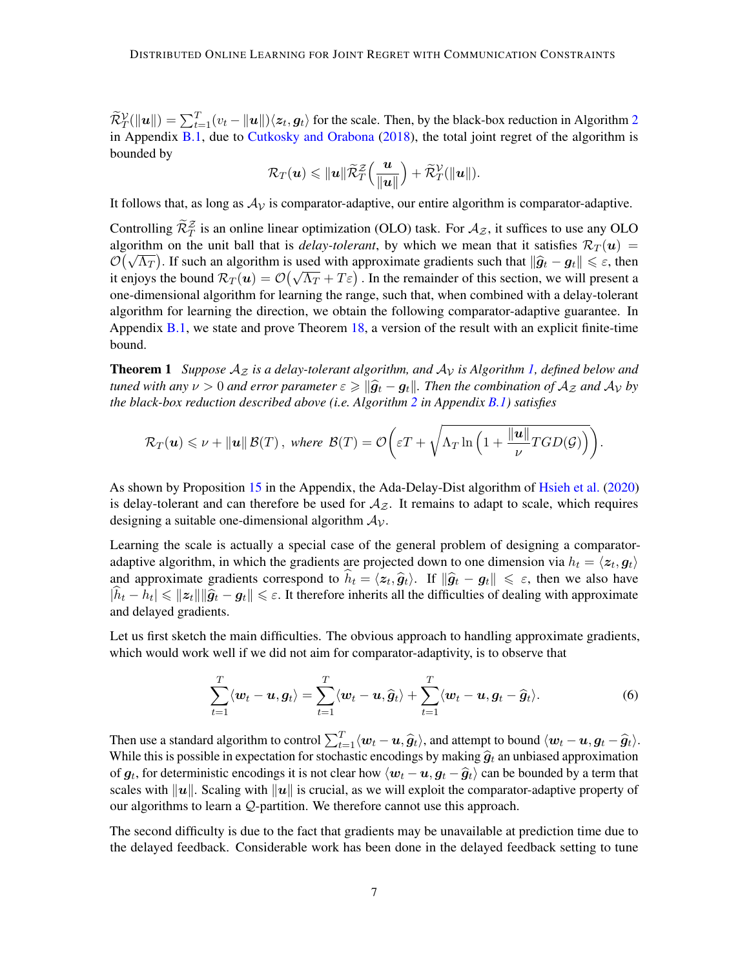$\widetilde{\mathcal{R}}_T^{\mathcal{V}}(\|\mathbf{u}\|) = \sum_{t=1}^T (v_t - \|\mathbf{u}\|) \langle \mathbf{z}_t, \mathbf{g}_t \rangle$  for the scale. Then, by the black-box reduction in Algorithm [2](#page-27-0) in Appendix [B.1,](#page-27-1) due to [Cutkosky and Orabona](#page-13-2) [\(2018\)](#page-13-2), the total joint regret of the algorithm is bounded by

$$
\mathcal{R}_T(\boldsymbol{u}) \leqslant \|\boldsymbol{u}\| \widetilde{\mathcal{R}}_T^{\mathcal{Z}}\Big(\frac{\boldsymbol{u}}{\|\boldsymbol{u}\|}\Big) + \widetilde{\mathcal{R}}_T^{\mathcal{V}}(\|\boldsymbol{u}\|).
$$

It follows that, as long as  $A_V$  is comparator-adaptive, our entire algorithm is comparator-adaptive.

Controlling  $\widetilde{\mathcal{R}}_T^{\mathcal{Z}}$  is an online linear optimization (OLO) task. For  $\mathcal{A}_{\mathcal{Z}}$ , it suffices to use any OLO algorithm on the unit ball that is *delay-tolerant*, by which we mean that it satisfies  $\mathcal{R}_T(u)$  = algorithm on the time ban that is *detay-toterant*, by which we mean that it satisfies  $\mathcal{K}_T(u) =$ <br>  $\mathcal{O}(\sqrt{\Lambda_T})$ . If such an algorithm is used with approximate gradients such that  $\|\hat{g}_t - g_t\| \leq \varepsilon$ , then  $\mathcal{O}(\sqrt{\Lambda_T})$ . It such an algorithm is used with approximate gradients such that  $||\mathbf{g}_t - \mathbf{g}_t|| \le \varepsilon$ , then it enjoys the bound  $\mathcal{R}_T(\mathbf{u}) = \mathcal{O}(\sqrt{\Lambda_T} + T\varepsilon)$ . In the remainder of this section, we will present a one-dimensional algorithm for learning the range, such that, when combined with a delay-tolerant algorithm for learning the direction, we obtain the following comparator-adaptive guarantee. In Appendix  $B.1$ , we state and prove Theorem [18,](#page-28-0) a version of the result with an explicit finite-time bound.

<span id="page-6-0"></span>**Theorem 1** *Suppose*  $A_{\mathcal{Z}}$  *is a delay-tolerant algorithm, and*  $A_{\mathcal{V}}$  *is Algorithm [1,](#page-7-0) defined below and tuned with any*  $\nu > 0$  *and error parameter*  $\varepsilon \geq \|\hat{g}_t - g_t\|$ . Then the combination of  $A_z$  and  $A_V$  by *the black-box reduction described above (i.e. Algorithm [2](#page-27-0) in Appendix [B.1\)](#page-27-1) satisfies*

$$
\mathcal{R}_T(\boldsymbol{u}) \leqslant \nu + \|\boldsymbol{u}\| \mathcal{B}(T) \ , \ where \ \mathcal{B}(T) = \mathcal{O}\bigg(\varepsilon T + \sqrt{\Lambda_T \ln\Big(1 + \frac{\|\boldsymbol{u}\|}{\nu} TGD(\mathcal{G})\Big)}\bigg).
$$

As shown by Proposition [15](#page-28-1) in the Appendix, the Ada-Delay-Dist algorithm of [Hsieh et al.](#page-14-4) [\(2020\)](#page-14-4) is delay-tolerant and can therefore be used for  $A_{\mathcal{Z}}$ . It remains to adapt to scale, which requires designing a suitable one-dimensional algorithm  $A_v$ .

Learning the scale is actually a special case of the general problem of designing a comparatoradaptive algorithm, in which the gradients are projected down to one dimension via  $h_t = \langle z_t, g_t \rangle$ and approximate gradients correspond to  $\hat{h}_t = \langle z_t, \hat{g}_t \rangle$ . If  $\|\hat{g}_t - g_t\| \leq \varepsilon$ , then we also have  $|\hat{h}_t - h_t| \le ||z_t|| \|\hat{g}_t - g_t\| \le \varepsilon$ . It therefore inherits all the difficulties of dealing with approximate and delayed gradients.

Let us first sketch the main difficulties. The obvious approach to handling approximate gradients, which would work well if we did not aim for comparator-adaptivity, is to observe that

<span id="page-6-1"></span>
$$
\sum_{t=1}^{T} \langle \boldsymbol{w}_t - \boldsymbol{u}, \boldsymbol{g}_t \rangle = \sum_{t=1}^{T} \langle \boldsymbol{w}_t - \boldsymbol{u}, \widehat{\boldsymbol{g}}_t \rangle + \sum_{t=1}^{T} \langle \boldsymbol{w}_t - \boldsymbol{u}, \boldsymbol{g}_t - \widehat{\boldsymbol{g}}_t \rangle.
$$
 (6)

Then use a standard algorithm to control  $\sum_{t=1}^{T} \langle w_t - u, \hat{g}_t \rangle$ , and attempt to bound  $\langle w_t - u, g_t - \hat{g}_t \rangle$ . While this is possible in expectation for stochastic encodings by making  $\hat{g}_t$  an unbiased approximation of  $g_t$ , for deterministic encodings it is not clear how  $\langle w_t - u, g_t - \hat{g}_t \rangle$  can be bounded by a term that scales with  $||u||$ . Scaling with  $||u||$  is crucial, as we will exploit the comparator edentive property of scales with  $||u||$ . Scaling with  $||u||$  is crucial, as we will exploit the comparator-adaptive property of our algorithms to learn a Q-partition. We therefore cannot use this approach.

The second difficulty is due to the fact that gradients may be unavailable at prediction time due to the delayed feedback. Considerable work has been done in the delayed feedback setting to tune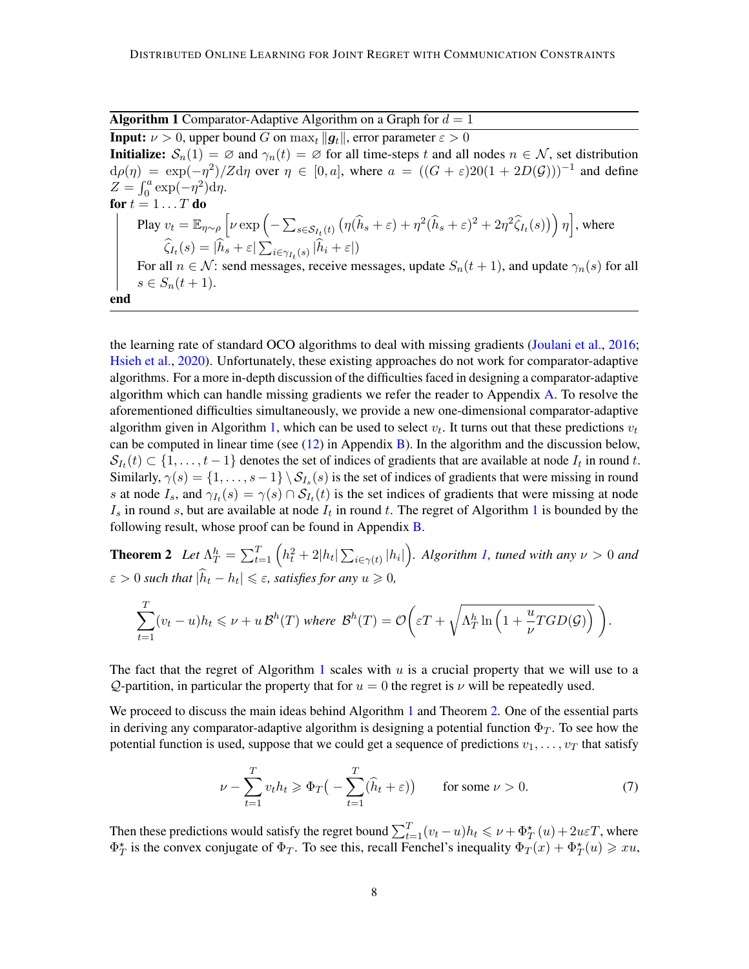**Algorithm 1** Comparator-Adaptive Algorithm on a Graph for  $d = 1$ 

<span id="page-7-0"></span>**Input:**  $\nu > 0$ , upper bound G on  $\max_t ||q_t||$ , error parameter  $\varepsilon > 0$ **Initialize:**  $S_n(1) = \emptyset$  and  $\gamma_n(t) = \emptyset$  for all time-steps t and all nodes  $n \in \mathcal{N}$ , set distribution  $d\rho(\eta) = \exp(-\eta^2)/Zd\eta$  over  $\eta \in [0, a]$ , where  $a = ((G + \varepsilon)20(1 + 2D(\mathcal{G})))^{-1}$  and define  $Z = \int_0^a \exp(-\eta^2) d\eta.$ for  $t = 1 \dots T$  do Play  $v_t = \mathbb{E}_{\eta \sim \rho} \left[ \nu \exp \left( - \sum_{s \in \mathcal{S}_{I_t}(t)} \left( \eta(\widehat{h}_s + \varepsilon) + \eta^2 (\widehat{h}_s + \varepsilon)^2 + 2 \eta^2 \widehat{\zeta}_{I_t}(s) \right) \right) \eta \right]$ , where  $\zeta_{I_t}(s) = |h_s + \varepsilon| \sum_{i \in \gamma_{I_t}(s)} |h_i + \varepsilon|$ For all  $n \in \mathcal{N}$ : send messages, receive messages, update  $S_n(t + 1)$ , and update  $\gamma_n(s)$  for all  $s \in S_n(t + 1).$ end

the learning rate of standard OCO algorithms to deal with missing gradients [\(Joulani et al.,](#page-14-3) [2016;](#page-14-3) [Hsieh et al.,](#page-14-4) [2020\)](#page-14-4). Unfortunately, these existing approaches do not work for comparator-adaptive algorithms. For a more in-depth discussion of the difficulties faced in designing a comparator-adaptive algorithm which can handle missing gradients we refer the reader to Appendix [A.](#page-17-4) To resolve the aforementioned difficulties simultaneously, we provide a new one-dimensional comparator-adaptive algorithm given in Algorithm [1,](#page-7-0) which can be used to select  $v_t$ . It turns out that these predictions  $v_t$ can be computed in linear time (see  $(12)$  in Appendix [B\)](#page-19-1). In the algorithm and the discussion below,  $S_{I_t}(t) \subset \{1, \ldots, t-1\}$  denotes the set of indices of gradients that are available at node  $I_t$  in round t. Similarly,  $\gamma(s) = \{1, \ldots, s-1\} \setminus S_{I_s}(s)$  is the set of indices of gradients that were missing in round s at node  $I_s$ , and  $\gamma_{I_t}(s) = \gamma(s) \cap S_{I_t}(t)$  is the set indices of gradients that were missing at node  $I_s$  in round s, but are available at node  $I_t$  in round t. The regret of Algorithm [1](#page-7-0) is bounded by the following result, whose proof can be found in Appendix [B.](#page-19-1)

**Theorem 2** Let  $\Lambda_T^h = \sum_{t=1}^T \left( h_t^2 + 2|h_t|\sum_{i\in\gamma(t)}|h_i|\right)$ . Algorithm [1,](#page-7-0) tuned with any  $\nu > 0$  and  $\varepsilon > 0$  such that  $|\hat{h}_t - h_t| \leqslant \varepsilon$ , satisfies for any  $u \geqslant 0$ ,

<span id="page-7-1"></span>
$$
\sum_{t=1}^{T} (v_t - u) h_t \leq \nu + u \, \mathcal{B}^h(T) \text{ where } \mathcal{B}^h(T) = \mathcal{O}\bigg(\varepsilon T + \sqrt{\Lambda_T^h \ln\left(1 + \frac{u}{\nu} TGD(\mathcal{G})\right)}\bigg).
$$

The fact that the regret of Algorithm [1](#page-7-0) scales with  $u$  is a crucial property that we will use to a Q-partition, in particular the property that for  $u = 0$  the regret is  $\nu$  will be repeatedly used.

We proceed to discuss the main ideas behind Algorithm [1](#page-7-0) and Theorem [2.](#page-7-1) One of the essential parts in deriving any comparator-adaptive algorithm is designing a potential function  $\Phi_T$ . To see how the potential function is used, suppose that we could get a sequence of predictions  $v_1, \ldots, v_T$  that satisfy

<span id="page-7-2"></span>
$$
\nu - \sum_{t=1}^{T} v_t h_t \ge \Phi_T \big( - \sum_{t=1}^{T} (\widehat{h}_t + \varepsilon) \big) \qquad \text{for some } \nu > 0. \tag{7}
$$

Then these predictions would satisfy the regret bound  $\sum_{t=1}^{T} (v_t - u) h_t \leq \nu + \Phi_T^{\star}(u) + 2u\varepsilon T$ , where  $\Phi_T^*$  is the convex conjugate of  $\Phi_T$ . To see this, recall Fenchel's inequality  $\Phi_T(x) + \Phi_T^*(u) \geq xu$ ,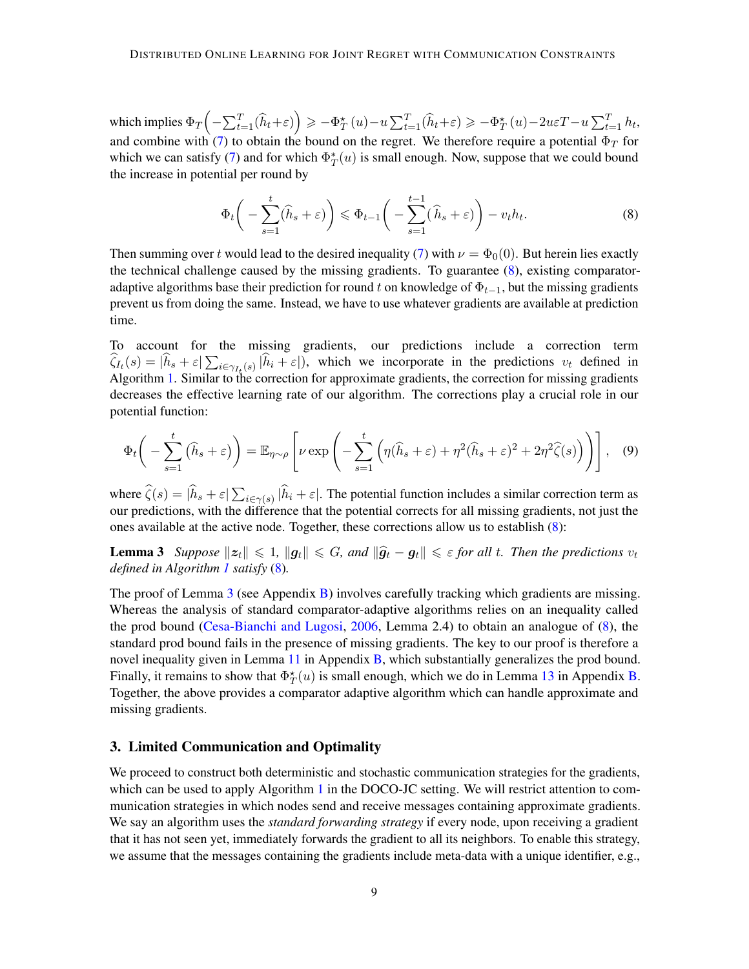which implies  $\Phi_T\left(-\sum_{t=1}^T (\widehat{h}_t+\varepsilon)\right) \geqslant -\Phi_T^{\star}\left(u\right)-u\sum_{t=1}^T (\widehat{h}_t+\varepsilon) \geqslant -\Phi_T^{\star}\left(u\right)-2u\varepsilon T-u\sum_{t=1}^T h_t,$ and combine with [\(7\)](#page-7-2) to obtain the bound on the regret. We therefore require a potential  $\Phi_T$  for which we can satisfy [\(7\)](#page-7-2) and for which  $\Phi_T^*(u)$  is small enough. Now, suppose that we could bound the increase in potential per round by

<span id="page-8-2"></span>
$$
\Phi_t\bigg(-\sum_{s=1}^t (\widehat{h}_s + \varepsilon)\bigg) \leq \Phi_{t-1}\bigg(-\sum_{s=1}^{t-1} (\widehat{h}_s + \varepsilon)\bigg) - v_t h_t.
$$
\n(8)

Then summing over t would lead to the desired inequality [\(7\)](#page-7-2) with  $\nu = \Phi_0(0)$ . But herein lies exactly the technical challenge caused by the missing gradients. To guarantee  $(8)$ , existing comparatoradaptive algorithms base their prediction for round t on knowledge of  $\Phi_{t-1}$ , but the missing gradients prevent us from doing the same. Instead, we have to use whatever gradients are available at prediction time.

To account for the missing gradients, our predictions include a correction term  $\zeta_{I_t}(s) = |h_s + \varepsilon| \sum_{i \in \gamma_{I_t}(s)} |h_i + \varepsilon|$ , which we incorporate in the predictions  $v_t$  defined in Algorithm [1.](#page-7-0) Similar to the correction for approximate gradients, the correction for missing gradients decreases the effective learning rate of our algorithm. The corrections play a crucial role in our potential function:

<span id="page-8-3"></span><span id="page-8-0"></span>
$$
\Phi_t\bigg(-\sum_{s=1}^t (\widehat{h}_s + \varepsilon)\bigg) = \mathbb{E}_{\eta \sim \rho} \left[\nu \exp\left(-\sum_{s=1}^t \left(\eta(\widehat{h}_s + \varepsilon) + \eta^2(\widehat{h}_s + \varepsilon)^2 + 2\eta^2 \widehat{\zeta}(s)\right)\right)\right], \quad (9)
$$

where  $\zeta(s) = |h_s + \varepsilon| \sum_{i \in \gamma(s)} |h_i + \varepsilon|$ . The potential function includes a similar correction term as our predictions, with the difference that the potential corrects for all missing gradients, not just the ones available at the active node. Together, these corrections allow us to establish [\(8\)](#page-8-2):

**Lemma 3** *Suppose*  $||z_t|| \le 1$ ,  $||g_t|| \le G$ , and  $||\hat{g}_t - g_t|| \le \varepsilon$  for all t. Then the predictions  $v_t$ *defined in Algorithm [1](#page-7-0) satisfy* [\(8\)](#page-8-2)*.*

The proof of Lemma [3](#page-8-0) (see Appendix [B\)](#page-19-1) involves carefully tracking which gradients are missing. Whereas the analysis of standard comparator-adaptive algorithms relies on an inequality called the prod bound [\(Cesa-Bianchi and Lugosi,](#page-13-1) [2006,](#page-13-1) Lemma 2.4) to obtain an analogue of [\(8\)](#page-8-2), the standard prod bound fails in the presence of missing gradients. The key to our proof is therefore a novel inequality given in Lemma [11](#page-23-0) in Appendix [B,](#page-19-1) which substantially generalizes the prod bound. Finally, it remains to show that  $\Phi_T^*(u)$  is small enough, which we do in Lemma [13](#page-25-0) in Appendix [B.](#page-19-1) Together, the above provides a comparator adaptive algorithm which can handle approximate and missing gradients.

# <span id="page-8-1"></span>3. Limited Communication and Optimality

We proceed to construct both deterministic and stochastic communication strategies for the gradients, which can be used to apply Algorithm [1](#page-7-0) in the DOCO-JC setting. We will restrict attention to communication strategies in which nodes send and receive messages containing approximate gradients. We say an algorithm uses the *standard forwarding strategy* if every node, upon receiving a gradient that it has not seen yet, immediately forwards the gradient to all its neighbors. To enable this strategy, we assume that the messages containing the gradients include meta-data with a unique identifier, e.g.,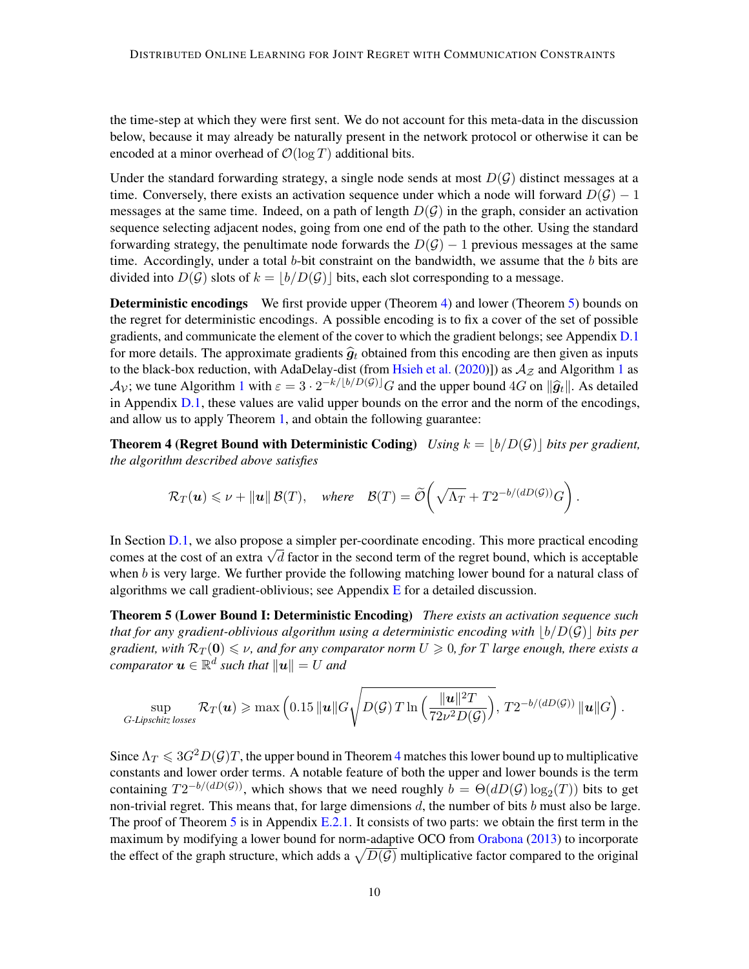the time-step at which they were first sent. We do not account for this meta-data in the discussion below, because it may already be naturally present in the network protocol or otherwise it can be encoded at a minor overhead of  $\mathcal{O}(\log T)$  additional bits.

Under the standard forwarding strategy, a single node sends at most  $D(G)$  distinct messages at a time. Conversely, there exists an activation sequence under which a node will forward  $D(\mathcal{G}) - 1$ messages at the same time. Indeed, on a path of length  $D(G)$  in the graph, consider an activation sequence selecting adjacent nodes, going from one end of the path to the other. Using the standard forwarding strategy, the penultimate node forwards the  $D(G) - 1$  previous messages at the same time. Accordingly, under a total  $b$ -bit constraint on the bandwidth, we assume that the  $b$  bits are divided into  $D(G)$  slots of  $k = |b/D(G)|$  bits, each slot corresponding to a message.

**Deterministic encodings** We first provide upper (Theorem [4\)](#page-9-0) and lower (Theorem [5\)](#page-9-1) bounds on the regret for deterministic encodings. A possible encoding is to fix a cover of the set of possible gradients, and communicate the element of the cover to which the gradient belongs; see Appendix [D.1](#page-32-1) for more details. The approximate gradients  $\hat{g}_t$  obtained from this encoding are then given as inputs to the black-box reduction, with AdaDelay-dist (from [Hsieh et al.](#page-14-4) [\(2020\)](#page-14-4)]) as  $A_{\mathcal{Z}}$  and Algorithm [1](#page-7-0) as  $\mathcal{A}_{\mathcal{V}}$ ; we tune Algorithm [1](#page-7-0) with  $\varepsilon = 3 \cdot 2^{-k/[b/D(\mathcal{G})]} G$  and the upper bound 4G on  $\|\hat{g}_t\|$ . As detailed in Appendix  $D.1$ , these values are valid upper bounds on the error and the norm of the encodings, and allow us to apply Theorem [1,](#page-6-0) and obtain the following guarantee:

<span id="page-9-0"></span>**Theorem 4 (Regret Bound with Deterministic Coding)** *Using*  $k = |b/D(\mathcal{G})|$  *bits per gradient, the algorithm described above satisfies*

<span id="page-9-1"></span>
$$
\mathcal{R}_T(\boldsymbol{u}) \leq \nu + ||\boldsymbol{u}|| \mathcal{B}(T), \text{ where } \mathcal{B}(T) = \widetilde{\mathcal{O}}\left(\sqrt{\Lambda_T} + T2^{-b/(dD(\mathcal{G}))}G\right).
$$

In Section [D.1,](#page-32-1) we also propose a simpler per-coordinate encoding. This more practical encoding In section D.1, we also propose a simpler per-coordinate encoding. This more practical encoding comes at the cost of an extra  $\sqrt{d}$  factor in the second term of the regret bound, which is acceptable when b is very large. We further provide the following matching lower bound for a natural class of algorithms we call gradient-oblivious; see Appendix  $E$  for a detailed discussion.

Theorem 5 (Lower Bound I: Deterministic Encoding) *There exists an activation sequence such that for any gradient-oblivious algorithm using a deterministic encoding with*  $|b/D(\mathcal{G})|$  *bits per gradient, with*  $\mathcal{R}_T(\mathbf{0}) \leq \nu$ , and for any comparator norm  $U \geq 0$ , for T large enough, there exists a  $\emph{comparator}$   $\bm{u} \in \mathbb{R}^d$  such that  $\|\bm{u}\| = U$  and

$$
\sup_{G\text{-Lipschitz losses}} \mathcal{R}_T(\boldsymbol{u}) \geqslant \max\left(0.15 \|\boldsymbol{u}\|G\sqrt{D(\mathcal{G})T\ln\left(\frac{\|\boldsymbol{u}\|^2 T}{72\nu^2D(\mathcal{G})}\right)},\, T2^{-b/(dD(\mathcal{G}))}\,\|\boldsymbol{u}\|G\right).
$$

Since  $\Lambda_T \leq 3G^2D(\mathcal{G})T$ , the upper bound in Theorem [4](#page-9-0) matches this lower bound up to multiplicative constants and lower order terms. A notable feature of both the upper and lower bounds is the term containing  $T2^{-b/(dD(\mathcal{G}))}$ , which shows that we need roughly  $b = \Theta(dD(\mathcal{G}) \log_2(T))$  bits to get non-trivial regret. This means that, for large dimensions  $d$ , the number of bits  $b$  must also be large. The proof of Theorem [5](#page-9-1) is in Appendix [E.2.1.](#page-36-0) It consists of two parts: we obtain the first term in the maximum by modifying a lower bound for norm-adaptive OCO from [Orabona](#page-16-2) [\(2013\)](#page-16-2) to incorporate the effect of the graph structure, which adds a  $\sqrt{D(\mathcal{G})}$  multiplicative factor compared to the original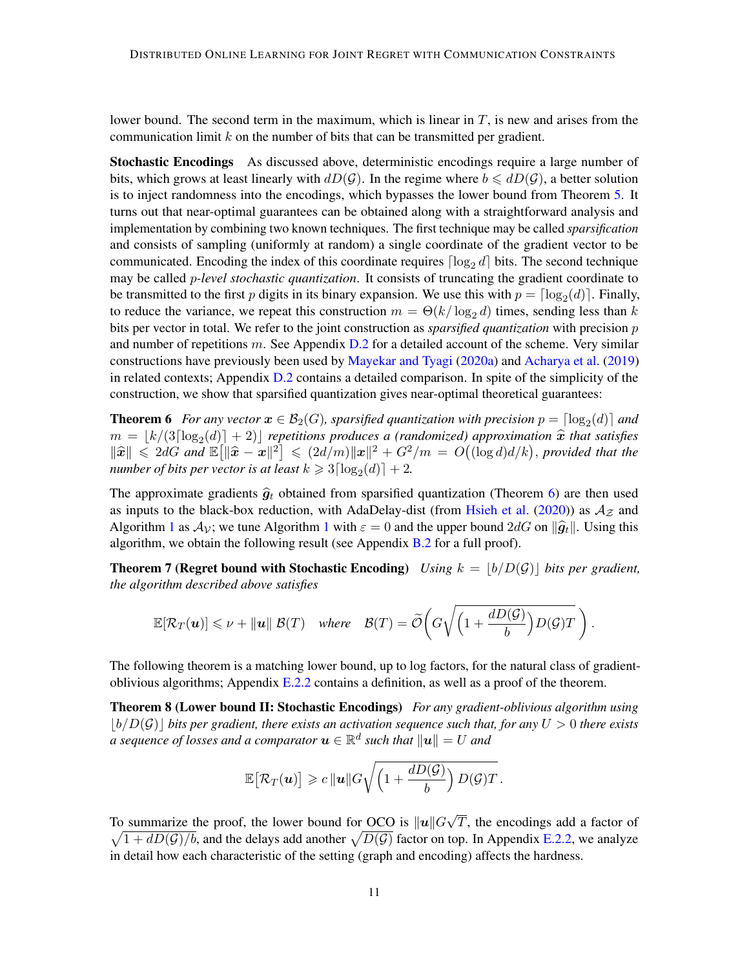lower bound. The second term in the maximum, which is linear in  $T$ , is new and arises from the communication limit  $k$  on the number of bits that can be transmitted per gradient.

<span id="page-10-3"></span>Stochastic Encodings As discussed above, deterministic encodings require a large number of bits, which grows at least linearly with  $dD(\mathcal{G})$ . In the regime where  $b \leq dD(\mathcal{G})$ , a better solution is to inject randomness into the encodings, which bypasses the lower bound from Theorem [5.](#page-9-1) It turns out that near-optimal guarantees can be obtained along with a straightforward analysis and implementation by combining two known techniques. The first technique may be called *sparsification* and consists of sampling (uniformly at random) a single coordinate of the gradient vector to be communicated. Encoding the index of this coordinate requires  $\lceil \log_2 d \rceil$  bits. The second technique may be called p*-level stochastic quantization*. It consists of truncating the gradient coordinate to be transmitted to the first p digits in its binary expansion. We use this with  $p = \lceil \log_2(d) \rceil$ . Finally, to reduce the variance, we repeat this construction  $m = \Theta(k/\log_2 d)$  times, sending less than k bits per vector in total. We refer to the joint construction as *sparsified quantization* with precision p and number of repetitions  $m$ . See Appendix  $D.2$  for a detailed account of the scheme. Very similar constructions have previously been used by [Mayekar and Tyagi](#page-15-10) [\(2020a\)](#page-15-10) and [Acharya et al.](#page-12-0) [\(2019\)](#page-12-0) in related contexts; Appendix [D.2](#page-33-0) contains a detailed comparison. In spite of the simplicity of the construction, we show that sparsified quantization gives near-optimal theoretical guarantees:

<span id="page-10-0"></span>**Theorem 6** For any vector  $x \in B_2(G)$ , sparsified quantization with precision  $p = \lceil \log_2(d) \rceil$  and  $m = \lfloor k/(3\lceil \log_2(d) \rceil + 2) \rfloor$  repetitions produces a (randomized) approximation  $\hat{x}$  that satisfies  $\|\hat{\mathbf{x}}\| \leq 2dG$  and  $\mathbb{E}[\|\hat{\mathbf{x}} - \mathbf{x}\|^2] \leq (2d/m)\|\mathbf{x}\|^2 + G^2/m = O((\log d)d/k)$ , provided that the *number of bits per vector is at least*  $k \geqslant 3 \lceil \log_2(d) \rceil + 2$ .

The approximate gradients  $\hat{g}_t$  obtained from sparsified quantization (Theorem [6\)](#page-10-0) are then used as inputs to the black-box reduction, with AdaDelay-dist (from [Hsieh et al.](#page-14-4) [\(2020\)](#page-14-4)) as  $A_{\mathcal{Z}}$  and Algorithm [1](#page-7-0) as  $A_v$ ; we tune Algorithm 1 with  $\varepsilon = 0$  and the upper bound  $2dG$  on  $\|\hat{g}_t\|$ . Using this algorithm, we obtain the following result (see Appendix  $B.2$  for a full proof).

<span id="page-10-1"></span>**Theorem 7 (Regret bound with Stochastic Encoding)** *Using*  $k = |b/D(\mathcal{G})|$  *bits per gradient, the algorithm described above satisfies*

$$
\mathbb{E}[\mathcal{R}_T(\boldsymbol{u})] \leqslant \nu + \|\boldsymbol{u}\| \mathcal{B}(T) \quad \text{where} \quad \mathcal{B}(T) = \widetilde{\mathcal{O}}\bigg(G\sqrt{\left(1 + \frac{d D(\mathcal{G})}{b}\right)D(\mathcal{G})T}\bigg).
$$

The following theorem is a matching lower bound, up to log factors, for the natural class of gradientoblivious algorithms; Appendix  $E.2.2$  contains a definition, as well as a proof of the theorem.

<span id="page-10-2"></span>Theorem 8 (Lower bound II: Stochastic Encodings) *For any gradient-oblivious algorithm using*  $|b/D(\mathcal{G})|$  bits per gradient, there exists an activation sequence such that, for any  $U > 0$  there exists  $a$  sequence of losses and a comparator  $\boldsymbol{u} \in \mathbb{R}^d$  such that  $\|\boldsymbol{u}\| = U$  and

$$
\mathbb{E}\big[\mathcal{R}_T(\boldsymbol{u})\big]\geqslant c\,\|\boldsymbol{u}\|G\sqrt{\left(1+\frac{dD(\mathcal{G})}{b}\right)D(\mathcal{G})T}\,.
$$

To summarize the proof, the lower bound for OCO is  $||u||G||$ √  $\sqrt{1 + dD(\mathcal{G})/b}$ , and the delays add another  $\sqrt{D(\mathcal{G})}$  factor on top. In Appendix [E.2.2,](#page-38-0) we analyze T, the encodings add a factor of in detail how each characteristic of the setting (graph and encoding) affects the hardness.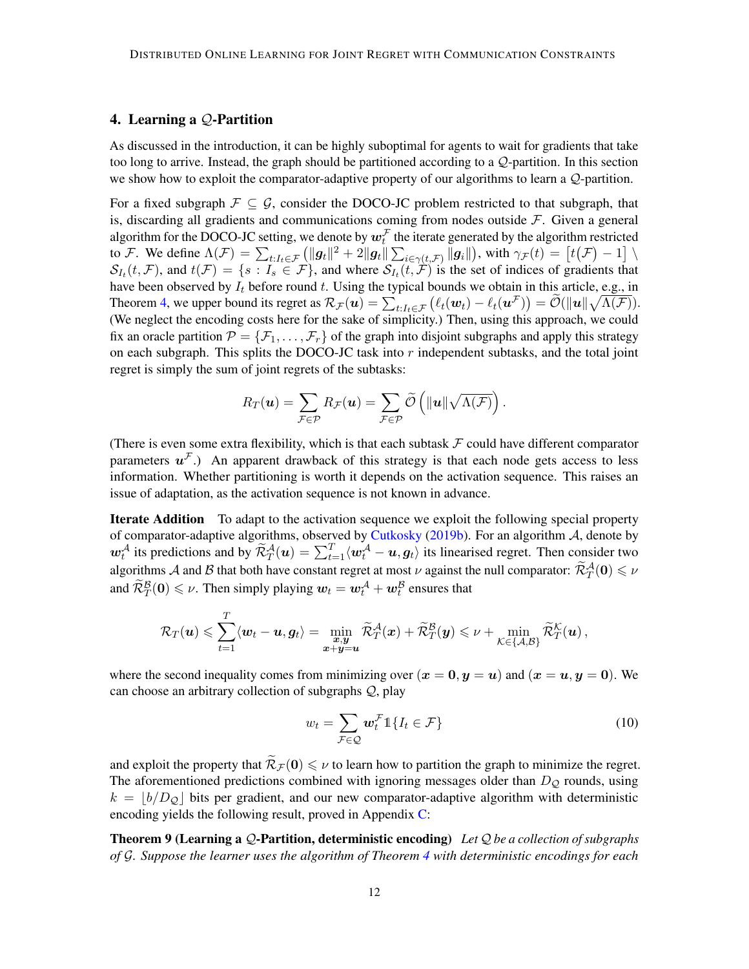# <span id="page-11-1"></span>4. Learning a Q-Partition

As discussed in the introduction, it can be highly suboptimal for agents to wait for gradients that take too long to arrive. Instead, the graph should be partitioned according to a Q-partition. In this section we show how to exploit the comparator-adaptive property of our algorithms to learn a Q-partition.

For a fixed subgraph  $\mathcal{F} \subseteq \mathcal{G}$ , consider the DOCO-JC problem restricted to that subgraph, that is, discarding all gradients and communications coming from nodes outside  $\mathcal F$ . Given a general algorithm for the DOCO-JC setting, we denote by  $\bm{w}^\mathcal{F}_t$  the iterate generated by the algorithm restricted to F. We define  $\Lambda(\mathcal{F}) = \sum_{t:I_t \in \mathcal{F}} \left( ||\boldsymbol{g}_t||^2 + 2||\boldsymbol{g}_t|| \sum_{i \in \gamma(t,\mathcal{F})} ||\boldsymbol{g}_i|| \right)$ , with  $\gamma_{\mathcal{F}}(t) = \left[t(\mathcal{F}) - 1\right] \setminus$  $S_{I_t}(t, \mathcal{F})$ , and  $t(\mathcal{F}) = \{s : I_s \in \mathcal{F}\}\$ , and where  $S_{I_t}(t, \mathcal{F})$  is the set of indices of gradients that have been observed by  $I_t$  before round t. Using the typical bounds we obtain in this article, e.g., in Theorem [4,](#page-9-0) we upper bound its regret as  $\mathcal{R}_{\mathcal{F}}(\boldsymbol{u}) = \sum_{t:I_t \in \mathcal{F}} (\ell_t(\boldsymbol{w}_t) - \ell_t(\boldsymbol{u}^{\mathcal{F}})) = \widetilde{\mathcal{O}}(\|\boldsymbol{u}\| \sqrt{\Lambda(\mathcal{F})}).$ (We neglect the encoding costs here for the sake of simplicity.) Then, using this approach, we could fix an oracle partition  $\mathcal{P} = \{\mathcal{F}_1, \ldots, \mathcal{F}_r\}$  of the graph into disjoint subgraphs and apply this strategy on each subgraph. This splits the DOCO-JC task into  $r$  independent subtasks, and the total joint regret is simply the sum of joint regrets of the subtasks:

$$
R_T(\boldsymbol{u}) = \sum_{\mathcal{F}\in\mathcal{P}} R_{\mathcal{F}}(\boldsymbol{u}) = \sum_{\mathcal{F}\in\mathcal{P}} \widetilde{\mathcal{O}}\left(\|\boldsymbol{u}\| \sqrt{\Lambda(\mathcal{F})}\right).
$$

(There is even some extra flexibility, which is that each subtask  $F$  could have different comparator parameters  $u^{\mathcal{F}}$ .) An apparent drawback of this strategy is that each node gets access to less information. Whether partitioning is worth it depends on the activation sequence. This raises an issue of adaptation, as the activation sequence is not known in advance.

**Iterate Addition** To adapt to the activation sequence we exploit the following special property of comparator-adaptive algorithms, observed by [Cutkosky](#page-13-0) [\(2019b\)](#page-13-0). For an algorithm  $A$ , denote by  $w_t^{\mathcal{A}}$  its predictions and by  $\widetilde{\mathcal{R}}_T^{\mathcal{A}}(u) = \sum_{t=1}^T \langle w_t^{\mathcal{A}} - u, g_t \rangle$  its linearised regret. Then consider two algorithms A and B that both have constant regret at most  $\nu$  against the null comparator:  $\widetilde{\mathcal{R}}_T^{\mathcal{A}}(0) \leq \nu$ and  $\widetilde{\mathcal{R}}^{\mathcal{B}}_T(\mathbf{0}) \leq \nu$ . Then simply playing  $\boldsymbol{w}_t = \boldsymbol{w}_t^{\mathcal{A}} + \boldsymbol{w}_t^{\mathcal{B}}$  ensures that

$$
\mathcal{R}_T(\boldsymbol{u}) \leqslant \sum_{t=1}^T \langle \boldsymbol{w}_t - \boldsymbol{u}, \boldsymbol{g}_t \rangle = \min_{\substack{\boldsymbol{x}, \boldsymbol{y} \\ \boldsymbol{x} + \boldsymbol{y} = \boldsymbol{u}}} \widetilde{\mathcal{R}}_T^{\mathcal{A}}(\boldsymbol{x}) + \widetilde{\mathcal{R}}_T^{\mathcal{B}}(\boldsymbol{y}) \leqslant \nu + \min_{\mathcal{K} \in \{\mathcal{A}, \mathcal{B}\}} \widetilde{\mathcal{R}}_T^{\mathcal{K}}(\boldsymbol{u}),
$$

where the second inequality comes from minimizing over  $(x = 0, y = u)$  and  $(x = u, y = 0)$ . We can choose an arbitrary collection of subgraphs  $Q$ , play

<span id="page-11-2"></span><span id="page-11-0"></span>
$$
w_t = \sum_{\mathcal{F} \in \mathcal{Q}} \boldsymbol{w}_t^{\mathcal{F}} \mathbb{1}\{I_t \in \mathcal{F}\}\tag{10}
$$

and exploit the property that  $\widetilde{\mathcal{R}}_{\mathcal{F}}(0) \leq \nu$  to learn how to partition the graph to minimize the regret. The aforementioned predictions combined with ignoring messages older than  $D_{\mathcal{Q}}$  rounds, using  $k = |b/D<sub>Q</sub>|$  bits per gradient, and our new comparator-adaptive algorithm with deterministic encoding yields the following result, proved in Appendix [C:](#page-31-0)

Theorem 9 (Learning a Q-Partition, deterministic encoding) *Let* Q *be a collection of subgraphs of* G*. Suppose the learner uses the algorithm of Theorem [4](#page-9-0) with deterministic encodings for each*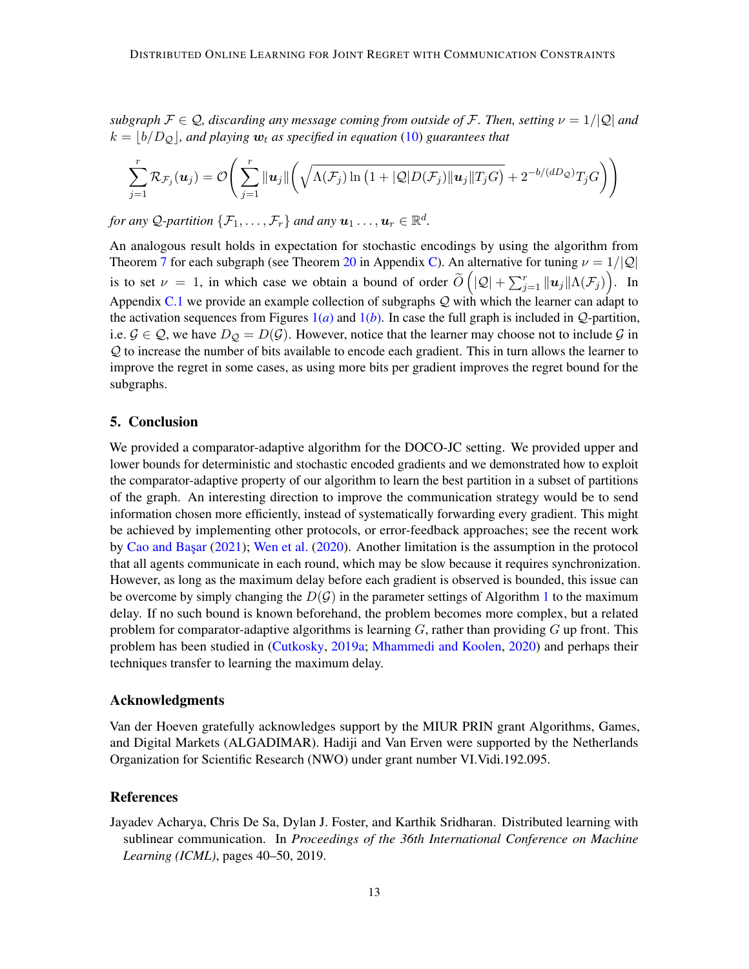*subgraph*  $\mathcal{F} \in \mathcal{Q}$ , discarding any message coming from outside of  $\mathcal{F}$ . Then, setting  $\nu = 1/|\mathcal{Q}|$  and  $k = |b/D<sub>Q</sub>|$ , and playing  $w_t$  as specified in equation [\(10\)](#page-11-2) guarantees that

$$
\sum_{j=1}^r \mathcal{R}_{\mathcal{F}_j}(\boldsymbol{u}_j) = \mathcal{O}\Bigg(\sum_{j=1}^r \|\boldsymbol{u}_j\| \bigg(\sqrt{\Lambda(\mathcal{F}_j)\ln\big(1+|\mathcal{Q}|D(\mathcal{F}_j)\|\boldsymbol{u}_j\|T_jG}\bigg) + 2^{-b/(dD_{\mathcal{Q}})}T_jG\Bigg)\Bigg)
$$

for any Q-partition  $\{\mathcal{F}_1,\ldots,\mathcal{F}_r\}$  and any  $\boldsymbol{u}_1\ldots,\boldsymbol{u}_r\in\mathbb{R}^d$ .

An analogous result holds in expectation for stochastic encodings by using the algorithm from Theorem [7](#page-10-1) for each subgraph (see Theorem [20](#page-32-0) in Appendix [C\)](#page-31-0). An alternative for tuning  $\nu = 1/|Q|$ is to set  $\nu = 1$ , in which case we obtain a bound of order  $\tilde{O}(|Q| + \sum_{j=1}^r ||u_j|| \Lambda(\mathcal{F}_j))$ . In Appendix [C.1](#page-32-2) we provide an example collection of subgraphs  $Q$  with which the learner can adapt to the activation sequences from Figures  $1(a)$  $1(a)$  and  $1(b)$ . In case the full graph is included in  $Q$ -partition, i.e.  $\mathcal{G} \in \mathcal{Q}$ , we have  $D_{\mathcal{Q}} = D(\mathcal{G})$ . However, notice that the learner may choose not to include  $\mathcal{G}$  in Q to increase the number of bits available to encode each gradient. This in turn allows the learner to improve the regret in some cases, as using more bits per gradient improves the regret bound for the subgraphs.

#### 5. Conclusion

We provided a comparator-adaptive algorithm for the DOCO-JC setting. We provided upper and lower bounds for deterministic and stochastic encoded gradients and we demonstrated how to exploit the comparator-adaptive property of our algorithm to learn the best partition in a subset of partitions of the graph. An interesting direction to improve the communication strategy would be to send information chosen more efficiently, instead of systematically forwarding every gradient. This might be achieved by implementing other protocols, or error-feedback approaches; see the recent work by Cao and Basar [\(2021\)](#page-13-4); [Wen et al.](#page-17-5) [\(2020\)](#page-17-5). Another limitation is the assumption in the protocol that all agents communicate in each round, which may be slow because it requires synchronization. However, as long as the maximum delay before each gradient is observed is bounded, this issue can be overcome by simply changing the  $D(G)$  in the parameter settings of Algorithm [1](#page-7-0) to the maximum delay. If no such bound is known beforehand, the problem becomes more complex, but a related problem for comparator-adaptive algorithms is learning  $G$ , rather than providing  $G$  up front. This problem has been studied in [\(Cutkosky,](#page-13-11) [2019a;](#page-13-11) [Mhammedi and Koolen,](#page-16-11) [2020\)](#page-16-11) and perhaps their techniques transfer to learning the maximum delay.

#### Acknowledgments

Van der Hoeven gratefully acknowledges support by the MIUR PRIN grant Algorithms, Games, and Digital Markets (ALGADIMAR). Hadiji and Van Erven were supported by the Netherlands Organization for Scientific Research (NWO) under grant number VI.Vidi.192.095.

### References

<span id="page-12-0"></span>Jayadev Acharya, Chris De Sa, Dylan J. Foster, and Karthik Sridharan. Distributed learning with sublinear communication. In *Proceedings of the 36th International Conference on Machine Learning (ICML)*, pages 40–50, 2019.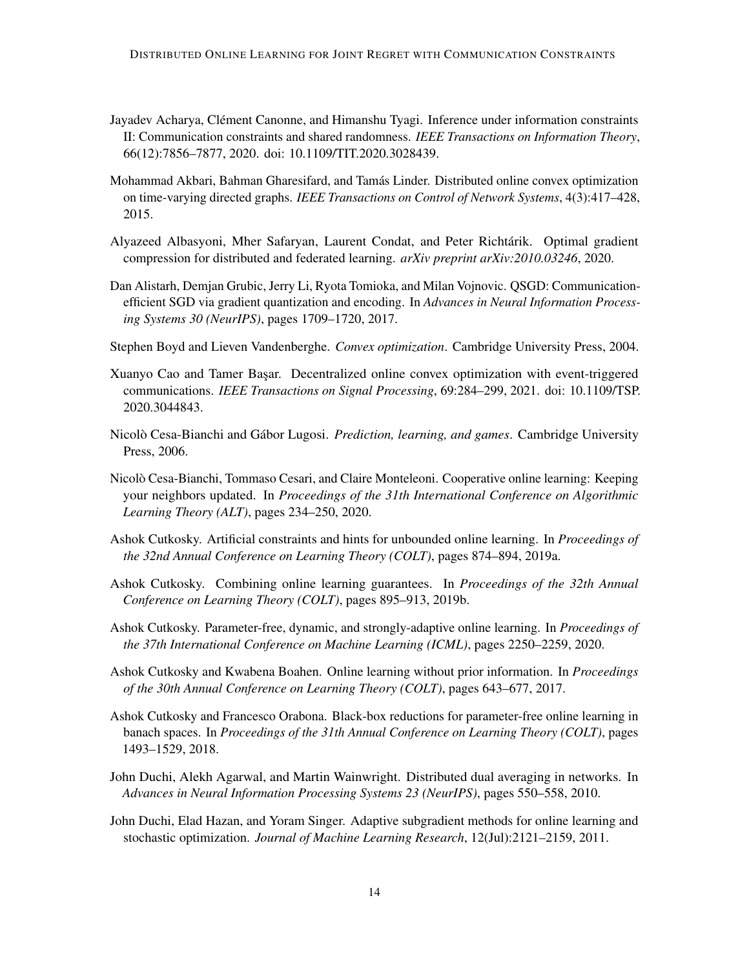- <span id="page-13-8"></span>Jayadev Acharya, Clément Canonne, and Himanshu Tyagi. Inference under information constraints II: Communication constraints and shared randomness. *IEEE Transactions on Information Theory*, 66(12):7856–7877, 2020. doi: 10.1109/TIT.2020.3028439.
- <span id="page-13-6"></span>Mohammad Akbari, Bahman Gharesifard, and Tamás Linder. Distributed online convex optimization on time-varying directed graphs. *IEEE Transactions on Control of Network Systems*, 4(3):417–428, 2015.
- <span id="page-13-14"></span>Alyazeed Albasyoni, Mher Safaryan, Laurent Condat, and Peter Richtárik. Optimal gradient compression for distributed and federated learning. *arXiv preprint arXiv:2010.03246*, 2020.
- <span id="page-13-7"></span>Dan Alistarh, Demjan Grubic, Jerry Li, Ryota Tomioka, and Milan Vojnovic. QSGD: Communicationefficient SGD via gradient quantization and encoding. In *Advances in Neural Information Processing Systems 30 (NeurIPS)*, pages 1709–1720, 2017.
- <span id="page-13-12"></span>Stephen Boyd and Lieven Vandenberghe. *Convex optimization*. Cambridge University Press, 2004.
- <span id="page-13-4"></span>Xuanyo Cao and Tamer Basar. Decentralized online convex optimization with event-triggered communications. *IEEE Transactions on Signal Processing*, 69:284–299, 2021. doi: 10.1109/TSP. 2020.3044843.
- <span id="page-13-1"></span>Nicolò Cesa-Bianchi and Gábor Lugosi. *Prediction, learning, and games*. Cambridge University Press, 2006.
- <span id="page-13-3"></span>Nicolò Cesa-Bianchi, Tommaso Cesari, and Claire Monteleoni. Cooperative online learning: Keeping your neighbors updated. In *Proceedings of the 31th International Conference on Algorithmic Learning Theory (ALT)*, pages 234–250, 2020.
- <span id="page-13-11"></span>Ashok Cutkosky. Artificial constraints and hints for unbounded online learning. In *Proceedings of the 32nd Annual Conference on Learning Theory (COLT)*, pages 874–894, 2019a.
- <span id="page-13-0"></span>Ashok Cutkosky. Combining online learning guarantees. In *Proceedings of the 32th Annual Conference on Learning Theory (COLT)*, pages 895–913, 2019b.
- <span id="page-13-10"></span>Ashok Cutkosky. Parameter-free, dynamic, and strongly-adaptive online learning. In *Proceedings of the 37th International Conference on Machine Learning (ICML)*, pages 2250–2259, 2020.
- <span id="page-13-9"></span>Ashok Cutkosky and Kwabena Boahen. Online learning without prior information. In *Proceedings of the 30th Annual Conference on Learning Theory (COLT)*, pages 643–677, 2017.
- <span id="page-13-2"></span>Ashok Cutkosky and Francesco Orabona. Black-box reductions for parameter-free online learning in banach spaces. In *Proceedings of the 31th Annual Conference on Learning Theory (COLT)*, pages 1493–1529, 2018.
- <span id="page-13-5"></span>John Duchi, Alekh Agarwal, and Martin Wainwright. Distributed dual averaging in networks. In *Advances in Neural Information Processing Systems 23 (NeurIPS)*, pages 550–558, 2010.
- <span id="page-13-13"></span>John Duchi, Elad Hazan, and Yoram Singer. Adaptive subgradient methods for online learning and stochastic optimization. *Journal of Machine Learning Research*, 12(Jul):2121–2159, 2011.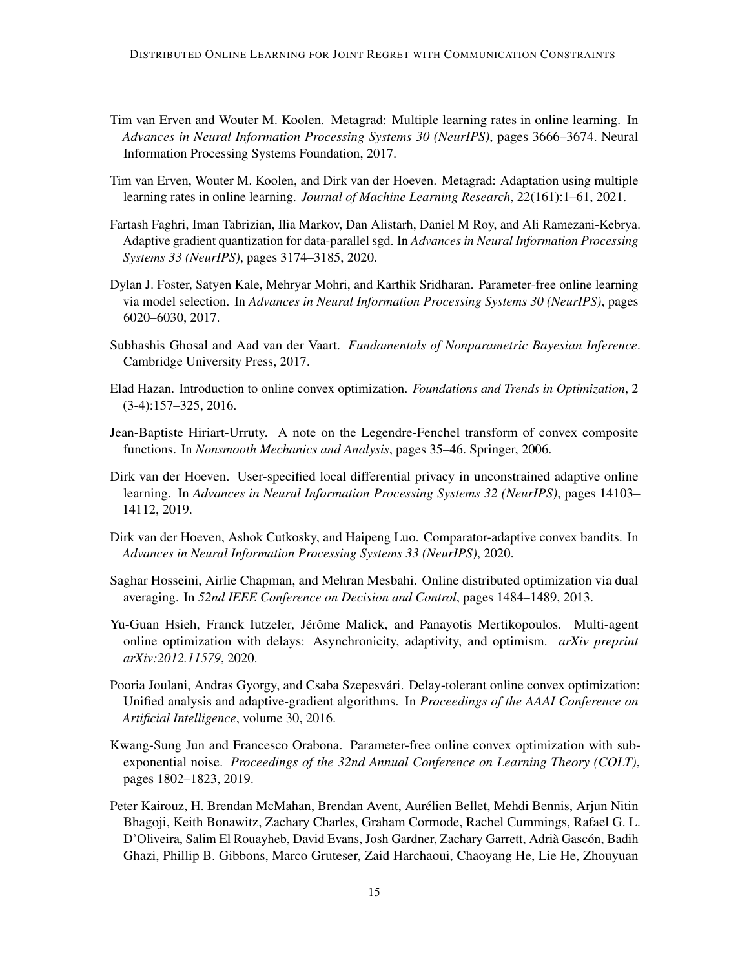- <span id="page-14-5"></span>Tim van Erven and Wouter M. Koolen. Metagrad: Multiple learning rates in online learning. In *Advances in Neural Information Processing Systems 30 (NeurIPS)*, pages 3666–3674. Neural Information Processing Systems Foundation, 2017.
- <span id="page-14-6"></span>Tim van Erven, Wouter M. Koolen, and Dirk van der Hoeven. Metagrad: Adaptation using multiple learning rates in online learning. *Journal of Machine Learning Research*, 22(161):1–61, 2021.
- <span id="page-14-12"></span>Fartash Faghri, Iman Tabrizian, Ilia Markov, Dan Alistarh, Daniel M Roy, and Ali Ramezani-Kebrya. Adaptive gradient quantization for data-parallel sgd. In *Advances in Neural Information Processing Systems 33 (NeurIPS)*, pages 3174–3185, 2020.
- <span id="page-14-7"></span>Dylan J. Foster, Satyen Kale, Mehryar Mohri, and Karthik Sridharan. Parameter-free online learning via model selection. In *Advances in Neural Information Processing Systems 30 (NeurIPS)*, pages 6020–6030, 2017.
- <span id="page-14-13"></span>Subhashis Ghosal and Aad van der Vaart. *Fundamentals of Nonparametric Bayesian Inference*. Cambridge University Press, 2017.
- <span id="page-14-2"></span>Elad Hazan. Introduction to online convex optimization. *Foundations and Trends in Optimization*, 2 (3-4):157–325, 2016.
- <span id="page-14-11"></span>Jean-Baptiste Hiriart-Urruty. A note on the Legendre-Fenchel transform of convex composite functions. In *Nonsmooth Mechanics and Analysis*, pages 35–46. Springer, 2006.
- <span id="page-14-9"></span>Dirk van der Hoeven. User-specified local differential privacy in unconstrained adaptive online learning. In *Advances in Neural Information Processing Systems 32 (NeurIPS)*, pages 14103– 14112, 2019.
- <span id="page-14-10"></span>Dirk van der Hoeven, Ashok Cutkosky, and Haipeng Luo. Comparator-adaptive convex bandits. In *Advances in Neural Information Processing Systems 33 (NeurIPS)*, 2020.
- <span id="page-14-1"></span>Saghar Hosseini, Airlie Chapman, and Mehran Mesbahi. Online distributed optimization via dual averaging. In *52nd IEEE Conference on Decision and Control*, pages 1484–1489, 2013.
- <span id="page-14-4"></span>Yu-Guan Hsieh, Franck Iutzeler, Jérôme Malick, and Panayotis Mertikopoulos. Multi-agent online optimization with delays: Asynchronicity, adaptivity, and optimism. *arXiv preprint arXiv:2012.11579*, 2020.
- <span id="page-14-3"></span>Pooria Joulani, Andras Gyorgy, and Csaba Szepesvári. Delay-tolerant online convex optimization: Unified analysis and adaptive-gradient algorithms. In *Proceedings of the AAAI Conference on Artificial Intelligence*, volume 30, 2016.
- <span id="page-14-8"></span>Kwang-Sung Jun and Francesco Orabona. Parameter-free online convex optimization with subexponential noise. *Proceedings of the 32nd Annual Conference on Learning Theory (COLT)*, pages 1802–1823, 2019.
- <span id="page-14-0"></span>Peter Kairouz, H. Brendan McMahan, Brendan Avent, Aurélien Bellet, Mehdi Bennis, Arjun Nitin Bhagoji, Keith Bonawitz, Zachary Charles, Graham Cormode, Rachel Cummings, Rafael G. L. D'Oliveira, Salim El Rouayheb, David Evans, Josh Gardner, Zachary Garrett, Adrià Gascón, Badih Ghazi, Phillip B. Gibbons, Marco Gruteser, Zaid Harchaoui, Chaoyang He, Lie He, Zhouyuan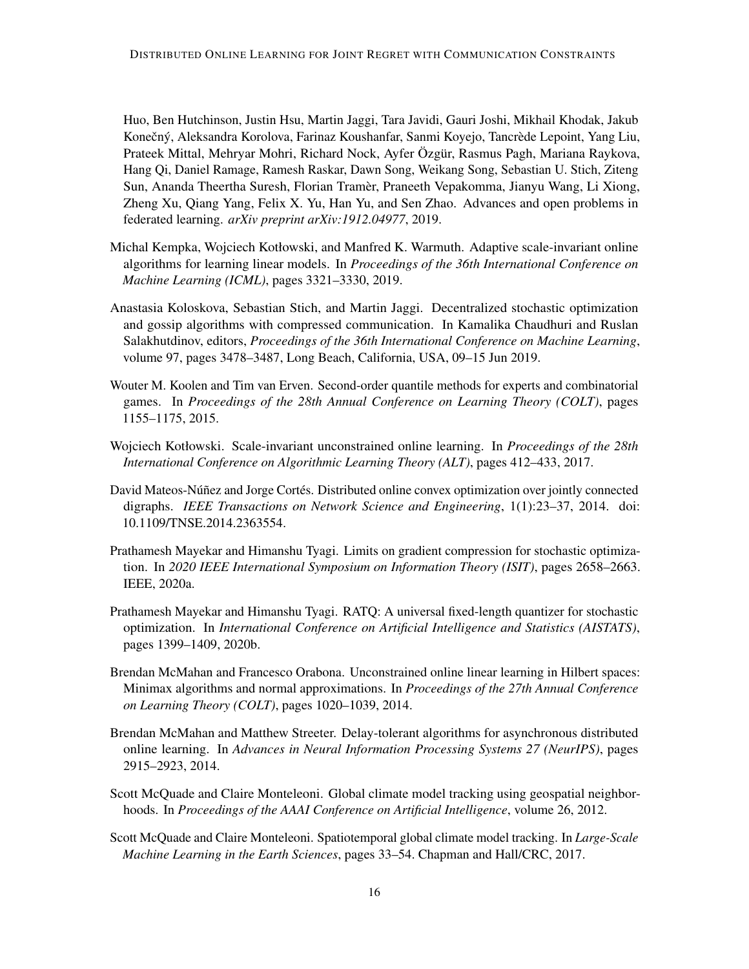Huo, Ben Hutchinson, Justin Hsu, Martin Jaggi, Tara Javidi, Gauri Joshi, Mikhail Khodak, Jakub Konečný, Aleksandra Korolova, Farinaz Koushanfar, Sanmi Koyejo, Tancrède Lepoint, Yang Liu, Prateek Mittal, Mehryar Mohri, Richard Nock, Ayfer Özgür, Rasmus Pagh, Mariana Raykova, Hang Qi, Daniel Ramage, Ramesh Raskar, Dawn Song, Weikang Song, Sebastian U. Stich, Ziteng Sun, Ananda Theertha Suresh, Florian Tramèr, Praneeth Vepakomma, Jianyu Wang, Li Xiong, Zheng Xu, Qiang Yang, Felix X. Yu, Han Yu, and Sen Zhao. Advances and open problems in federated learning. *arXiv preprint arXiv:1912.04977*, 2019.

- <span id="page-15-9"></span>Michal Kempka, Wojciech Kotłowski, and Manfred K. Warmuth. Adaptive scale-invariant online algorithms for learning linear models. In *Proceedings of the 36th International Conference on Machine Learning (ICML)*, pages 3321–3330, 2019.
- <span id="page-15-5"></span>Anastasia Koloskova, Sebastian Stich, and Martin Jaggi. Decentralized stochastic optimization and gossip algorithms with compressed communication. In Kamalika Chaudhuri and Ruslan Salakhutdinov, editors, *Proceedings of the 36th International Conference on Machine Learning*, volume 97, pages 3478–3487, Long Beach, California, USA, 09–15 Jun 2019.
- <span id="page-15-3"></span>Wouter M. Koolen and Tim van Erven. Second-order quantile methods for experts and combinatorial games. In *Proceedings of the 28th Annual Conference on Learning Theory (COLT)*, pages 1155–1175, 2015.
- <span id="page-15-8"></span>Wojciech Kotłowski. Scale-invariant unconstrained online learning. In *Proceedings of the 28th International Conference on Algorithmic Learning Theory (ALT)*, pages 412–433, 2017.
- <span id="page-15-4"></span>David Mateos-Núñez and Jorge Cortés. Distributed online convex optimization over jointly connected digraphs. *IEEE Transactions on Network Science and Engineering*, 1(1):23–37, 2014. doi: 10.1109/TNSE.2014.2363554.
- <span id="page-15-10"></span>Prathamesh Mayekar and Himanshu Tyagi. Limits on gradient compression for stochastic optimization. In *2020 IEEE International Symposium on Information Theory (ISIT)*, pages 2658–2663. IEEE, 2020a.
- <span id="page-15-6"></span>Prathamesh Mayekar and Himanshu Tyagi. RATQ: A universal fixed-length quantizer for stochastic optimization. In *International Conference on Artificial Intelligence and Statistics (AISTATS)*, pages 1399–1409, 2020b.
- <span id="page-15-7"></span>Brendan McMahan and Francesco Orabona. Unconstrained online linear learning in Hilbert spaces: Minimax algorithms and normal approximations. In *Proceedings of the 27th Annual Conference on Learning Theory (COLT)*, pages 1020–1039, 2014.
- <span id="page-15-2"></span>Brendan McMahan and Matthew Streeter. Delay-tolerant algorithms for asynchronous distributed online learning. In *Advances in Neural Information Processing Systems 27 (NeurIPS)*, pages 2915–2923, 2014.
- <span id="page-15-0"></span>Scott McQuade and Claire Monteleoni. Global climate model tracking using geospatial neighborhoods. In *Proceedings of the AAAI Conference on Artificial Intelligence*, volume 26, 2012.
- <span id="page-15-1"></span>Scott McQuade and Claire Monteleoni. Spatiotemporal global climate model tracking. In *Large-Scale Machine Learning in the Earth Sciences*, pages 33–54. Chapman and Hall/CRC, 2017.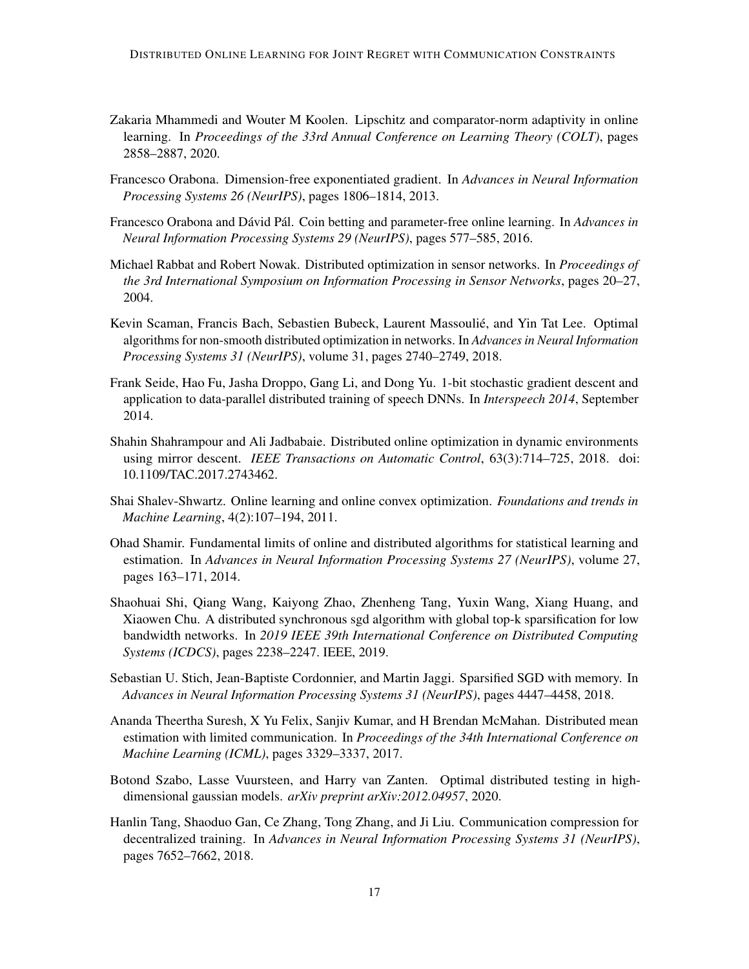- <span id="page-16-11"></span>Zakaria Mhammedi and Wouter M Koolen. Lipschitz and comparator-norm adaptivity in online learning. In *Proceedings of the 33rd Annual Conference on Learning Theory (COLT)*, pages 2858–2887, 2020.
- <span id="page-16-2"></span>Francesco Orabona. Dimension-free exponentiated gradient. In *Advances in Neural Information Processing Systems 26 (NeurIPS)*, pages 1806–1814, 2013.
- <span id="page-16-10"></span>Francesco Orabona and Dávid Pál. Coin betting and parameter-free online learning. In *Advances in Neural Information Processing Systems 29 (NeurIPS)*, pages 577–585, 2016.
- <span id="page-16-0"></span>Michael Rabbat and Robert Nowak. Distributed optimization in sensor networks. In *Proceedings of the 3rd International Symposium on Information Processing in Sensor Networks*, pages 20–27, 2004.
- <span id="page-16-3"></span>Kevin Scaman, Francis Bach, Sebastien Bubeck, Laurent Massoulié, and Yin Tat Lee. Optimal algorithms for non-smooth distributed optimization in networks. In *Advances in Neural Information Processing Systems 31 (NeurIPS)*, volume 31, pages 2740–2749, 2018.
- <span id="page-16-5"></span>Frank Seide, Hao Fu, Jasha Droppo, Gang Li, and Dong Yu. 1-bit stochastic gradient descent and application to data-parallel distributed training of speech DNNs. In *Interspeech 2014*, September 2014.
- <span id="page-16-4"></span>Shahin Shahrampour and Ali Jadbabaie. Distributed online optimization in dynamic environments using mirror descent. *IEEE Transactions on Automatic Control*, 63(3):714–725, 2018. doi: 10.1109/TAC.2017.2743462.
- <span id="page-16-1"></span>Shai Shalev-Shwartz. Online learning and online convex optimization. *Foundations and trends in Machine Learning*, 4(2):107–194, 2011.
- <span id="page-16-9"></span>Ohad Shamir. Fundamental limits of online and distributed algorithms for statistical learning and estimation. In *Advances in Neural Information Processing Systems 27 (NeurIPS)*, volume 27, pages 163–171, 2014.
- <span id="page-16-13"></span>Shaohuai Shi, Qiang Wang, Kaiyong Zhao, Zhenheng Tang, Yuxin Wang, Xiang Huang, and Xiaowen Chu. A distributed synchronous sgd algorithm with global top-k sparsification for low bandwidth networks. In *2019 IEEE 39th International Conference on Distributed Computing Systems (ICDCS)*, pages 2238–2247. IEEE, 2019.
- <span id="page-16-12"></span>Sebastian U. Stich, Jean-Baptiste Cordonnier, and Martin Jaggi. Sparsified SGD with memory. In *Advances in Neural Information Processing Systems 31 (NeurIPS)*, pages 4447–4458, 2018.
- <span id="page-16-6"></span>Ananda Theertha Suresh, X Yu Felix, Sanjiv Kumar, and H Brendan McMahan. Distributed mean estimation with limited communication. In *Proceedings of the 34th International Conference on Machine Learning (ICML)*, pages 3329–3337, 2017.
- <span id="page-16-7"></span>Botond Szabo, Lasse Vuursteen, and Harry van Zanten. Optimal distributed testing in highdimensional gaussian models. *arXiv preprint arXiv:2012.04957*, 2020.
- <span id="page-16-8"></span>Hanlin Tang, Shaoduo Gan, Ce Zhang, Tong Zhang, and Ji Liu. Communication compression for decentralized training. In *Advances in Neural Information Processing Systems 31 (NeurIPS)*, pages 7652–7662, 2018.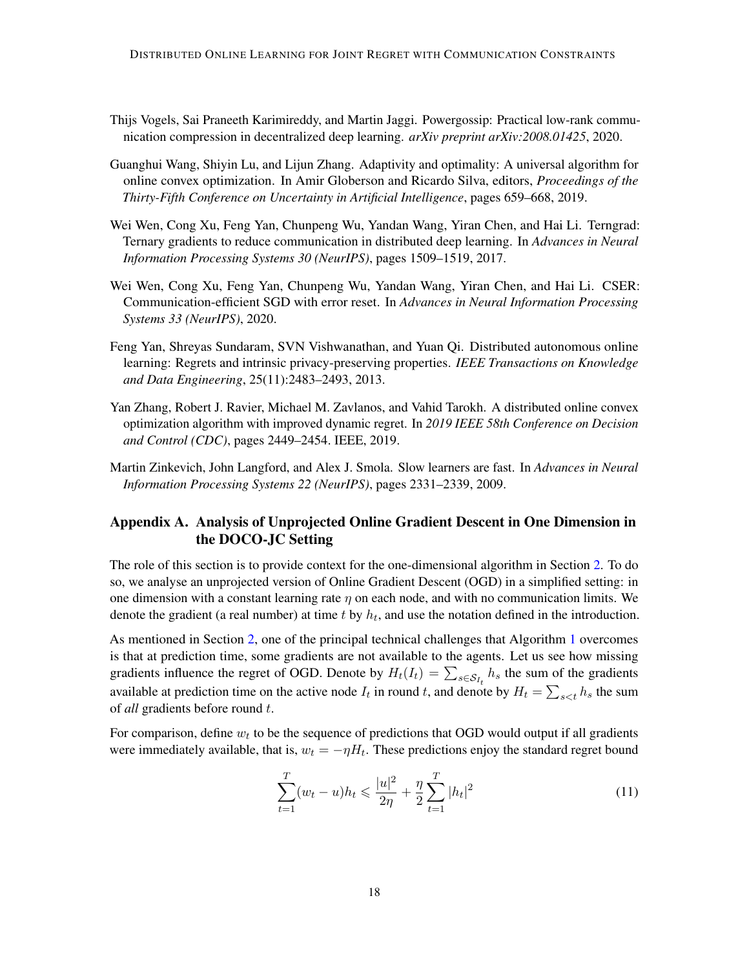- <span id="page-17-3"></span>Thijs Vogels, Sai Praneeth Karimireddy, and Martin Jaggi. Powergossip: Practical low-rank communication compression in decentralized deep learning. *arXiv preprint arXiv:2008.01425*, 2020.
- <span id="page-17-1"></span>Guanghui Wang, Shiyin Lu, and Lijun Zhang. Adaptivity and optimality: A universal algorithm for online convex optimization. In Amir Globerson and Ricardo Silva, editors, *Proceedings of the Thirty-Fifth Conference on Uncertainty in Artificial Intelligence*, pages 659–668, 2019.
- <span id="page-17-7"></span>Wei Wen, Cong Xu, Feng Yan, Chunpeng Wu, Yandan Wang, Yiran Chen, and Hai Li. Terngrad: Ternary gradients to reduce communication in distributed deep learning. In *Advances in Neural Information Processing Systems 30 (NeurIPS)*, pages 1509–1519, 2017.
- <span id="page-17-5"></span>Wei Wen, Cong Xu, Feng Yan, Chunpeng Wu, Yandan Wang, Yiran Chen, and Hai Li. CSER: Communication-efficient SGD with error reset. In *Advances in Neural Information Processing Systems 33 (NeurIPS)*, 2020.
- <span id="page-17-0"></span>Feng Yan, Shreyas Sundaram, SVN Vishwanathan, and Yuan Qi. Distributed autonomous online learning: Regrets and intrinsic privacy-preserving properties. *IEEE Transactions on Knowledge and Data Engineering*, 25(11):2483–2493, 2013.
- <span id="page-17-2"></span>Yan Zhang, Robert J. Ravier, Michael M. Zavlanos, and Vahid Tarokh. A distributed online convex optimization algorithm with improved dynamic regret. In *2019 IEEE 58th Conference on Decision and Control (CDC)*, pages 2449–2454. IEEE, 2019.
- <span id="page-17-8"></span>Martin Zinkevich, John Langford, and Alex J. Smola. Slow learners are fast. In *Advances in Neural Information Processing Systems 22 (NeurIPS)*, pages 2331–2339, 2009.

# <span id="page-17-4"></span>Appendix A. Analysis of Unprojected Online Gradient Descent in One Dimension in the DOCO-JC Setting

The role of this section is to provide context for the one-dimensional algorithm in Section [2.](#page-5-0) To do so, we analyse an unprojected version of Online Gradient Descent (OGD) in a simplified setting: in one dimension with a constant learning rate  $\eta$  on each node, and with no communication limits. We denote the gradient (a real number) at time  $t$  by  $h_t$ , and use the notation defined in the introduction.

As mentioned in Section [2,](#page-5-0) one of the principal technical challenges that Algorithm [1](#page-7-0) overcomes is that at prediction time, some gradients are not available to the agents. Let us see how missing gradients influence the regret of OGD. Denote by  $H_t(I_t) = \sum_{s \in S_{I_t}} h_s$  the sum of the gradients available at prediction time on the active node  $I_t$  in round t, and denote by  $H_t = \sum_{s \le t} h_s$  the sum of *all* gradients before round t.

For comparison, define  $w_t$  to be the sequence of predictions that OGD would output if all gradients were immediately available, that is,  $w_t = -\eta H_t$ . These predictions enjoy the standard regret bound

<span id="page-17-6"></span>
$$
\sum_{t=1}^{T} (w_t - u)h_t \le \frac{|u|^2}{2\eta} + \frac{\eta}{2} \sum_{t=1}^{T} |h_t|^2
$$
\n(11)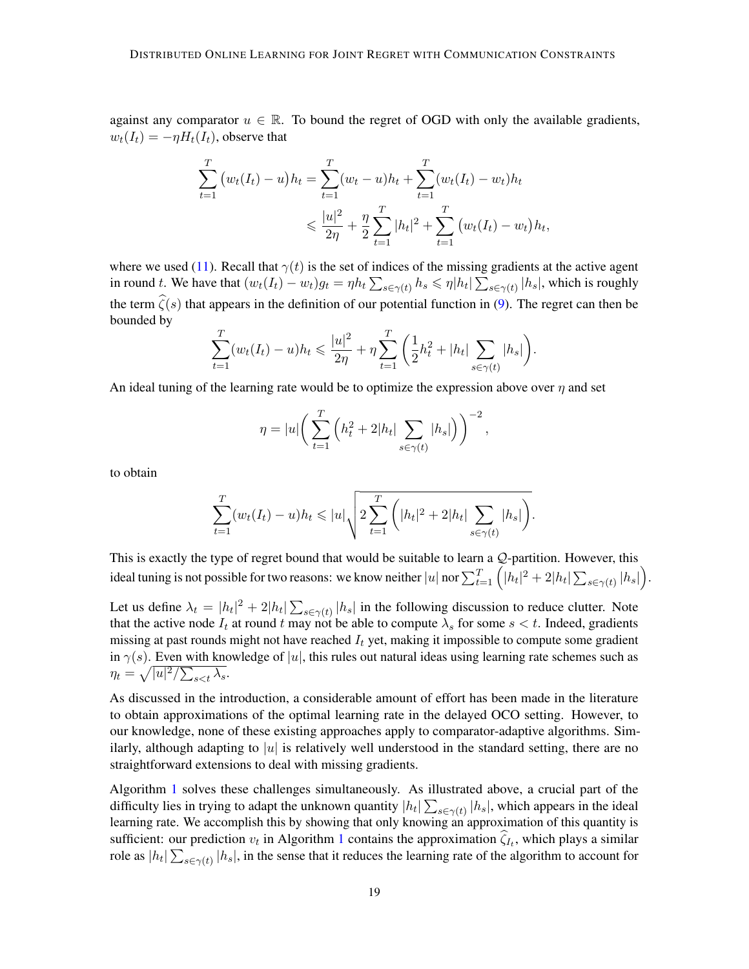against any comparator  $u \in \mathbb{R}$ . To bound the regret of OGD with only the available gradients,  $w_t(I_t) = -\eta H_t(I_t)$ , observe that

$$
\sum_{t=1}^{T} (w_t(I_t) - u)h_t = \sum_{t=1}^{T} (w_t - u)h_t + \sum_{t=1}^{T} (w_t(I_t) - w_t)h_t
$$
  
\$\leq \frac{|u|^2}{2\eta} + \frac{\eta}{2} \sum\_{t=1}^{T} |h\_t|^2 + \sum\_{t=1}^{T} (w\_t(I\_t) - w\_t)h\_t,

where we used [\(11\)](#page-17-6). Recall that  $\gamma(t)$  is the set of indices of the missing gradients at the active agent in round t. We have that  $(w_t(I_t) - w_t)g_t = \eta h_t \sum_{s \in \gamma(t)} h_s \leq \eta |h_t| \sum_{s \in \gamma(t)} |h_s|$ , which is roughly the term  $\hat{\zeta}(s)$  that appears in the definition of our potential function in [\(9\)](#page-8-3). The regret can then be bounded by

$$
\sum_{t=1}^{T} (w_t(I_t) - u)h_t \leq \frac{|u|^2}{2\eta} + \eta \sum_{t=1}^{T} \left(\frac{1}{2}h_t^2 + |h_t| \sum_{s \in \gamma(t)} |h_s|\right).
$$

An ideal tuning of the learning rate would be to optimize the expression above over  $\eta$  and set

$$
\eta = |u| \bigg( \sum_{t=1}^{T} \left( h_t^2 + 2|h_t| \sum_{s \in \gamma(t)} |h_s| \right) \bigg)^{-2},
$$

to obtain

$$
\sum_{t=1}^{T} (w_t(I_t) - u)h_t \leq |u| \sqrt{2 \sum_{t=1}^{T} (|h_t|^2 + 2|h_t| \sum_{s \in \gamma(t)} |h_s|)}.
$$

This is exactly the type of regret bound that would be suitable to learn a Q-partition. However, this ideal tuning is not possible for two reasons: we know neither  $|u|$  nor  $\sum_{t=1}^T \Big(|h_t|^2+2|h_t|\sum_{s\in\gamma(t)}|h_s|\Big).$ 

Let us define  $\lambda_t = |h_t|^2 + 2|h_t| \sum_{s \in \gamma(t)} |h_s|$  in the following discussion to reduce clutter. Note that the active node  $I_t$  at round t may not be able to compute  $\lambda_s$  for some  $s < t$ . Indeed, gradients missing at past rounds might not have reached  $I_t$  yet, making it impossible to compute some gradient in  $\gamma(s)$ . Even with knowledge of |u|, this rules out natural ideas using learning rate schemes such as  $\eta_t = \sqrt{|u|^2/\sum_{s < t} \lambda_s}.$ 

As discussed in the introduction, a considerable amount of effort has been made in the literature to obtain approximations of the optimal learning rate in the delayed OCO setting. However, to our knowledge, none of these existing approaches apply to comparator-adaptive algorithms. Similarly, although adapting to |u| is relatively well understood in the standard setting, there are no straightforward extensions to deal with missing gradients.

Algorithm [1](#page-7-0) solves these challenges simultaneously. As illustrated above, a crucial part of the difficulty lies in trying to adapt the unknown quantity  $|h_t| \sum_{s \in \gamma(t)} |h_s|$ , which appears in the ideal learning rate. We accomplish this by showing that only knowing an approximation of this quantity is sufficient: our prediction  $v_t$  in Algorithm [1](#page-7-0) contains the approximation  $\zeta_{I_t}$ , which plays a similar role as  $|h_t| \sum_{s \in \gamma(t)} |h_s|$ , in the sense that it reduces the learning rate of the algorithm to account for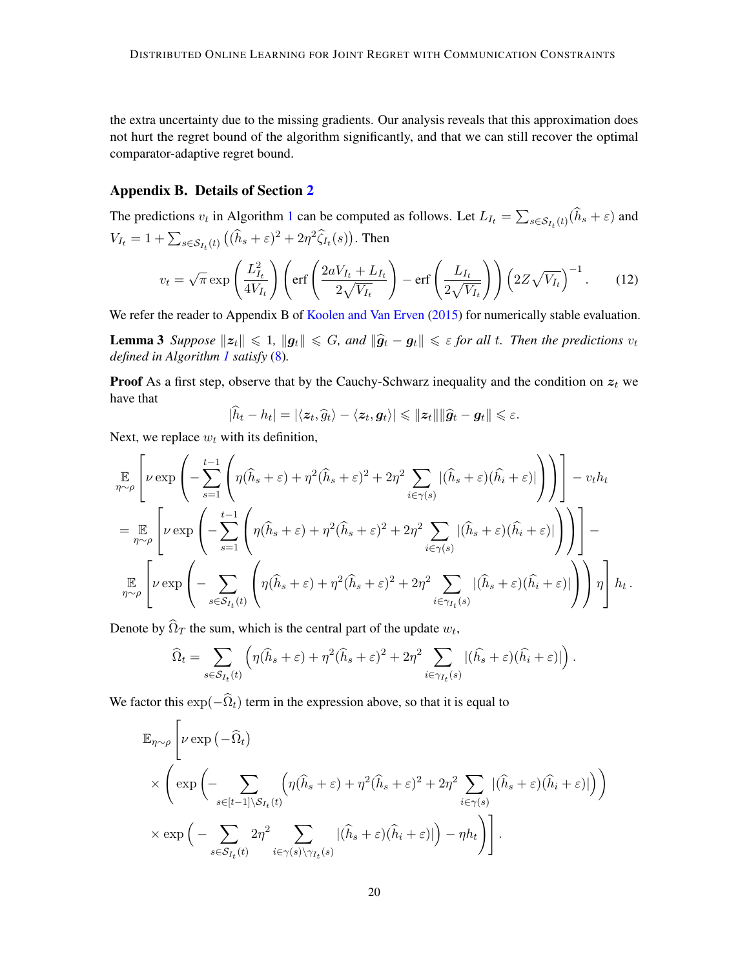the extra uncertainty due to the missing gradients. Our analysis reveals that this approximation does not hurt the regret bound of the algorithm significantly, and that we can still recover the optimal comparator-adaptive regret bound.

### <span id="page-19-1"></span>Appendix B. Details of Section [2](#page-5-0)

The predictions  $v_t$  in Algorithm [1](#page-7-0) can be computed as follows. Let  $L_{I_t} = \sum_{s \in S_{I_t}(t)} (h_s + \varepsilon)$  and  $V_{I_t} = 1 + \sum_{s \in \mathcal{S}_{I_t}(t)} ((\hat{h}_s + \varepsilon)^2 + 2\eta^2 \hat{\zeta}_{I_t}(s)).$  Then  $\mathbb{R}^n$  . The set of  $\mathbb{R}^n$ 

$$
v_t = \sqrt{\pi} \exp\left(\frac{L_{I_t}^2}{4V_{I_t}}\right) \left(\text{erf}\left(\frac{2aV_{I_t} + L_{I_t}}{2\sqrt{V_{I_t}}}\right) - \text{erf}\left(\frac{L_{I_t}}{2\sqrt{V_{I_t}}}\right)\right) \left(2Z\sqrt{V_{I_t}}\right)^{-1}.
$$
 (12)

We refer the reader to Appendix B of [Koolen and Van Erven](#page-15-3) [\(2015\)](#page-15-3) for numerically stable evaluation.

**Lemma 3** Suppose  $||z_t|| \le 1$ ,  $||g_t|| \le G$ , and  $||\hat{g}_t - g_t|| \le \varepsilon$  for all t. Then the predictions  $v_t$ *defined in Algorithm [1](#page-7-0) satisfy* [\(8\)](#page-8-2)*.*

**Proof** As a first step, observe that by the Cauchy-Schwarz inequality and the condition on  $z_t$  we have that

<span id="page-19-0"></span>
$$
|\widehat{h}_t-h_t|=|\langle \boldsymbol{z}_t,\widehat{g}_t\rangle-\langle \boldsymbol{z}_t,\boldsymbol{g}_t\rangle|\leqslant \|\boldsymbol{z}_t\|\|\widehat{\boldsymbol{g}}_t-\boldsymbol{g}_t\|\leqslant \varepsilon.
$$

Next, we replace  $w_t$  with its definition,

$$
\mathbb{E}_{\eta \sim \rho} \left[ \nu \exp \left( -\sum_{s=1}^{t-1} \left( \eta(\widehat{h}_s + \varepsilon) + \eta^2 (\widehat{h}_s + \varepsilon)^2 + 2\eta^2 \sum_{i \in \gamma(s)} |(\widehat{h}_s + \varepsilon)(\widehat{h}_i + \varepsilon)| \right) \right) \right] - v_t h_t
$$
\n
$$
= \mathbb{E}_{\eta \sim \rho} \left[ \nu \exp \left( -\sum_{s=1}^{t-1} \left( \eta(\widehat{h}_s + \varepsilon) + \eta^2 (\widehat{h}_s + \varepsilon)^2 + 2\eta^2 \sum_{i \in \gamma(s)} |(\widehat{h}_s + \varepsilon)(\widehat{h}_i + \varepsilon)| \right) \right) \right] -
$$
\n
$$
\mathbb{E}_{\eta \sim \rho} \left[ \nu \exp \left( -\sum_{s \in \mathcal{S}_{I_t}(t)} \left( \eta(\widehat{h}_s + \varepsilon) + \eta^2 (\widehat{h}_s + \varepsilon)^2 + 2\eta^2 \sum_{i \in \gamma_{I_t}(s)} |(\widehat{h}_s + \varepsilon)(\widehat{h}_i + \varepsilon)| \right) \right) \eta \right] h_t.
$$

Denote by  $\Omega_T$  the sum, which is the central part of the update  $w_t$ ,

$$
\widehat{\Omega}_t = \sum_{s \in \mathcal{S}_{I_t}(t)} \left( \eta(\widehat{h}_s + \varepsilon) + \eta^2(\widehat{h}_s + \varepsilon)^2 + 2\eta^2 \sum_{i \in \gamma_{I_t}(s)} |(\widehat{h}_s + \varepsilon)(\widehat{h}_i + \varepsilon)| \right).
$$

We factor this  $\exp(-\hat{\Omega}_t)$  term in the expression above, so that it is equal to

$$
\mathbb{E}_{\eta \sim \rho} \left[ \nu \exp \left( - \widehat{\Omega}_t \right) \times \left( \exp \left( - \widehat{\Omega}_t \right) \times \left( \exp \left( - \sum_{s \in [t-1] \backslash S_{I_t}(t)} \left( \eta(\widehat{h}_s + \varepsilon) + \eta^2(\widehat{h}_s + \varepsilon)^2 + 2\eta^2 \sum_{i \in \gamma(s)} |(\widehat{h}_s + \varepsilon)(\widehat{h}_i + \varepsilon)| \right) \right) \right) \right] \times \exp \left( - \sum_{s \in S_{I_t}(t)} 2\eta^2 \sum_{i \in \gamma(s) \backslash \gamma_{I_t}(s)} |(\widehat{h}_s + \varepsilon)(\widehat{h}_i + \varepsilon)| \right) - \eta h_t \right) \right].
$$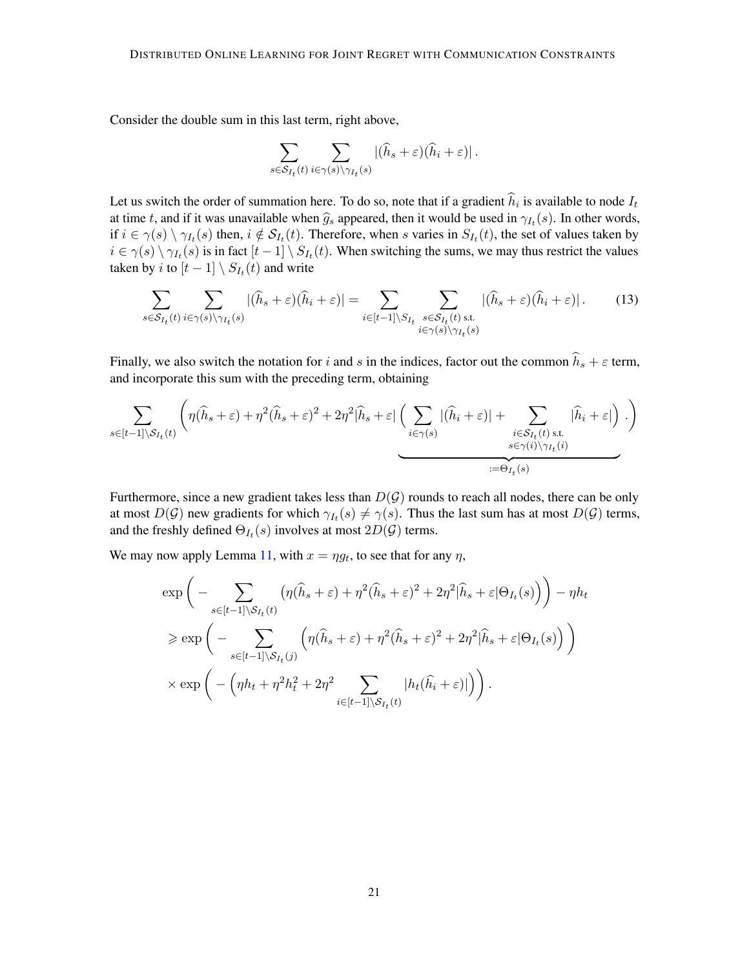Consider the double sum in this last term, right above,

$$
\sum_{s\in\mathcal{S}_{I_t}(t)}\sum_{i\in\gamma(s)\backslash\gamma_{I_t}(s)} \left|(\widehat{h}_s+\varepsilon)(\widehat{h}_i+\varepsilon)\right|.
$$

Let us switch the order of summation here. To do so, note that if a gradient  $h_i$  is available to node  $I_t$ at time t, and if it was unavailable when  $\hat{g}_s$  appeared, then it would be used in  $\gamma_{I_t}(s)$ . In other words, if  $i \in \gamma(s) \setminus \gamma_{I_t}(s)$  then,  $i \notin \mathcal{S}_{I_t}(t)$ . Therefore, when s varies in  $S_{I_t}(t)$ , the set of values taken by  $i \in \gamma(s) \setminus \gamma_{I_t}(s)$  is in fact  $[t-1] \setminus S_{I_t}(t)$ . When switching the sums, we may thus restrict the values taken by *i* to  $[t-1] \setminus S_{I_t}(t)$  and write

$$
\sum_{s \in S_{I_t}(t)} \sum_{i \in \gamma(s) \setminus \gamma_{I_t}(s)} |(\widehat{h}_s + \varepsilon)(\widehat{h}_i + \varepsilon)| = \sum_{i \in [t-1] \setminus S_{I_t}} \sum_{\substack{s \in S_{I_t}(t) \text{ s.t.} \ i \in \gamma(s) \setminus \gamma_{I_t}(s)}} |(\widehat{h}_s + \varepsilon)(\widehat{h}_i + \varepsilon)|. \tag{13}
$$

Finally, we also switch the notation for i and s in the indices, factor out the common  $\hat{h}_s + \varepsilon$  term, and incorporate this sum with the preceding term, obtaining

$$
\sum_{s\in[t-1]\setminus S_{I_t}(t)} \left( \eta(\widehat{h}_s+\varepsilon) + \eta^2(\widehat{h}_s+\varepsilon)^2 + 2\eta^2|\widehat{h}_s+\varepsilon| \underbrace{\left(\sum_{i\in\gamma(s)} |(\widehat{h}_i+\varepsilon)| + \sum_{\substack{i\in S_{I_t}(t) \text{ s.t. } \\ s\in\gamma(i)\setminus\gamma_{I_t}(i)}} |\widehat{h}_i+\varepsilon|\right)}_{:=\Theta_{I_t}(s)} \cdot \right)
$$

Furthermore, since a new gradient takes less than  $D(G)$  rounds to reach all nodes, there can be only at most  $D(G)$  new gradients for which  $\gamma_{I_t}(s) \neq \gamma(s)$ . Thus the last sum has at most  $D(G)$  terms, and the freshly defined  $\Theta_{I_t}(s)$  involves at most  $2D(\mathcal{G})$  terms.

We may now apply Lemma [11,](#page-23-0) with  $x = \eta g_t$ , to see that for any  $\eta$ ,

$$
\exp\left(-\sum_{s\in[t-1]\setminus S_{I_t}(t)}(\eta(\widehat{h}_s+\varepsilon)+\eta^2(\widehat{h}_s+\varepsilon)^2+2\eta^2|\widehat{h}_s+\varepsilon|\Theta_{I_t}(s))\right)-\eta h_t
$$
  

$$
\geq \exp\left(-\sum_{s\in[t-1]\setminus S_{I_t}(j)}\left(\eta(\widehat{h}_s+\varepsilon)+\eta^2(\widehat{h}_s+\varepsilon)^2+2\eta^2|\widehat{h}_s+\varepsilon|\Theta_{I_t}(s)\right)\right)
$$
  

$$
\times \exp\left(-\left(\eta h_t+\eta^2h_t^2+2\eta^2\sum_{i\in[t-1]\setminus S_{I_t}(t)}|h_t(\widehat{h}_i+\varepsilon)|\right)\right).
$$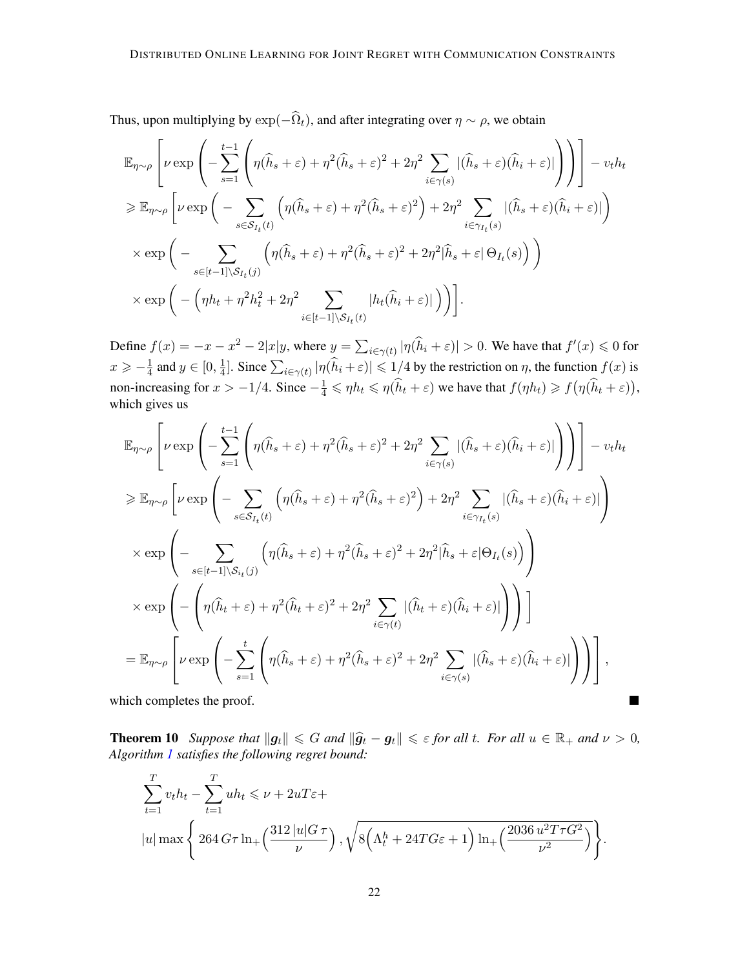Thus, upon multiplying by  $\exp(-\hat{\Omega}_t)$ , and after integrating over  $\eta \sim \rho$ , we obtain

$$
\mathbb{E}_{\eta \sim \rho} \left[ \nu \exp \left( - \sum_{s=1}^{t-1} \left( \eta(\hat{h}_s + \varepsilon) + \eta^2(\hat{h}_s + \varepsilon)^2 + 2\eta^2 \sum_{i \in \gamma(s)} |(\hat{h}_s + \varepsilon)(\hat{h}_i + \varepsilon)| \right) \right) \right] - v_t h_t
$$
\n
$$
\geq \mathbb{E}_{\eta \sim \rho} \left[ \nu \exp \left( - \sum_{s \in S_{I_t}(t)} \left( \eta(\hat{h}_s + \varepsilon) + \eta^2(\hat{h}_s + \varepsilon)^2 \right) + 2\eta^2 \sum_{i \in \gamma(I_t(s)} |(\hat{h}_s + \varepsilon)(\hat{h}_i + \varepsilon)| \right) \right]
$$
\n
$$
\times \exp \left( - \sum_{s \in [t-1] \setminus S_{I_t}(j)} \left( \eta(\hat{h}_s + \varepsilon) + \eta^2(\hat{h}_s + \varepsilon)^2 + 2\eta^2 |\hat{h}_s + \varepsilon| \Theta_{I_t}(s) \right) \right)
$$
\n
$$
\times \exp \left( - \left( \eta h_t + \eta^2 h_t^2 + 2\eta^2 \sum_{i \in [t-1] \setminus S_{I_t}(t)} |h_t(\hat{h}_i + \varepsilon)| \right) \right).
$$

Define  $f(x) = -x - x^2 - 2|x|y$ , where  $y = \sum_{i \in \gamma(t)} |\eta(\widehat{h}_i + \varepsilon)| > 0$ . We have that  $f'(x) \leq 0$  for  $x \geqslant -\frac{1}{4}$  $\frac{1}{4}$  and  $y \in [0, \frac{1}{4}]$  $\frac{1}{4}$ . Since  $\sum_{i \in \gamma(t)} |\eta(\widehat{h}_i + \varepsilon)| \leq 1/4$  by the restriction on  $\eta$ , the function  $f(x)$  is non-increasing for  $x > -1/4$ . Since  $-\frac{1}{4} \le \eta h_t \le \eta(\hat{h}_t + \varepsilon)$  we have that  $f(\eta h_t) \ge f(\eta(\hat{h}_t + \varepsilon))$ , which gives us

$$
\mathbb{E}_{\eta \sim \rho} \left[ \nu \exp \left( - \sum_{s=1}^{t-1} \left( \eta(\hat{h}_s + \varepsilon) + \eta^2(\hat{h}_s + \varepsilon)^2 + 2\eta^2 \sum_{i \in \gamma(s)} |(\hat{h}_s + \varepsilon)(\hat{h}_i + \varepsilon)| \right) \right) \right] - v_t h_t
$$
  
\n
$$
\geq \mathbb{E}_{\eta \sim \rho} \left[ \nu \exp \left( - \sum_{s \in S_{I_t}(t)} \left( \eta(\hat{h}_s + \varepsilon) + \eta^2(\hat{h}_s + \varepsilon)^2 \right) + 2\eta^2 \sum_{i \in \gamma_{I_t}(s)} |(\hat{h}_s + \varepsilon)(\hat{h}_i + \varepsilon)| \right) \right]
$$
  
\n
$$
\times \exp \left( - \sum_{s \in [t-1] \setminus S_{i_t}(j)} \left( \eta(\hat{h}_s + \varepsilon) + \eta^2(\hat{h}_s + \varepsilon)^2 + 2\eta^2 |\hat{h}_s + \varepsilon| \Theta_{I_t}(s) \right) \right)
$$
  
\n
$$
\times \exp \left( - \left( \eta(\hat{h}_t + \varepsilon) + \eta^2(\hat{h}_t + \varepsilon)^2 + 2\eta^2 \sum_{i \in \gamma(t)} |(\hat{h}_t + \varepsilon)(\hat{h}_i + \varepsilon)| \right) \right) \right]
$$
  
\n
$$
= \mathbb{E}_{\eta \sim \rho} \left[ \nu \exp \left( - \sum_{s=1}^t \left( \eta(\hat{h}_s + \varepsilon) + \eta^2(\hat{h}_s + \varepsilon)^2 + 2\eta^2 \sum_{i \in \gamma(s)} |(\hat{h}_s + \varepsilon)(\hat{h}_i + \varepsilon)| \right) \right) \right],
$$

which completes the proof.

<span id="page-21-0"></span>**Theorem 10** *Suppose that*  $||g_t|| \le G$  *and*  $||\hat{g}_t - g_t|| \le E$  *for all*  $t$ *. For all*  $u \in \mathbb{R}_+$  *and*  $v > 0$ *, Algorithm [1](#page-7-0) satisfies the following regret bound:*

 $\blacksquare$ 

$$
\sum_{t=1}^{T} v_t h_t - \sum_{t=1}^{T} u h_t \le \nu + 2uT\varepsilon +
$$
  
\n
$$
|u| \max \left\{ 264 G \tau \ln_+ \left( \frac{312 |u| G \tau}{\nu} \right), \sqrt{8 \left( \Lambda_t^h + 24 T G \varepsilon + 1 \right) \ln_+ \left( \frac{2036 u^2 T \tau G^2}{\nu^2} \right)} \right\}.
$$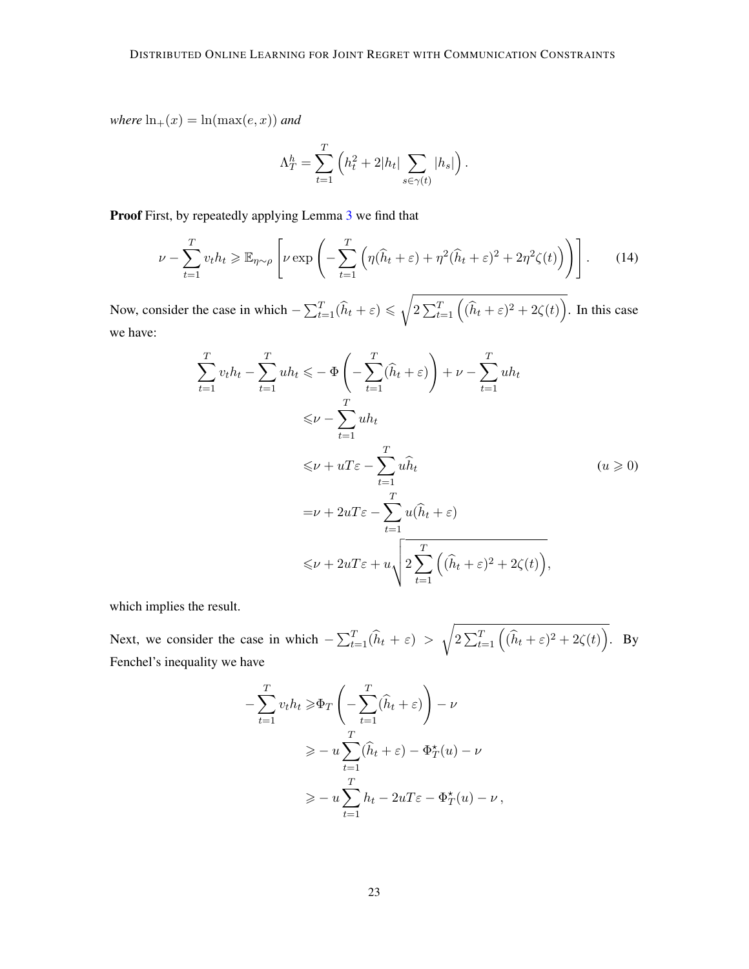*where*  $\ln_+(x) = \ln(\max(e, x))$  *and* 

$$
\Lambda_T^h = \sum_{t=1}^T \left( h_t^2 + 2|h_t| \sum_{s \in \gamma(t)} |h_s| \right).
$$

Proof First, by repeatedly applying Lemma [3](#page-8-0) we find that

$$
\nu - \sum_{t=1}^{T} v_t h_t \ge \mathbb{E}_{\eta \sim \rho} \left[ \nu \exp \left( - \sum_{t=1}^{T} \left( \eta(\widehat{h}_t + \varepsilon) + \eta^2 (\widehat{h}_t + \varepsilon)^2 + 2\eta^2 \zeta(t) \right) \right) \right].
$$
 (14)

Now, consider the case in which  $-\sum_{t=1}^{T}(\widehat{h}_t + \varepsilon) \leq \sqrt{\frac{1}{T}}$  $2\sum_{t=1}^{T} ((\widehat{h}_t + \varepsilon)^2 + 2\zeta(t)).$  In this case we have:

$$
\sum_{t=1}^{T} v_t h_t - \sum_{t=1}^{T} u h_t \leqslant -\Phi\left(-\sum_{t=1}^{T} (\widehat{h}_t + \varepsilon)\right) + \nu - \sum_{t=1}^{T} u h_t
$$
\n
$$
\leqslant \nu - \sum_{t=1}^{T} u h_t
$$
\n
$$
\leqslant \nu + uT\varepsilon - \sum_{t=1}^{T} u \widehat{h}_t \qquad (u \geqslant 0)
$$
\n
$$
= \nu + 2uT\varepsilon - \sum_{t=1}^{T} u(\widehat{h}_t + \varepsilon)
$$
\n
$$
\leqslant \nu + 2uT\varepsilon + u \sqrt{2\sum_{t=1}^{T} \left((\widehat{h}_t + \varepsilon)^2 + 2\zeta(t)\right)},
$$

which implies the result.

Next, we consider the case in which  $-\sum_{t=1}^{T}(\widehat{h}_t + \varepsilon) >$ <sup>1</sup>  $2\sum_{t=1}^{T} ((\widehat{h}_t + \varepsilon)^2 + 2\zeta(t)).$  By Fenchel's inequality we have

$$
-\sum_{t=1}^{T} v_t h_t \ge \Phi_T \left( -\sum_{t=1}^{T} (\widehat{h}_t + \varepsilon) \right) - \nu
$$
  

$$
\ge -u \sum_{t=1}^{T} (\widehat{h}_t + \varepsilon) - \Phi_T^{\star}(u) - \nu
$$
  

$$
\ge -u \sum_{t=1}^{T} h_t - 2uT\varepsilon - \Phi_T^{\star}(u) - \nu,
$$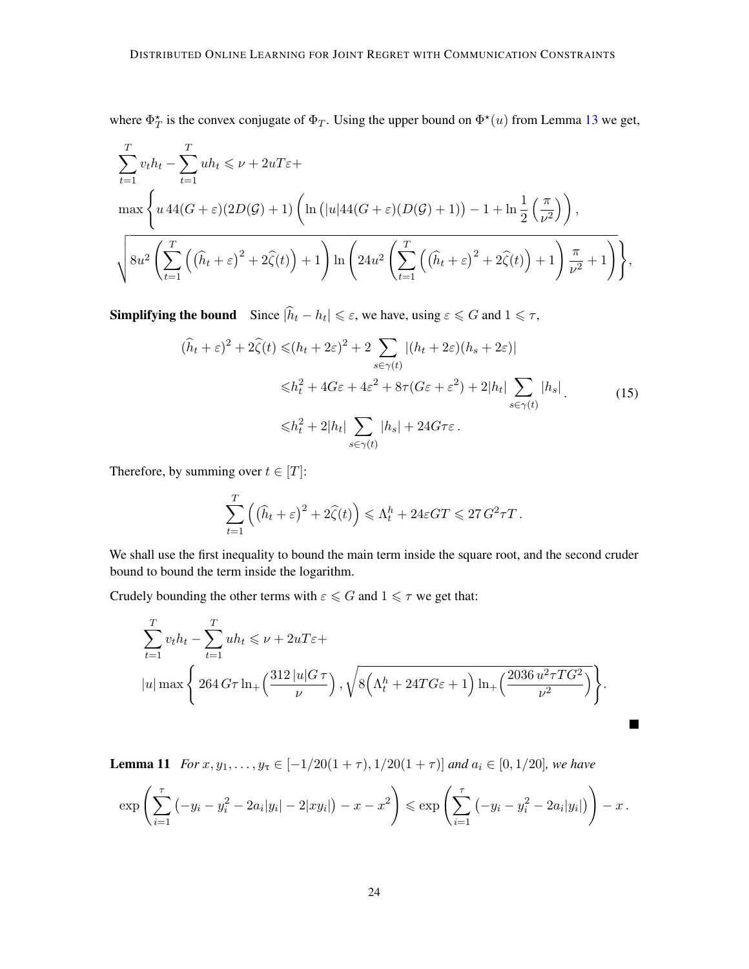where  $\Phi_T^*$  is the convex conjugate of  $\Phi_T$ . Using the upper bound on  $\Phi^*(u)$  from Lemma [13](#page-25-0) we get,

$$
\sum_{t=1}^{T} v_t h_t - \sum_{t=1}^{T} uh_t \le \nu + 2uT\varepsilon +
$$
\n
$$
\max \left\{ u \, 44(G + \varepsilon)(2D(\mathcal{G}) + 1) \left( \ln\left(|u|44(G + \varepsilon)(D(\mathcal{G}) + 1)\right) - 1 + \ln\frac{1}{2}\left(\frac{\pi}{\nu^2}\right) \right), \right\}
$$
\n
$$
\sqrt{8u^2 \left( \sum_{t=1}^{T} \left( \left(\widehat{h}_t + \varepsilon\right)^2 + 2\widehat{\zeta}(t) \right) + 1 \right) \ln\left(24u^2 \left( \sum_{t=1}^{T} \left( \left(\widehat{h}_t + \varepsilon\right)^2 + 2\widehat{\zeta}(t) \right) + 1 \right) \frac{\pi}{\nu^2} + 1 \right)} \right\}},
$$

**Simplifying the bound** Since  $|\hat{h}_t - h_t| \le \varepsilon$ , we have, using  $\varepsilon \le G$  and  $1 \le \tau$ ,

$$
(\hat{h}_t + \varepsilon)^2 + 2\hat{\zeta}(t) \le (h_t + 2\varepsilon)^2 + 2 \sum_{s \in \gamma(t)} |(h_t + 2\varepsilon)(h_s + 2\varepsilon)|
$$
  

$$
\le h_t^2 + 4G\varepsilon + 4\varepsilon^2 + 8\tau(G\varepsilon + \varepsilon^2) + 2|h_t| \sum_{s \in \gamma(t)} |h_s|.
$$
 (15)  

$$
\le h_t^2 + 2|h_t| \sum_{s \in \gamma(t)} |h_s| + 24G\tau\varepsilon.
$$

Therefore, by summing over  $t \in [T]$ :

$$
\sum_{t=1}^T \left( (\widehat{h}_t + \varepsilon)^2 + 2\widehat{\zeta}(t) \right) \leq \Lambda_t^h + 24\varepsilon GT \leq 27 G^2 \tau T.
$$

We shall use the first inequality to bound the main term inside the square root, and the second cruder bound to bound the term inside the logarithm.

Crudely bounding the other terms with  $\varepsilon \le G$  and  $1 \le \tau$  we get that:

$$
\sum_{t=1}^{T} v_t h_t - \sum_{t=1}^{T} u h_t \leq \nu + 2uT\varepsilon +
$$
  
\n
$$
|u| \max \left\{ 264 G\tau \ln_+\left(\frac{312 |u| G\tau}{\nu}\right), \sqrt{8\left(\Lambda_t^h + 24TG\varepsilon + 1\right) \ln_+\left(\frac{2036 u^2 \tau T G^2}{\nu^2}\right)} \right\}.
$$

 $\blacksquare$ 

<span id="page-23-0"></span>**Lemma 11** *For*  $x, y_1, \ldots, y_{\tau} \in [-1/20(1+\tau), 1/20(1+\tau)]$  *and*  $a_i \in [0, 1/20]$ *, we have* 

$$
\exp\left(\sum_{i=1}^{\tau} \left(-y_i - y_i^2 - 2a_i|y_i| - 2|xy_i|\right) - x - x^2\right) \leq \exp\left(\sum_{i=1}^{\tau} \left(-y_i - y_i^2 - 2a_i|y_i|\right)\right) - x.
$$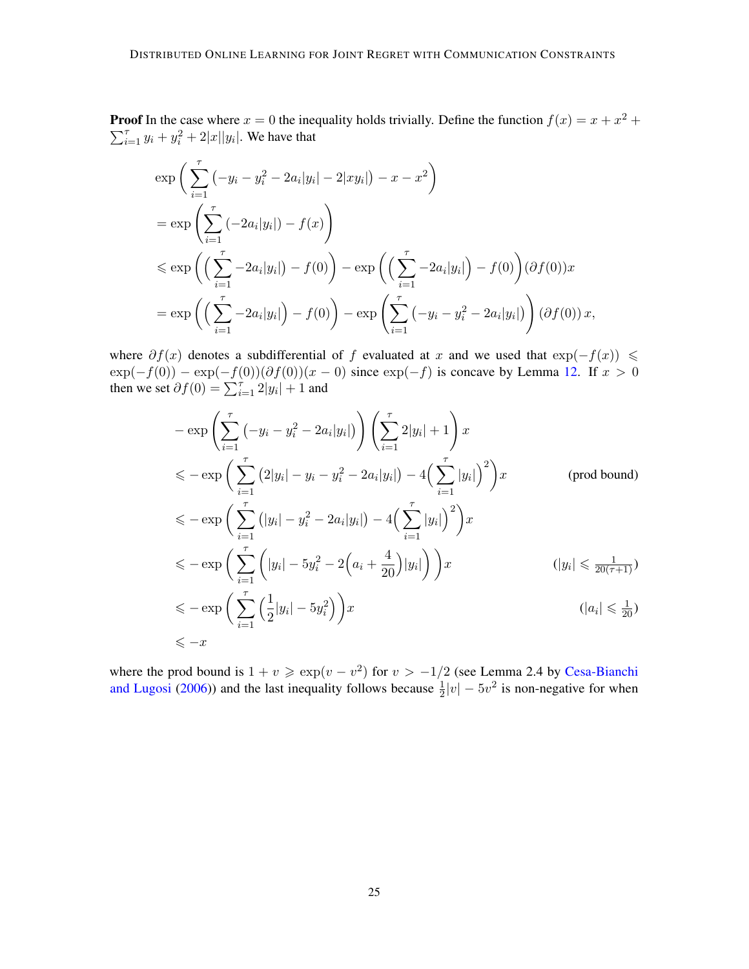**Proof** In the case where  $x = 0$  the inequality holds trivially. Define the function  $f(x) = x + x^2 + y^2$  $\sum_{i=1}^{7} y_i + y_i^2 + 2|x||y_i|$ . We have that

$$
\exp\left(\sum_{i=1}^{\tau}(-y_i - y_i^2 - 2a_i|y_i| - 2|xy_i|) - x - x^2\right)
$$
  
= 
$$
\exp\left(\sum_{i=1}^{\tau}(-2a_i|y_i|) - f(x)\right)
$$
  

$$
\leq \exp\left(\left(\sum_{i=1}^{\tau} -2a_i|y_i|) - f(0)\right) - \exp\left(\left(\sum_{i=1}^{\tau} -2a_i|y_i| - f(0)\right)(\partial f(0))x\right)
$$
  
= 
$$
\exp\left(\left(\sum_{i=1}^{\tau} -2a_i|y_i| - f(0)\right) - \exp\left(\sum_{i=1}^{\tau}(-y_i - y_i^2 - 2a_i|y_i|\right)\right)(\partial f(0))x,
$$

where  $\partial f(x)$  denotes a subdifferential of f evaluated at x and we used that  $\exp(-f(x)) \le$  $\exp(-f(0)) - \exp(-f(0))(\partial f(0))(x-0)$  since  $\exp(-f)$  is concave by Lemma [12.](#page-25-1) If  $x > 0$ then we set  $\partial f(0) = \sum_{i=1}^{7} 2|y_i| + 1$  and

$$
-\exp\left(\sum_{i=1}^{\tau}(-y_i - y_i^2 - 2a_i|y_i|\right)\right)\left(\sum_{i=1}^{\tau}2|y_i| + 1\right)x
$$
  
\n
$$
\leq -\exp\left(\sum_{i=1}^{\tau}(2|y_i| - y_i - y_i^2 - 2a_i|y_i|) - 4\left(\sum_{i=1}^{\tau}|y_i|\right)^2\right)x
$$
 (prod bound)  
\n
$$
\leq -\exp\left(\sum_{i=1}^{\tau}(|y_i| - y_i^2 - 2a_i|y_i|) - 4\left(\sum_{i=1}^{\tau}|y_i|\right)^2\right)x
$$
  
\n
$$
\leq -\exp\left(\sum_{i=1}^{\tau}\left(|y_i| - 5y_i^2 - 2\left(a_i + \frac{4}{20}\right)|y_i|\right)\right)x
$$
  
\n
$$
\leq -\exp\left(\sum_{i=1}^{\tau}\left(\frac{1}{2}|y_i| - 5y_i^2\right)\right)x
$$
  
\n
$$
\leq -x
$$

where the prod bound is  $1 + v \ge \exp(v - v^2)$  for  $v > -1/2$  (see Lemma 2.4 by [Cesa-Bianchi](#page-13-1) [and Lugosi](#page-13-1) [\(2006\)](#page-13-1)) and the last inequality follows because  $\frac{1}{2}|v| - 5v^2$  is non-negative for when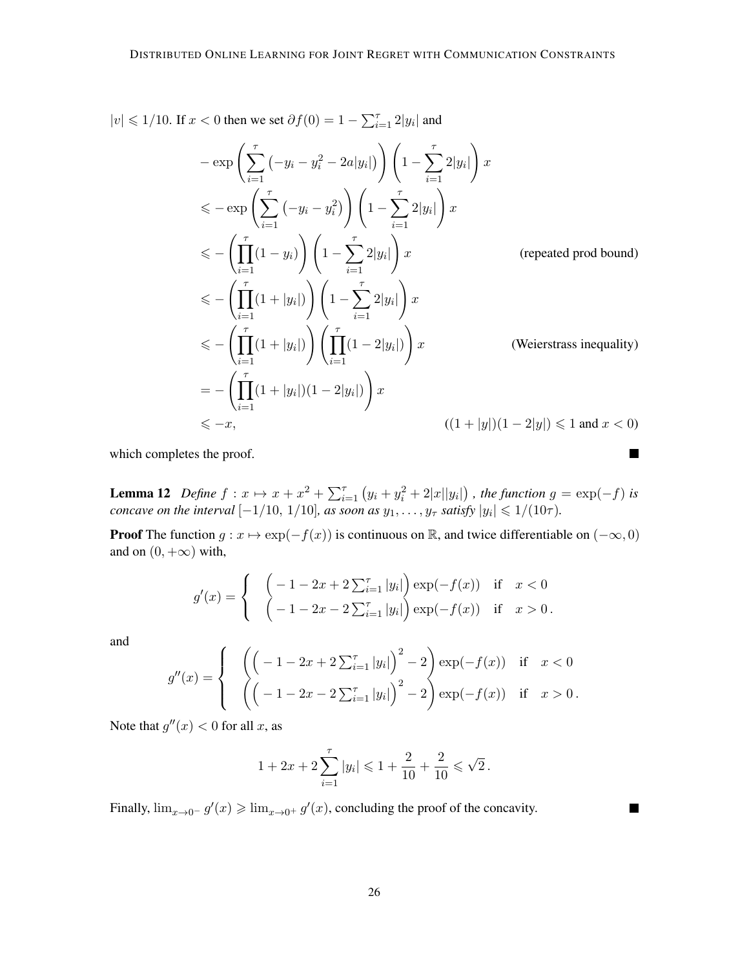$|v|$  ≤ 1/10. If  $x < 0$  then we set  $\partial f(0) = 1 - \sum_{i=1}^{\tau} 2|y_i|$  and

$$
-\exp\left(\sum_{i=1}^{\tau}(-y_i - y_i^2 - 2a|y_i|\right)\right)\left(1 - \sum_{i=1}^{\tau}2|y_i|\right)x
$$
  
\n
$$
\leq -\exp\left(\sum_{i=1}^{\tau}(-y_i - y_i^2)\right)\left(1 - \sum_{i=1}^{\tau}2|y_i|\right)x
$$
  
\n
$$
\leq -\left(\prod_{i=1}^{\tau}(1 - y_i)\right)\left(1 - \sum_{i=1}^{\tau}2|y_i|\right)x
$$
 (repeated prod bound)  
\n
$$
\leq -\left(\prod_{i=1}^{\tau}(1 + |y_i|)\right)\left(1 - \sum_{i=1}^{\tau}2|y_i|\right)x
$$
  
\n
$$
\leq -\left(\prod_{i=1}^{\tau}(1 + |y_i|)\right)\left(\prod_{i=1}^{\tau}(1 - 2|y_i|\right)x
$$
 (Weierstrass inequality)  
\n
$$
= -\left(\prod_{i=1}^{\tau}(1 + |y_i|)(1 - 2|y_i|\right)x
$$
  
\n
$$
\leq -x,
$$
 
$$
((1 + |y|)(1 - 2|y|) \leq 1 \text{ and } x < 0)
$$

 $\blacksquare$ 

**In the Second** 

which completes the proof.

<span id="page-25-1"></span>**Lemma 12** Define  $f: x \mapsto x + x^2 + \sum_{i=1}^{\tau} (y_i + y_i^2 + 2|x||y_i|)$ , the function  $g = \exp(-f)$  is *concave on the interval*  $[-1/10, 1/10]$ *, as soon as*  $y_1, \ldots, y_\tau$  *satisfy*  $|y_i| \leq 1/(10\tau)$ *.* 

**Proof** The function  $g : x \mapsto \exp(-f(x))$  is continuous on R, and twice differentiable on  $(-\infty, 0)$ and on  $(0, +\infty)$  with,

$$
g'(x) = \begin{cases} \left(-1 - 2x + 2\sum_{i=1}^{T} |y_i|\right) \exp(-f(x)) & \text{if } x < 0\\ \left(-1 - 2x - 2\sum_{i=1}^{T} |y_i|\right) \exp(-f(x)) & \text{if } x > 0. \end{cases}
$$

and

$$
g''(x) = \begin{cases} \left( \left( -1 - 2x + 2 \sum_{i=1}^{T} |y_i| \right)^2 - 2 \right) \exp(-f(x)) & \text{if } x < 0 \\ \left( \left( -1 - 2x - 2 \sum_{i=1}^{T} |y_i| \right)^2 - 2 \right) \exp(-f(x)) & \text{if } x > 0. \end{cases}
$$

Note that  $g''(x) < 0$  for all x, as

$$
1 + 2x + 2\sum_{i=1}^{\tau} |y_i| \leq 1 + \frac{2}{10} + \frac{2}{10} \leq \sqrt{2}.
$$

<span id="page-25-0"></span>Finally,  $\lim_{x\to 0^-} g'(x) \geq \lim_{x\to 0^+} g'(x)$ , concluding the proof of the concavity.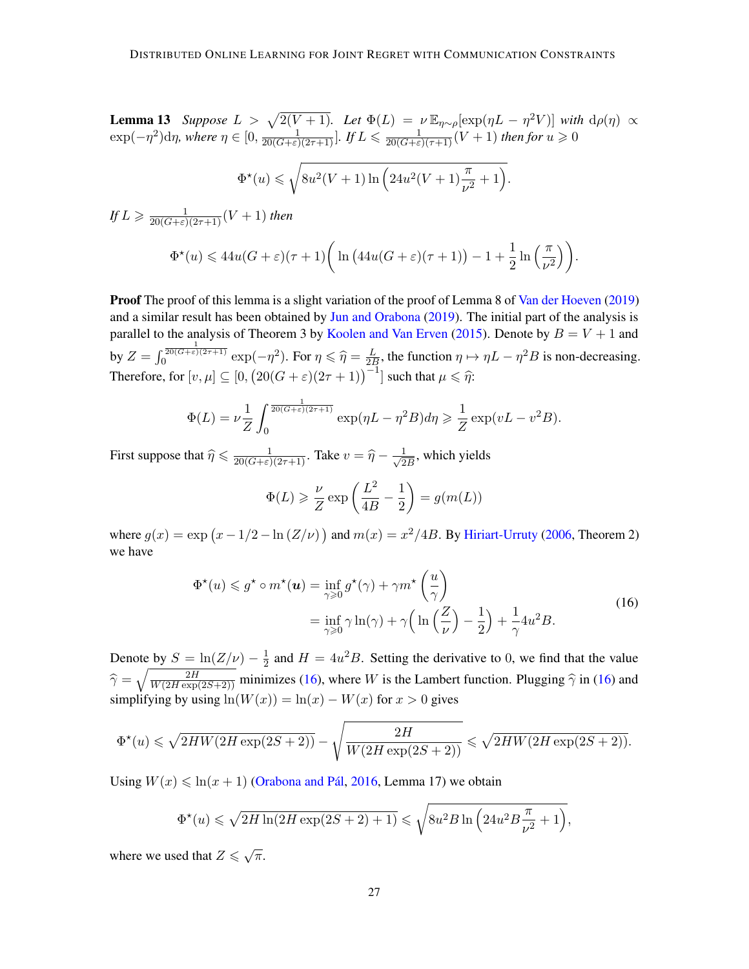**Lemma 13** *Suppose*  $L > \sqrt{2(V+1)}$ . Let  $\Phi(L) = \nu \mathbb{E}_{\eta \sim \rho} [\exp(\eta L - \eta^2 V)]$  *with*  $d\rho(\eta) \propto$  $\exp(-\eta^2)$ d $\eta$ , where  $\eta \in [0, \frac{1}{20(G+\varepsilon)(2\tau+1)}]$ . If  $L \leqslant \frac{1}{20(G+\varepsilon)(\tau+1)}(V+1)$  then for  $u \geqslant 0$  $\Phi^{\star}(u) \leqslant \sqrt{\frac{2}{\pi}}$  $8u^2(V+1)\ln\left(24u^2(V+1)\frac{\pi}{\nu^2}+1\right).$ 

 $\int fL \geqslant \frac{1}{20(G+\varepsilon)(2\tau+1)}(V+1)$  then

$$
\Phi^{\star}(u) \leq 44u(G+\varepsilon)(\tau+1)\bigg(\ln\big(44u(G+\varepsilon)(\tau+1)\big)-1+\frac{1}{2}\ln\Big(\frac{\pi}{\nu^2}\Big)\bigg).
$$

Proof The proof of this lemma is a slight variation of the proof of Lemma 8 of [Van der Hoeven](#page-14-9) [\(2019\)](#page-14-9) and a similar result has been obtained by [Jun and Orabona](#page-14-8) [\(2019\)](#page-14-8). The initial part of the analysis is parallel to the analysis of Theorem 3 by [Koolen and Van Erven](#page-15-3) [\(2015\)](#page-15-3). Denote by  $B = V + 1$  and by  $Z = \int_0^{\frac{1}{20(G+\epsilon)(2\tau+1)}} \exp(-\eta^2)$ . For  $\eta \le \hat{\eta} = \frac{L}{2E}$  $\frac{L}{2B}$ , the function  $\eta \mapsto \eta L - \eta^2 B$  is non-decreasing. Therefore, for  $[v, \mu] \subseteq [0, (20(G + \varepsilon)(2\tau + 1))^{-1}]$  such that  $\mu \leq \hat{\eta}$ :

$$
\Phi(L) = \nu \frac{1}{Z} \int_0^{\frac{1}{20(G+\varepsilon)(2\tau+1)}} \exp(\eta L - \eta^2 B) d\eta \geq \frac{1}{Z} \exp(vL - v^2B).
$$

First suppose that  $\hat{\eta} \le \frac{1}{20(G+\epsilon)(2\tau+1)}$ . Take  $v = \hat{\eta} - \frac{1}{\sqrt{2}}$  $\frac{1}{2B}$ , which yields

$$
\Phi(L) \geqslant \frac{\nu}{Z} \exp\left(\frac{L^2}{4B} - \frac{1}{2}\right) = g(m(L))
$$

where  $g(x) = \exp(x - 1/2 - \ln(Z/\nu))$  and  $m(x) = x^2/4B$ . By [Hiriart-Urruty](#page-14-11) [\(2006,](#page-14-11) Theorem 2) we have

$$
\Phi^{\star}(u) \leq g^{\star} \circ m^{\star}(u) = \inf_{\gamma \geq 0} g^{\star}(\gamma) + \gamma m^{\star} \left(\frac{u}{\gamma}\right)
$$

$$
= \inf_{\gamma \geq 0} \gamma \ln(\gamma) + \gamma \left(\ln\left(\frac{Z}{\nu}\right) - \frac{1}{2}\right) + \frac{1}{\gamma} 4u^{2} B. \tag{16}
$$

<span id="page-26-0"></span>Denote by  $S = \ln(Z/\nu) - \frac{1}{2}$  $\frac{1}{2}$  and  $H = 4u^2B$ . Setting the derivative to 0, we find that the value  $\hat{\gamma} = \sqrt{\frac{2H}{W(2H \exp(2S+2))}}$  minimizes [\(16\)](#page-26-0), where W is the Lambert function. Plugging  $\hat{\gamma}$  in (16) and simplifying by using  $ln(W(x)) = ln(x) - W(x)$  for  $x > 0$  gives

$$
\Phi^{\star}(u) \leqslant \sqrt{2HW(2H\exp(2S+2))} - \sqrt{\frac{2H}{W(2H\exp(2S+2))}} \leqslant \sqrt{2HW(2H\exp(2S+2))}.
$$

Using  $W(x) \leq \ln(x + 1)$  [\(Orabona and Pál,](#page-16-10) [2016,](#page-16-10) Lemma 17) we obtain

$$
\Phi^{\star}(u) \leqslant \sqrt{2H\ln(2H\exp(2S+2)+1)} \leqslant \sqrt{8u^2B\ln\left(24u^2B\frac{\pi}{\nu^2}+1\right)},
$$

where we used that  $Z \leqslant \sqrt{\pi}$ .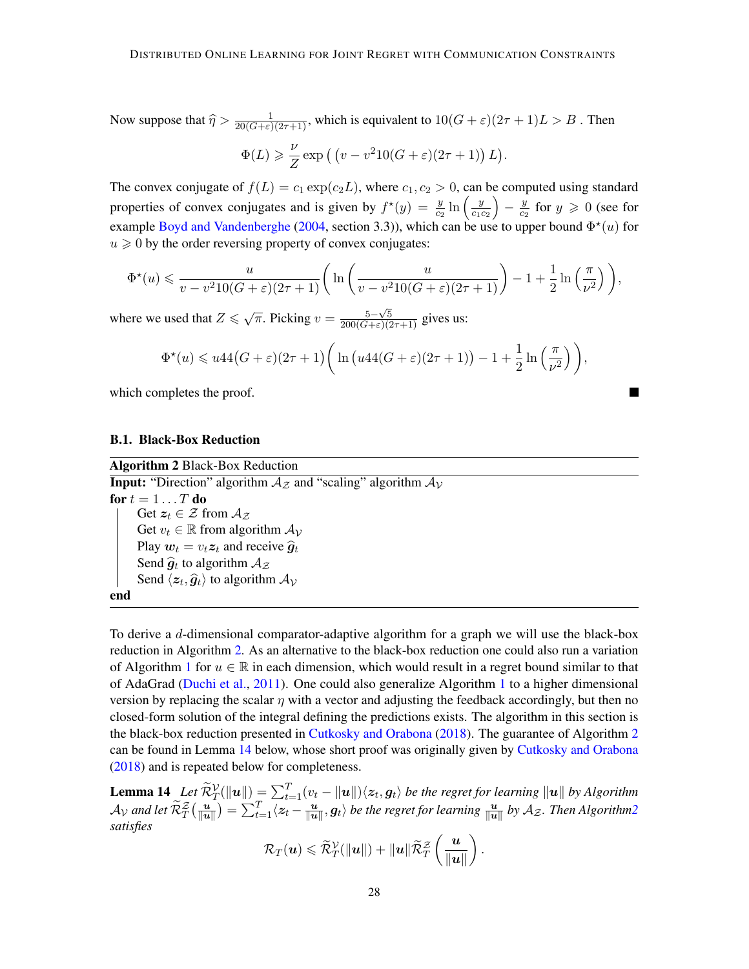Now suppose that  $\hat{\eta} > \frac{1}{20(G+\varepsilon)(2\tau+1)}$ , which is equivalent to  $10(G+\varepsilon)(2\tau+1)L > B$ . Then

$$
\Phi(L) \geqslant \frac{\nu}{Z} \exp\left(\left(v - v^2 10(G + \varepsilon)(2\tau + 1)\right)L\right).
$$

The convex conjugate of  $f(L) = c_1 \exp(c_2 L)$ , where  $c_1, c_2 > 0$ , can be computed using standard properties of convex conjugates and is given by  $f^*(y) = \frac{y}{c_2} \ln \left( \frac{y}{c_1} \right)$  $c_1c_2$  $-\frac{y}{c}$  $\frac{y}{c_2}$  for  $y \ge 0$  (see for example [Boyd and Vandenberghe](#page-13-12) [\(2004,](#page-13-12) section 3.3)), which can be use to upper bound  $\Phi^*(u)$  for  $u \geq 0$  by the order reversing property of convex conjugates:

$$
\Phi^{\star}(u) \leqslant \frac{u}{v - v^2 10(G + \varepsilon)(2\tau + 1)} \bigg( \ln \bigg( \frac{u}{v - v^2 10(G + \varepsilon)(2\tau + 1)} \bigg) - 1 + \frac{1}{2} \ln \bigg( \frac{\pi}{\nu^2} \bigg) \bigg),
$$

where we used that  $Z \leq \sqrt{\pi}$ . Picking  $v = \frac{5-\sqrt{5}}{200(G+\epsilon)(2\tau+1)}$  gives us:

$$
\Phi^{\star}(u) \leq u44(G+\varepsilon)(2\tau+1)\bigg(\ln\big(u44(G+\varepsilon)(2\tau+1)\big)-1+\frac{1}{2}\ln\left(\frac{\pi}{\nu^2}\right)\bigg),
$$

which completes the proof.

#### <span id="page-27-1"></span>B.1. Black-Box Reduction

Algorithm 2 Black-Box Reduction

<span id="page-27-0"></span>**Input:** "Direction" algorithm  $A_z$  and "scaling" algorithm  $A_y$ for  $t = 1 \ldots T$  do Get  $z_t \in \mathcal{Z}$  from  $\mathcal{A}_{\mathcal{Z}}$ Get  $v_t \in \mathbb{R}$  from algorithm  $A_v$ Play  $w_t = v_t z_t$  and receive  $\hat{g}_t$ Send  $\hat{g}_t$  to algorithm  $A_z$ <br>Send  $\langle \hat{z} \rangle$  to algorithm Send  $\langle z_t, \hat{g}_t \rangle$  to algorithm  $\mathcal{A}_{\mathcal{V}}$ end

To derive a  $d$ -dimensional comparator-adaptive algorithm for a graph we will use the black-box reduction in Algorithm [2.](#page-27-0) As an alternative to the black-box reduction one could also run a variation of Algorithm [1](#page-7-0) for  $u \in \mathbb{R}$  in each dimension, which would result in a regret bound similar to that of AdaGrad [\(Duchi et al.,](#page-13-13) [2011\)](#page-13-13). One could also generalize Algorithm [1](#page-7-0) to a higher dimensional version by replacing the scalar  $\eta$  with a vector and adjusting the feedback accordingly, but then no closed-form solution of the integral defining the predictions exists. The algorithm in this section is the black-box reduction presented in [Cutkosky and Orabona](#page-13-2) [\(2018\)](#page-13-2). The guarantee of Algorithm [2](#page-27-0) can be found in Lemma [14](#page-27-2) below, whose short proof was originally given by [Cutkosky and Orabona](#page-13-2) [\(2018\)](#page-13-2) and is repeated below for completeness.

<span id="page-27-2"></span>**Lemma 14** Let  $\widetilde{\mathcal{R}}_{T}^{\mathcal{V}}(\|\boldsymbol{u}\|) = \sum_{t=1}^{T} (v_t - \|\boldsymbol{u}\|) \langle \boldsymbol{z}_t, \boldsymbol{g}_t \rangle$  be the regret for learning  $\|\boldsymbol{u}\|$  by Algorithm  ${\cal A}_{{\cal V}}$  and let  $\widetilde{\cal R}^{\cal Z}_T \big(\frac{u}{\|u\|}$  $\frac{\boldsymbol{u}}{\|\boldsymbol{u}\|}\big) = \sum_{t=1}^T \langle \boldsymbol{z}_t - \frac{\boldsymbol{u}}{\|\boldsymbol{u}\|}$  $\frac{u}{\|u\|}, g_t\rangle$  be the regret for learning  $\frac{u}{\|u\|}$  by  $\mathcal{A}_\mathcal{Z}.$  Then Algorith[m2](#page-27-0) *satisfies*

$$
\mathcal{R}_T(\boldsymbol{u}) \leqslant \widetilde{\mathcal{R}}_T^{\mathcal{V}}(\|\boldsymbol{u}\|) + \|\boldsymbol{u}\| \widetilde{\mathcal{R}}_T^{\mathcal{Z}}\left(\frac{\boldsymbol{u}}{\|\boldsymbol{u}\|}\right).
$$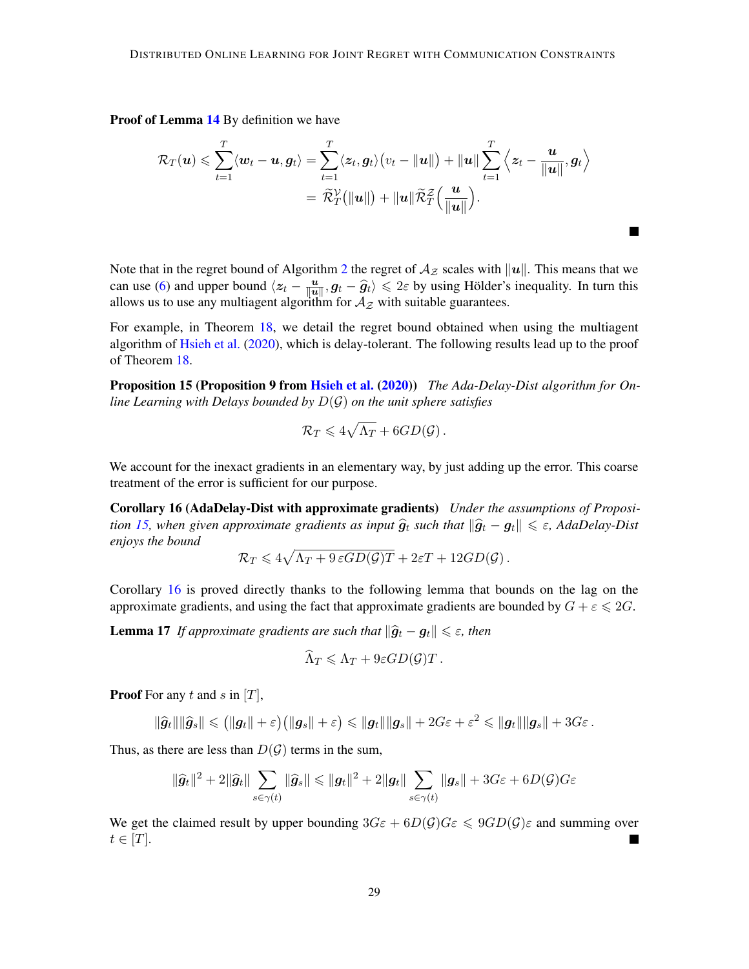Proof of Lemma [14](#page-27-2) By definition we have

$$
\mathcal{R}_T(\boldsymbol{u}) \leqslant \sum_{t=1}^T \langle \boldsymbol{w}_t - \boldsymbol{u}, \boldsymbol{g}_t \rangle = \sum_{t=1}^T \langle \boldsymbol{z}_t, \boldsymbol{g}_t \rangle (v_t - ||\boldsymbol{u}||) + ||\boldsymbol{u}|| \sum_{t=1}^T \Big\langle \boldsymbol{z}_t - \frac{\boldsymbol{u}}{||\boldsymbol{u}||}, \boldsymbol{g}_t \Big\rangle \\ = \widetilde{\mathcal{R}}_T^{\mathcal{V}}(||\boldsymbol{u}||) + ||\boldsymbol{u}|| \widetilde{\mathcal{R}}_T^{\mathcal{Z}}\Big(\frac{\boldsymbol{u}}{||\boldsymbol{u}||}\Big).
$$

 $\blacksquare$ 

Note that in the regret bound of Algorithm [2](#page-27-0) the regret of  $A_z$  scales with  $||u||$ . This means that we can use [\(6\)](#page-6-1) and upper bound  $\langle z_t - \frac{u}{\|u\|}\rangle$ can use (6) and upper bound  $\langle z_t - \frac{u}{\|u\|}, g_t - \hat{g}_t \rangle \leq 2\varepsilon$  by using Hölder's inequality. In turn this allows us to use any multiagent algorithm for  $\mathcal{A}_{\mathcal{Z}}$  with suitable guarantees.

For example, in Theorem [18,](#page-28-0) we detail the regret bound obtained when using the multiagent algorithm of [Hsieh et al.](#page-14-4) [\(2020\)](#page-14-4), which is delay-tolerant. The following results lead up to the proof of Theorem [18.](#page-28-0)

<span id="page-28-1"></span>Proposition 15 (Proposition 9 from [Hsieh et al.](#page-14-4) [\(2020\)](#page-14-4)) *The Ada-Delay-Dist algorithm for Online Learning with Delays bounded by* D(G) *on the unit sphere satisfies*

<span id="page-28-2"></span>
$$
\mathcal{R}_T\leqslant 4\sqrt{\Lambda_T}+6GD(\mathcal{G})\,.
$$

We account for the inexact gradients in an elementary way, by just adding up the error. This coarse treatment of the error is sufficient for our purpose.

Corollary 16 (AdaDelay-Dist with approximate gradients) *Under the assumptions of Proposition* [15,](#page-28-1) when given approximate gradients as input  $\hat{g}_t$  such that  $\|\hat{g}_t - g_t\| \leq \varepsilon$ , AdaDelay-Dist *enjoys the bound*

$$
\mathcal{R}_T \leqslant 4\sqrt{\Lambda_T + 9\,\varepsilon GD(\mathcal{G})T} + 2\varepsilon T + 12GD(\mathcal{G})\,.
$$

Corollary [16](#page-28-2) is proved directly thanks to the following lemma that bounds on the lag on the approximate gradients, and using the fact that approximate gradients are bounded by  $G + \varepsilon \leq 2G$ .

**Lemma 17** *If approximate gradients are such that*  $\|\hat{g}_t - g_t\| \leq \varepsilon$ , then

$$
\widehat{\Lambda}_T \leqslant \Lambda_T + 9\varepsilon GD(\mathcal{G})T.
$$

**Proof** For any t and s in  $[T]$ ,

$$
\|\widehat{g}_t\|\|\widehat{g}_s\| \leqslant \big(\|g_t\| + \varepsilon\big)\big(\|g_s\| + \varepsilon\big) \leqslant \|g_t\|\|g_s\| + 2G\varepsilon + \varepsilon^2 \leqslant \|g_t\|\|g_s\| + 3G\varepsilon\,.
$$

Thus, as there are less than  $D(G)$  terms in the sum,

$$
\|\widehat{\bm{g}}_t\|^2 + 2\|\widehat{\bm{g}}_t\| \sum_{s \in \gamma(t)} \|\widehat{\bm{g}}_s\| \leqslant \|\bm{g}_t\|^2 + 2\|\bm{g}_t\| \sum_{s \in \gamma(t)} \|\bm{g}_s\| + 3G\varepsilon + 6D(\mathcal{G})G\varepsilon
$$

<span id="page-28-0"></span>We get the claimed result by upper bounding  $3G\varepsilon + 6D(\mathcal{G})G\varepsilon \leq 9GD(\mathcal{G})\varepsilon$  and summing over  $t \in [T]$ .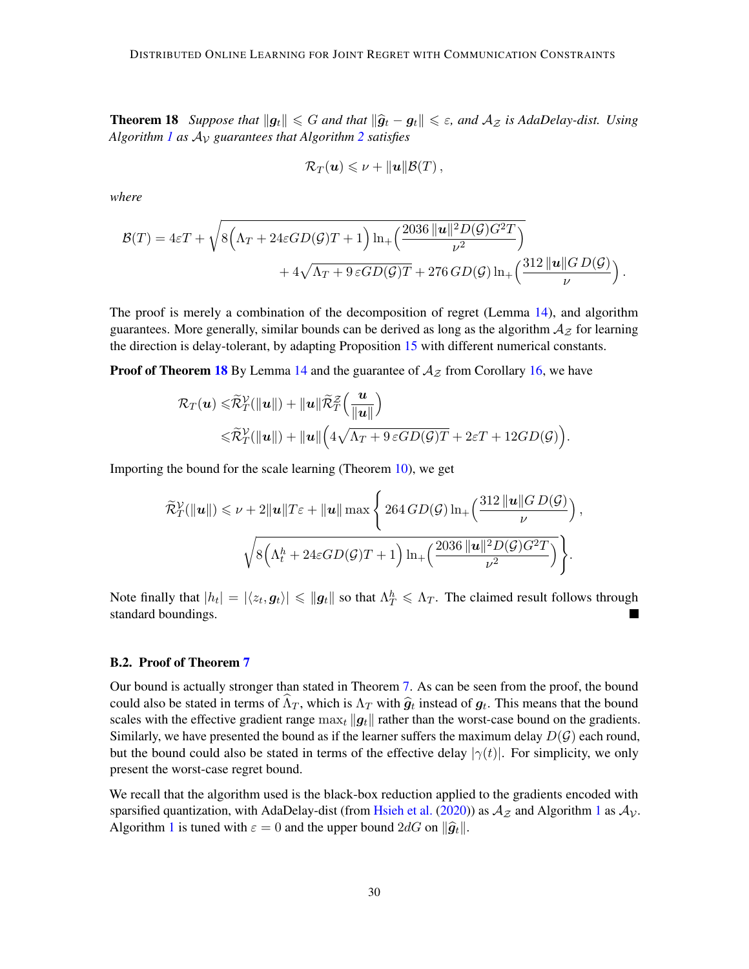**Theorem 18** *Suppose that*  $||g_t|| \le G$  *and that*  $||\hat{g}_t - g_t|| \le \varepsilon$ , and  $A_z$  *is AdaDelay-dist. Using* Algorithm [1](#page-7-0) as  $A_V$  guarantees that Algorithm [2](#page-27-0) satisfies

$$
\mathcal{R}_T(\boldsymbol{u})\leqslant\nu+\|\boldsymbol{u}\|\mathcal{B}(T)\,,
$$

*where*

$$
\mathcal{B}(T) = 4\varepsilon T + \sqrt{8(\Lambda_T + 24\varepsilon GD(\mathcal{G})T + 1) \ln_+\left(\frac{2036 \|\mathbf{u}\|^2 D(\mathcal{G})G^2 T}{\nu^2}\right)} + 4\sqrt{\Lambda_T + 9\varepsilon GD(\mathcal{G})T} + 276 \, GD(\mathcal{G}) \ln_+\left(\frac{312 \|\mathbf{u}\| G D(\mathcal{G})}{\nu}\right).
$$

The proof is merely a combination of the decomposition of regret (Lemma [14\)](#page-27-2), and algorithm guarantees. More generally, similar bounds can be derived as long as the algorithm  $A<sub>Z</sub>$  for learning the direction is delay-tolerant, by adapting Proposition [15](#page-28-1) with different numerical constants.

**Proof of Theorem [18](#page-28-0)** By Lemma [14](#page-27-2) and the guarantee of  $A_z$  from Corollary [16,](#page-28-2) we have

$$
\mathcal{R}_T(\boldsymbol{u}) \leqslant \widetilde{\mathcal{R}}_T^{\mathcal{V}}(\|\boldsymbol{u}\|) + \|\boldsymbol{u}\| \widetilde{\mathcal{R}}_T^{\mathcal{Z}}\left(\frac{\boldsymbol{u}}{\|\boldsymbol{u}\|}\right) \leqslant \widetilde{\mathcal{R}}_T^{\mathcal{V}}(\|\boldsymbol{u}\|) + \|\boldsymbol{u}\| \left(4\sqrt{\Lambda_T + 9\,\varepsilon GD(\mathcal{G})T} + 2\varepsilon T + 12GD(\mathcal{G})\right).
$$

Importing the bound for the scale learning (Theorem [10\)](#page-21-0), we get

$$
\widetilde{\mathcal{R}}_T^{\mathcal{V}}(\|\mathbf{u}\|) \leq \nu + 2\|\mathbf{u}\|T\varepsilon + \|\mathbf{u}\| \max\left\{ 264 \, GD(\mathcal{G}) \ln_+\left(\frac{312\,\|\mathbf{u}\|GD(\mathcal{G})}{\nu}\right),\right.\right.
$$

$$
\sqrt{8\Big(\Lambda_t^h + 24\varepsilon GD(\mathcal{G})T + 1\Big)\ln_+\left(\frac{2036\,\|\mathbf{u}\|^2 D(\mathcal{G})G^2T}{\nu^2}\right)}\Bigg\}.
$$

Note finally that  $|h_t| = |\langle z_t, g_t \rangle| \leq \|g_t\|$  so that  $\Lambda_T^h \leq \Lambda_T$ . The claimed result follows through standard boundings.

#### <span id="page-29-0"></span>B.2. Proof of Theorem [7](#page-10-1)

Our bound is actually stronger than stated in Theorem [7.](#page-10-1) As can be seen from the proof, the bound could also be stated in terms of  $\Lambda_T$ , which is  $\Lambda_T$  with  $\hat{g}_t$  instead of  $g_t$ . This means that the bound<br>scales with the effective gradient range may.  $\|\mathbf{g}\|$  rether than the worst assessment on the gradients scales with the effective gradient range  $\max_t ||g_t||$  rather than the worst-case bound on the gradients. Similarly, we have presented the bound as if the learner suffers the maximum delay  $D(G)$  each round, but the bound could also be stated in terms of the effective delay  $|\gamma(t)|$ . For simplicity, we only present the worst-case regret bound.

We recall that the algorithm used is the black-box reduction applied to the gradients encoded with sparsified quantization, with AdaDelay-dist (from [Hsieh et al.](#page-14-4) [\(2020\)](#page-14-4)) as  $A_z$  and Algorithm [1](#page-7-0) as  $A_y$ . Algorithm [1](#page-7-0) is tuned with  $\varepsilon = 0$  and the upper bound  $2dG$  on  $\|\hat{g}_t\|$ .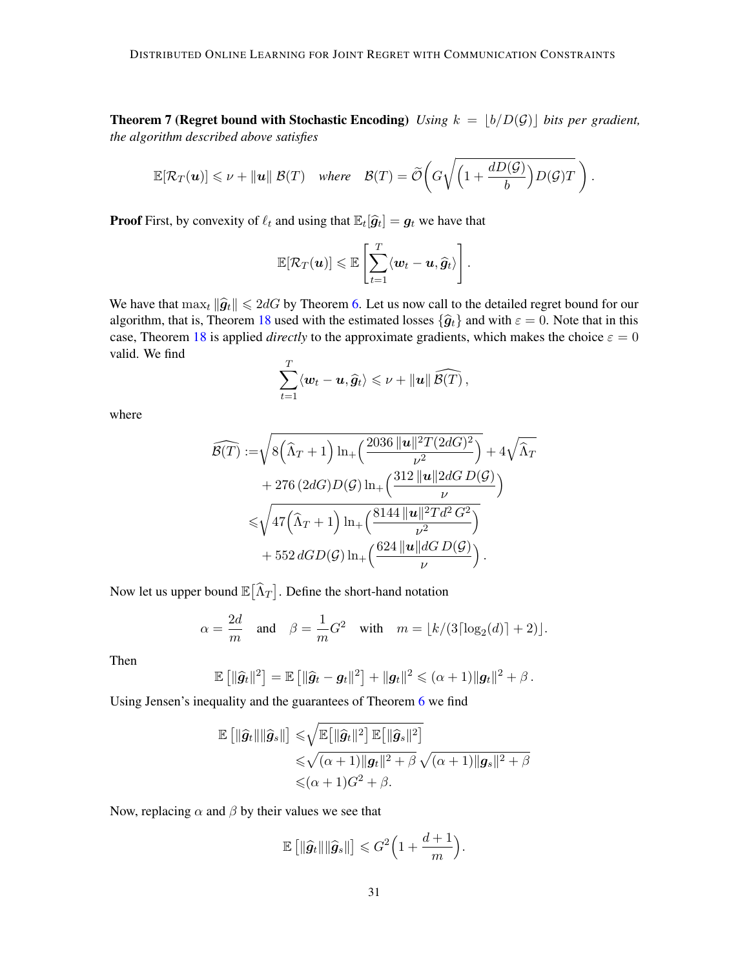**Theorem 7 (Regret bound with Stochastic Encoding)** *Using*  $k = |b/D(\mathcal{G})|$  *bits per gradient, the algorithm described above satisfies*

$$
\mathbb{E}[\mathcal{R}_T(\boldsymbol{u})] \leqslant \nu + \|\boldsymbol{u}\| \mathcal{B}(T) \quad \text{where} \quad \mathcal{B}(T) = \widetilde{\mathcal{O}}\bigg(G\sqrt{\bigg(1 + \frac{dD(\mathcal{G})}{b}\bigg)D(\mathcal{G})T}\bigg).
$$

**Proof** First, by convexity of  $\ell_t$  and using that  $\mathbb{E}_t[\hat{g}_t] = g_t$  we have that

$$
\mathbb{E}[\mathcal{R}_T(\boldsymbol{u})] \leqslant \mathbb{E}\left[\sum_{t=1}^T \langle \boldsymbol{w}_t - \boldsymbol{u}, \widehat{\boldsymbol{g}}_t \rangle\right].
$$

We have that  $\max_t \|\hat{g}_t\| \leq 2dG$  by Theorem [6.](#page-10-0) Let us now call to the detailed regret bound for our algorithm, that is, Theorem [18](#page-28-0) used with the estimated losses  $\{\hat{g}_t\}$  and with  $\varepsilon = 0$ . Note that in this case, Theorem [18](#page-28-0) is applied *directly* to the approximate gradients, which makes the choice  $\varepsilon = 0$ valid. We find  $\overline{a}$ 

$$
\sum_{t=1}^T \langle \boldsymbol{w}_t - \boldsymbol{u}, \widehat{\boldsymbol{g}}_t \rangle \leqslant \nu + ||\boldsymbol{u}|| \widehat{\mathcal{B}(T)},
$$

where

$$
\widehat{\mathcal{B}(T)} := \sqrt{8(\widehat{\Lambda}_T + 1) \ln_+\left(\frac{2036 \, ||\mathbf{u}||^2 T (2dG)^2}{\nu^2}\right)} + 4\sqrt{\widehat{\Lambda}_T} \n+ 276 (2dG)D(\mathcal{G}) \ln_+\left(\frac{312 \, ||\mathbf{u}|| 2dG D(\mathcal{G})}{\nu}\right) \n\leq \sqrt{47(\widehat{\Lambda}_T + 1) \ln_+\left(\frac{8144 \, ||\mathbf{u}||^2 T d^2 G^2}{\nu^2}\right)} \n+ 552 dG D(\mathcal{G}) \ln_+\left(\frac{624 \, ||\mathbf{u}|| dG D(\mathcal{G})}{\nu}\right).
$$

Now let us upper bound  $\mathbb{E}\big[\widehat{\Lambda}_T\big]$ . Define the short-hand notation

$$
\alpha = \frac{2d}{m} \quad \text{and} \quad \beta = \frac{1}{m}G^2 \quad \text{with} \quad m = \lfloor k/(3\lceil \log_2(d) \rceil + 2) \rfloor.
$$

Then

$$
\mathbb{E}\left[\|\widehat{g}_t\|^2\right] = \mathbb{E}\left[\|\widehat{g}_t - g_t\|^2\right] + \|g_t\|^2 \leqslant (\alpha + 1)\|g_t\|^2 + \beta.
$$

Using Jensen's inequality and the guarantees of Theorem [6](#page-10-0) we find

$$
\mathbb{E} [\|\widehat{g}_t\| \|\widehat{g}_s\|] \leq \sqrt{\mathbb{E} [\|\widehat{g}_t\|^2] \mathbb{E} [\|\widehat{g}_s\|^2]}\leq \sqrt{(\alpha+1) \|g_t\|^2 + \beta} \sqrt{(\alpha+1) \|g_s\|^2 + \beta} \leq (\alpha+1)G^2 + \beta.
$$

Now, replacing  $\alpha$  and  $\beta$  by their values we see that

$$
\mathbb{E}\left[\|\widehat{g}_t\|\|\widehat{g}_s\|\right] \leqslant G^2\Big(1+\frac{d+1}{m}\Big).
$$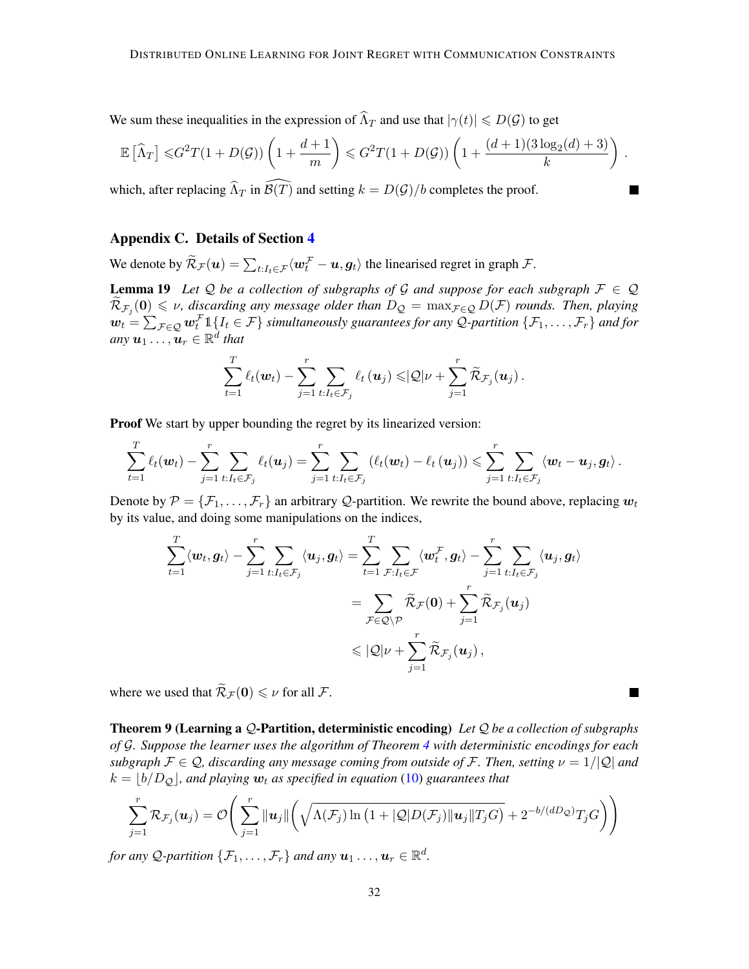We sum these inequalities in the expression of  $\widehat{\Lambda}_T$  and use that  $|\gamma(t)| \leq D(\mathcal{G})$  to get

$$
\mathbb{E}\left[\widehat{\Lambda}_T\right] \leqslant G^2 T (1+D(\mathcal{G})) \left(1+\frac{d+1}{m}\right) \leqslant G^2 T (1+D(\mathcal{G})) \left(1+\frac{(d+1)(3\log_2(d)+3)}{k}\right)
$$

.

 $\blacksquare$ 

which, after replacing  $\widehat{\Lambda}_T$  in  $\widehat{\mathcal{B}}(T)$  and setting  $k = D(\mathcal{G})/b$  completes the proof.

# <span id="page-31-0"></span>Appendix C. Details of Section [4](#page-11-1)

We denote by  $\widetilde{\mathcal{R}}_{\mathcal{F}}(u) = \sum_{t:I_t \in \mathcal{F}} \langle \boldsymbol{w}_t^{\mathcal{F}} - \boldsymbol{u}, \boldsymbol{g}_t \rangle$  the linearised regret in graph  $\mathcal{F}$ .

<span id="page-31-1"></span>**Lemma 19** Let Q be a collection of subgraphs of G and suppose for each subgraph  $\mathcal{F} \in \mathcal{Q}$  $\widetilde{\mathcal{R}}_{\mathcal{F}_j}(\mathbf{0}) \leq \nu$ , discarding any message older than  $D_{\mathcal{Q}} = \max_{\mathcal{F} \in \mathcal{Q}} D(\mathcal{F})$  rounds. Then, playing  $\bm{w}_t = \sum_{\mathcal{F} \in \mathcal{Q}} \bm{w}_t^\mathcal{F} \mathbb{1}\{I_t \in \mathcal{F}\}$  simultaneously guarantees for any Q-partition  $\{\mathcal{F}_1,\ldots,\mathcal{F}_r\}$  and for  $any \mathbf{u}_1 \dots, \mathbf{u}_r \in \mathbb{R}^{\tilde{d}}$  that

$$
\sum_{t=1}^T \ell_t(\boldsymbol{w}_t) - \sum_{j=1}^r \sum_{t: I_t \in \mathcal{F}_j} \ell_t(\boldsymbol{u}_j) \leqslant \vert \mathcal{Q} \vert \nu + \sum_{j=1}^r \widetilde{\mathcal{R}}_{\mathcal{F}_j}(\boldsymbol{u}_j).
$$

Proof We start by upper bounding the regret by its linearized version:

$$
\sum_{t=1}^T \ell_t(\boldsymbol{w}_t) - \sum_{j=1}^r \sum_{t: I_t \in \mathcal{F}_j} \ell_t(\boldsymbol{u}_j) = \sum_{j=1}^r \sum_{t: I_t \in \mathcal{F}_j} \left( \ell_t(\boldsymbol{w}_t) - \ell_t(\boldsymbol{u}_j) \right) \leqslant \sum_{j=1}^r \sum_{t: I_t \in \mathcal{F}_j} \langle \boldsymbol{w}_t - \boldsymbol{u}_j, \boldsymbol{g}_t \rangle.
$$

Denote by  $\mathcal{P} = \{\mathcal{F}_1, \ldots, \mathcal{F}_r\}$  an arbitrary Q-partition. We rewrite the bound above, replacing  $w_t$ by its value, and doing some manipulations on the indices,

$$
\begin{aligned} \sum_{t=1}^T \langle \boldsymbol{w}_t, \boldsymbol{g}_t \rangle - \sum_{j=1}^r \sum_{t: I_t \in \mathcal{F}_j} \langle \boldsymbol{u}_j, \boldsymbol{g}_t \rangle &= \sum_{t=1}^T \sum_{\mathcal{F}: I_t \in \mathcal{F}} \langle \boldsymbol{w}_t^{\mathcal{F}}, \boldsymbol{g}_t \rangle - \sum_{j=1}^r \sum_{t: I_t \in \mathcal{F}_j} \langle \boldsymbol{u}_j, \boldsymbol{g}_t \rangle \\ &= \sum_{\mathcal{F} \in \mathcal{Q} \setminus \mathcal{P}} \widetilde{\mathcal{R}}_{\mathcal{F}}(\boldsymbol{0}) + \sum_{j=1}^r \widetilde{\mathcal{R}}_{\mathcal{F}_j}(\boldsymbol{u}_j) \\ &\leqslant |\mathcal{Q}| \nu + \sum_{j=1}^r \widetilde{\mathcal{R}}_{\mathcal{F}_j}(\boldsymbol{u}_j) \,, \end{aligned}
$$

where we used that  $\widetilde{\mathcal{R}}_{\mathcal{F}}(\mathbf{0}) \leq \nu$  for all  $\mathcal{F}$ .

Theorem 9 (Learning a Q-Partition, deterministic encoding) *Let* Q *be a collection of subgraphs of* G*. Suppose the learner uses the algorithm of Theorem [4](#page-9-0) with deterministic encodings for each subgraph*  $\mathcal{F} \in \mathcal{Q}$ , discarding any message coming from outside of F. Then, setting  $\nu = 1/|\mathcal{Q}|$  and  $k = |b/D<sub>O</sub>|$ , and playing  $w_t$  as specified in equation [\(10\)](#page-11-2) guarantees that

$$
\sum_{j=1}^r \mathcal{R}_{\mathcal{F}_j}(\boldsymbol{u}_j) = \mathcal{O}\Bigg(\sum_{j=1}^r \|\boldsymbol{u}_j\| \bigg(\sqrt{\Lambda(\mathcal{F}_j) \ln\big(1+|\mathcal{Q}|D(\mathcal{F}_j)\|\boldsymbol{u}_j\|T_jG}\big) + 2^{-b/(dD_{\mathcal{Q}})}T_jG\Bigg)\Bigg)
$$

for any Q-partition  $\{\mathcal{F}_1,\ldots,\mathcal{F}_r\}$  and any  $\boldsymbol{u}_1\ldots,\boldsymbol{u}_r\in\mathbb{R}^d$ .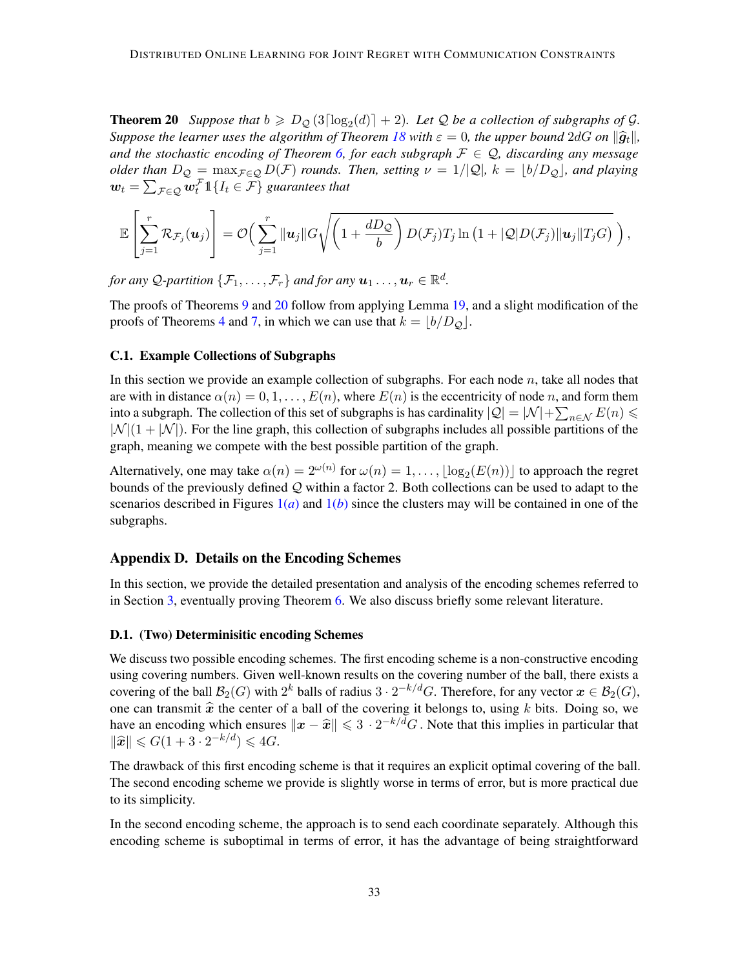<span id="page-32-0"></span>**Theorem 20** Suppose that  $b \ge D_{\mathcal{Q}}(3\lceil \log_2(d) \rceil + 2)$ . Let  $\mathcal Q$  be a collection of subgraphs of  $\mathcal G$ . *Suppose the learner uses the algorithm of Theorem [18](#page-28-0) with*  $\varepsilon = 0$ , the upper bound  $2dG$  on  $\|\hat{g}_t\|$ , *and the stochastic encoding of Theorem [6,](#page-10-0) for each subgraph*  $\mathcal{F} \in \mathcal{Q}$ , discarding any message *older than*  $D_{\mathcal{Q}} = \max_{\mathcal{F} \in \mathcal{Q}} D(\mathcal{F})$  *rounds. Then, setting*  $\nu = 1/|\mathcal{Q}|$ ,  $k = |b/D_{\mathcal{Q}}|$ , and playing  $\bm{w}_t = \sum_{\mathcal{F} \in \mathcal{Q}} \bm{w}_t^{\mathcal{F}} \mathbb{1}\{I_t \in \mathcal{F}\}$  guarantees that

$$
\mathbb{E}\left[\sum_{j=1}^r \mathcal{R}_{\mathcal{F}_j}(\boldsymbol{u}_j)\right] = \mathcal{O}\Big(\sum_{j=1}^r \|\boldsymbol{u}_j\|G\sqrt{\left(1+\frac{dD_{\mathcal{Q}}}{b}\right)D(\mathcal{F}_j)T_j\ln\big(1+|\mathcal{Q}|D(\mathcal{F}_j)\|\boldsymbol{u}_j\|T_jG\big)}\,\Big)\,,
$$

for any Q-partition  $\{\mathcal{F}_1,\ldots,\mathcal{F}_r\}$  and for any  $\boldsymbol{u}_1\ldots,\boldsymbol{u}_r\in\mathbb{R}^d$ .

The proofs of Theorems [9](#page-11-0) and [20](#page-32-0) follow from applying Lemma [19,](#page-31-1) and a slight modification of the proofs of Theorems [4](#page-9-0) and [7,](#page-10-1) in which we can use that  $k = \lfloor b/D_Q \rfloor$ .

# <span id="page-32-2"></span>C.1. Example Collections of Subgraphs

In this section we provide an example collection of subgraphs. For each node  $n$ , take all nodes that are with in distance  $\alpha(n) = 0, 1, \ldots, E(n)$ , where  $E(n)$  is the eccentricity of node n, and form them into a subgraph. The collection of this set of subgraphs is has cardinality  $|Q| = |\mathcal{N}| + \sum_{n \in \mathcal{N}} E(n) \le$  $|\mathcal{N}|(1+|\mathcal{N}|)$ . For the line graph, this collection of subgraphs includes all possible partitions of the graph, meaning we compete with the best possible partition of the graph.

Alternatively, one may take  $\alpha(n) = 2^{\omega(n)}$  for  $\omega(n) = 1, \dots, \lfloor \log_2(E(n)) \rfloor$  to approach the regret bounds of the previously defined  $Q$  within a factor 2. Both collections can be used to adapt to the scenarios described in Figures  $1(a)$  $1(a)$  and  $1(b)$  since the clusters may will be contained in one of the subgraphs.

### Appendix D. Details on the Encoding Schemes

In this section, we provide the detailed presentation and analysis of the encoding schemes referred to in Section [3,](#page-8-1) eventually proving Theorem [6.](#page-10-0) We also discuss briefly some relevant literature.

#### <span id="page-32-1"></span>D.1. (Two) Determinisitic encoding Schemes

We discuss two possible encoding schemes. The first encoding scheme is a non-constructive encoding using covering numbers. Given well-known results on the covering number of the ball, there exists a covering of the ball  $\mathcal{B}_2(G)$  with  $2^k$  balls of radius  $3 \cdot 2^{-k/d}G$ . Therefore, for any vector  $\boldsymbol{x} \in \mathcal{B}_2(G)$ , one can transmit  $\hat{x}$  the center of a ball of the covering it belongs to, using k bits. Doing so, we have an encoding which ensures  $\|\boldsymbol{x} - \hat{\boldsymbol{x}}\| \leq 3 \cdot 2^{-k/d} G$ . Note that this implies in particular that  $\|\hat{\boldsymbol{x}}\| \leq C(1+2 \cdot 2^{-k/d}) \leq 4C$  $\|\widehat{\mathbf{x}}\| \leqslant G(1 + 3 \cdot 2^{-k/d}) \leqslant 4G.$ 

The drawback of this first encoding scheme is that it requires an explicit optimal covering of the ball. The second encoding scheme we provide is slightly worse in terms of error, but is more practical due to its simplicity.

In the second encoding scheme, the approach is to send each coordinate separately. Although this encoding scheme is suboptimal in terms of error, it has the advantage of being straightforward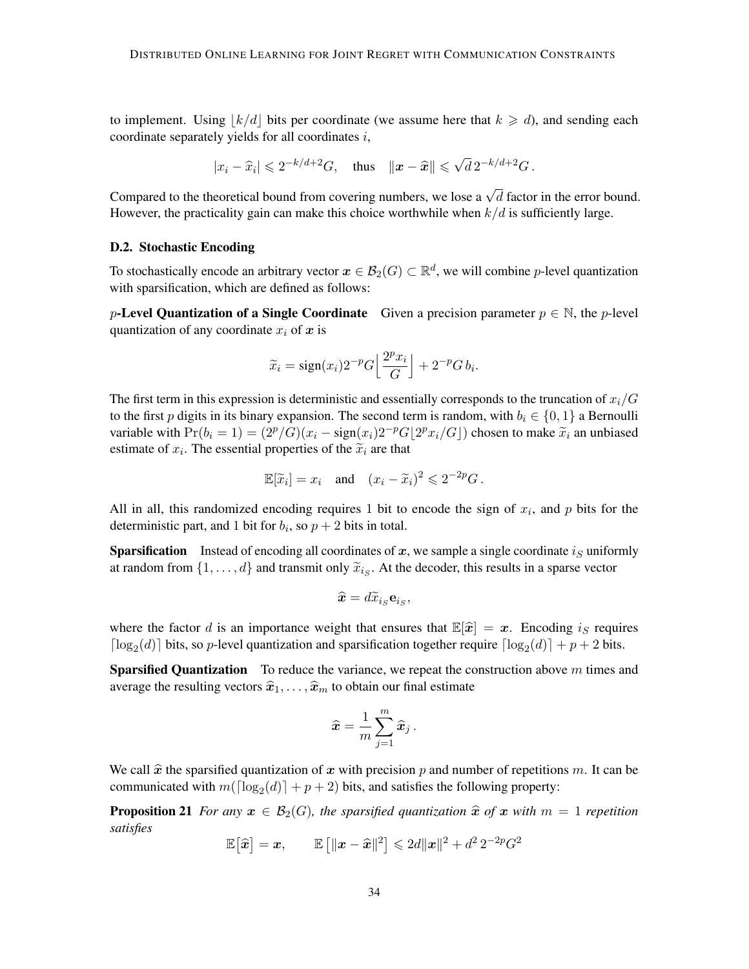to implement. Using  $|k/d|$  bits per coordinate (we assume here that  $k \ge d$ ), and sending each coordinate separately yields for all coordinates  $i$ ,

$$
|x_i - \widehat{x}_i| \leq 2^{-k/d+2}G
$$
, thus  $||\boldsymbol{x} - \widehat{\boldsymbol{x}}|| \leq \sqrt{d} 2^{-k/d+2}G$ .

Compared to the theoretical bound from covering numbers, we lose a  $\sqrt{d}$  factor in the error bound. However, the practicality gain can make this choice worthwhile when  $k/d$  is sufficiently large.

### <span id="page-33-0"></span>D.2. Stochastic Encoding

To stochastically encode an arbitrary vector  $x \in \mathcal{B}_2(G) \subset \mathbb{R}^d$ , we will combine p-level quantization with sparsification, which are defined as follows:

p-Level Quantization of a Single Coordinate Given a precision parameter  $p \in \mathbb{N}$ , the p-level quantization of any coordinate  $x_i$  of  $x$  is

$$
\widetilde{x}_i = \text{sign}(x_i) 2^{-p} G \Big[ \frac{2^p x_i}{G} \Big] + 2^{-p} G b_i.
$$

The first term in this expression is deterministic and essentially corresponds to the truncation of  $x_i/G$ to the first p digits in its binary expansion. The second term is random, with  $b_i \in \{0, 1\}$  a Bernoulli variable with  $Pr(b_i = 1) = (2^p/G)(x_i - sign(x_i)2^{-p}G[2^p x_i/G])$  chosen to make  $\tilde{x}_i$  an unbiased estimate of  $x_i$ . The essential properties of the  $\tilde{x}_i$  are that estimate of  $x_i$ . The essential properties of the  $\tilde{x}_i$  are that

$$
\mathbb{E}[\widetilde{x}_i] = x_i \quad \text{and} \quad (x_i - \widetilde{x}_i)^2 \leq 2^{-2p}G \,.
$$

All in all, this randomized encoding requires 1 bit to encode the sign of  $x_i$ , and p bits for the deterministic part, and 1 bit for  $b_i$ , so  $p + 2$  bits in total.

**Sparsification** Instead of encoding all coordinates of  $x$ , we sample a single coordinate  $i_S$  uniformly at random from  $\{1, \ldots, d\}$  and transmit only  $\widetilde{x}_{i_S}$ . At the decoder, this results in a sparse vector

$$
\widehat{\boldsymbol{x}}=d\widetilde{x}_{i_{S}}\mathbf{e}_{i_{S}},
$$

where the factor d is an importance weight that ensures that  $\mathbb{E}[\hat{x}] = x$ . Encoding is requires  $\lceil \log_2(d) \rceil$  bits, so p-level quantization and sparsification together require  $\lceil \log_2(d) \rceil + p + 2$  bits.

**Sparsified Quantization** To reduce the variance, we repeat the construction above  $m$  times and average the resulting vectors  $\hat{x}_1, \ldots, \hat{x}_m$  to obtain our final estimate

$$
\widehat{\boldsymbol{x}} = \frac{1}{m} \sum_{j=1}^m \widehat{\boldsymbol{x}}_j \,.
$$

We call  $\hat{x}$  the sparsified quantization of x with precision p and number of repetitions m. It can be communicated with  $m(\lceil \log_2(d) \rceil + p + 2)$  bits, and satisfies the following property:

**Proposition 21** *For any*  $x \in \mathcal{B}_2(G)$ *, the sparsified quantization*  $\hat{x}$  *of*  $x$  *with*  $m = 1$  *repetition satisfies*

$$
\mathbb{E}\big[\widehat{\boldsymbol{x}}\big] = \boldsymbol{x}, \qquad \mathbb{E}\left[\|\boldsymbol{x} - \widehat{\boldsymbol{x}}\|^2\right] \leqslant 2d\|\boldsymbol{x}\|^2 + d^2\,2^{-2p}G^2
$$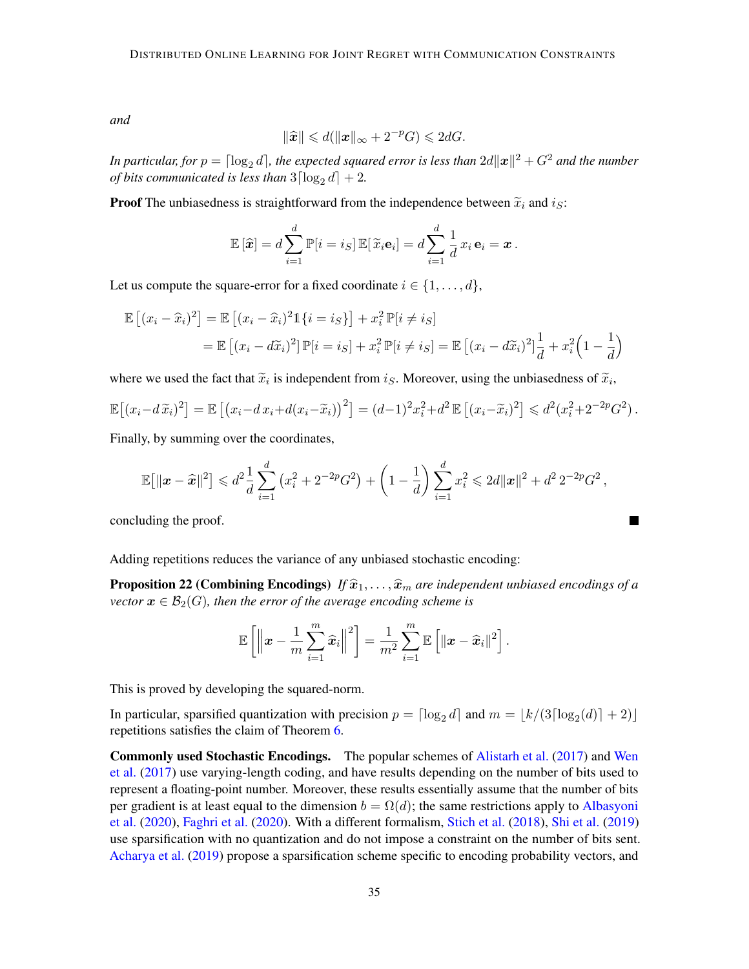*and*

$$
\|\widehat{\boldsymbol{x}}\| \leq d(\|\boldsymbol{x}\|_{\infty} + 2^{-p}G) \leq 2dG.
$$

In particular, for  $p = \lceil \log_2 d \rceil$ , the expected squared error is less than  $2d\lVert\bm{x}\rVert^2 + G^2$  and the number *of bits communicated is less than*  $3\lceil \log_2 d \rceil + 2$ *.* 

**Proof** The unbiasedness is straightforward from the independence between  $\tilde{x}_i$  and  $i_S$ :

$$
\mathbb{E}\left[\widehat{\boldsymbol{x}}\right] = d \sum_{i=1}^d \mathbb{P}[i = i_S] \, \mathbb{E}[\,\widetilde{x}_i \mathbf{e}_i] = d \sum_{i=1}^d \frac{1}{d} \, x_i \, \mathbf{e}_i = \boldsymbol{x} \, .
$$

Let us compute the square-error for a fixed coordinate  $i \in \{1, \ldots, d\}$ ,

$$
\mathbb{E}\left[(x_i - \widehat{x}_i)^2\right] = \mathbb{E}\left[(x_i - \widehat{x}_i)^2 \mathbb{1}\{i = i_S\}\right] + x_i^2 \mathbb{P}[i \neq i_S]
$$

$$
= \mathbb{E}\left[(x_i - d\widetilde{x}_i)^2\right] \mathbb{P}[i = i_S] + x_i^2 \mathbb{P}[i \neq i_S] = \mathbb{E}\left[(x_i - d\widetilde{x}_i)^2\right] \frac{1}{d} + x_i^2 \left(1 - \frac{1}{d}\right)
$$

where we used the fact that  $\tilde{x}_i$  is independent from  $i_S$ . Moreover, using the unbiasedness of  $\tilde{x}_i$ ,

$$
\mathbb{E}\left[ (x_i - d\,\widetilde{x}_i)^2 \right] = \mathbb{E}\left[ (x_i - dx_i + d(x_i - \widetilde{x}_i))^2 \right] = (d-1)^2 x_i^2 + d^2 \, \mathbb{E}\left[ (x_i - \widetilde{x}_i)^2 \right] \leq d^2 (x_i^2 + 2^{-2p} G^2).
$$

Finally, by summing over the coordinates,

$$
\mathbb{E}\big[\|\boldsymbol{x}-\widehat{\boldsymbol{x}}\|^2\big] \leq d^2 \frac{1}{d} \sum_{i=1}^d \left(x_i^2 + 2^{-2p} G^2\right) + \left(1 - \frac{1}{d}\right) \sum_{i=1}^d x_i^2 \leqslant 2d \|\boldsymbol{x}\|^2 + d^2 \, 2^{-2p} G^2 \,,
$$

concluding the proof.

Adding repetitions reduces the variance of any unbiased stochastic encoding:

**Proposition 22 (Combining Encodings)** *If*  $\hat{x}_1, \ldots, \hat{x}_m$  *are independent unbiased encodings of a vector*  $\mathbf{x} \in \mathcal{B}_2(G)$ , then the error of the average encoding scheme is

$$
\mathbb{E}\left[\left\|\boldsymbol{x}-\frac{1}{m}\sum_{i=1}^{m}\widehat{\boldsymbol{x}}_i\right\|^2\right] = \frac{1}{m^2}\sum_{i=1}^{m}\mathbb{E}\left[\|\boldsymbol{x}-\widehat{\boldsymbol{x}}_i\|^2\right].
$$

This is proved by developing the squared-norm.

In particular, sparsified quantization with precision  $p = \lceil \log_2 d \rceil$  and  $m = \lfloor k/(3\lceil \log_2(d) \rceil + 2) \rfloor$ repetitions satisfies the claim of Theorem [6.](#page-10-0)

Commonly used Stochastic Encodings. The popular schemes of [Alistarh et al.](#page-13-7) [\(2017\)](#page-13-7) and [Wen](#page-17-7) [et al.](#page-17-7) [\(2017\)](#page-17-7) use varying-length coding, and have results depending on the number of bits used to represent a floating-point number. Moreover, these results essentially assume that the number of bits per gradient is at least equal to the dimension  $b = \Omega(d)$ ; the same restrictions apply to [Albasyoni](#page-13-14) [et al.](#page-13-14) [\(2020\)](#page-13-14), [Faghri et al.](#page-14-12) [\(2020\)](#page-14-12). With a different formalism, [Stich et al.](#page-16-12) [\(2018\)](#page-16-12), [Shi et al.](#page-16-13) [\(2019\)](#page-16-13) use sparsification with no quantization and do not impose a constraint on the number of bits sent. [Acharya et al.](#page-12-0) [\(2019\)](#page-12-0) propose a sparsification scheme specific to encoding probability vectors, and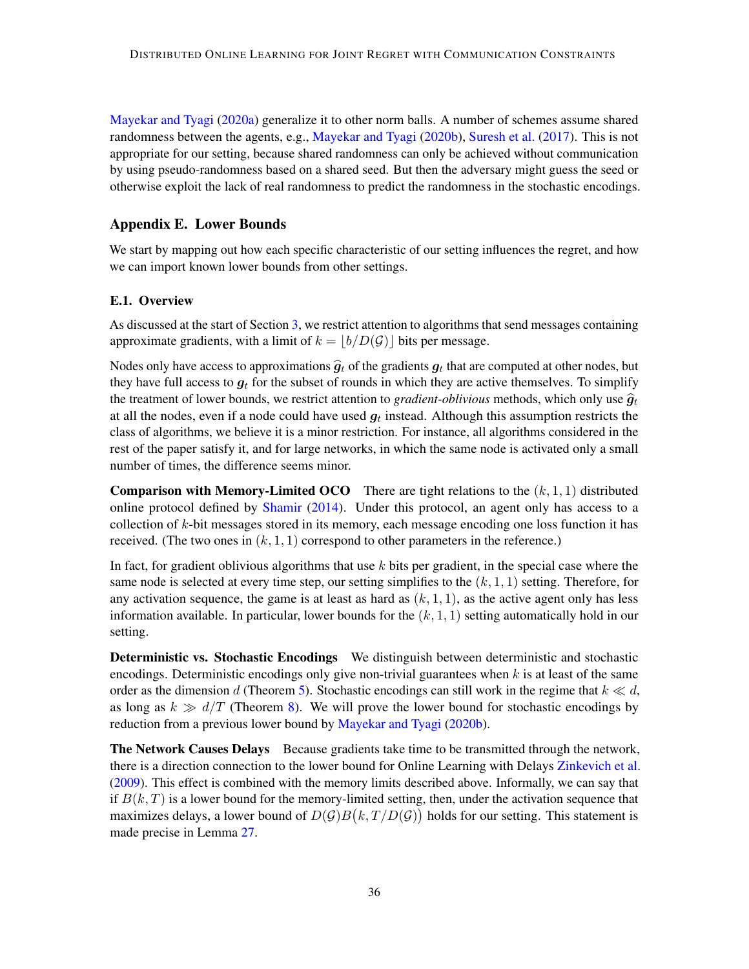[Mayekar and Tyagi](#page-15-10) [\(2020a\)](#page-15-10) generalize it to other norm balls. A number of schemes assume shared randomness between the agents, e.g., [Mayekar and Tyagi](#page-15-6) [\(2020b\)](#page-15-6), [Suresh et al.](#page-16-6) [\(2017\)](#page-16-6). This is not appropriate for our setting, because shared randomness can only be achieved without communication by using pseudo-randomness based on a shared seed. But then the adversary might guess the seed or otherwise exploit the lack of real randomness to predict the randomness in the stochastic encodings.

# <span id="page-35-0"></span>Appendix E. Lower Bounds

We start by mapping out how each specific characteristic of our setting influences the regret, and how we can import known lower bounds from other settings.

#### E.1. Overview

As discussed at the start of Section [3,](#page-8-1) we restrict attention to algorithms that send messages containing approximate gradients, with a limit of  $k = |b/D(\mathcal{G})|$  bits per message.

Nodes only have access to approximations  $\hat{g}_t$  of the gradients  $g_t$  that are computed at other nodes, but they have full access to  $g_t$  for the subset of rounds in which they are active themselves. To simplify they have full access to  $g_t$  for the subset of rounds in which they are active themselves. To simplify the treatment of lower bounds, we restrict attention to *gradient-oblivious* methods, which only use  $\hat{g}_t$ at all the nodes, even if a node could have used  $g_t$  instead. Although this assumption restricts the class of algorithms, we believe it is a minor restriction. For instance, all algorithms considered in the rest of the paper satisfy it, and for large networks, in which the same node is activated only a small number of times, the difference seems minor.

**Comparison with Memory-Limited OCO** There are tight relations to the  $(k, 1, 1)$  distributed online protocol defined by [Shamir](#page-16-9) [\(2014\)](#page-16-9). Under this protocol, an agent only has access to a collection of k-bit messages stored in its memory, each message encoding one loss function it has received. (The two ones in  $(k, 1, 1)$  correspond to other parameters in the reference.)

In fact, for gradient oblivious algorithms that use  $k$  bits per gradient, in the special case where the same node is selected at every time step, our setting simplifies to the  $(k, 1, 1)$  setting. Therefore, for any activation sequence, the game is at least as hard as  $(k, 1, 1)$ , as the active agent only has less information available. In particular, lower bounds for the  $(k, 1, 1)$  setting automatically hold in our setting.

Deterministic vs. Stochastic Encodings We distinguish between deterministic and stochastic encodings. Deterministic encodings only give non-trivial guarantees when  $k$  is at least of the same order as the dimension d (Theorem [5\)](#page-9-1). Stochastic encodings can still work in the regime that  $k \ll d$ , as long as  $k \gg d/T$  (Theorem [8\)](#page-10-2). We will prove the lower bound for stochastic encodings by reduction from a previous lower bound by [Mayekar and Tyagi](#page-15-6) [\(2020b\)](#page-15-6).

The Network Causes Delays Because gradients take time to be transmitted through the network, there is a direction connection to the lower bound for Online Learning with Delays [Zinkevich et al.](#page-17-8) [\(2009\)](#page-17-8). This effect is combined with the memory limits described above. Informally, we can say that if  $B(k, T)$  is a lower bound for the memory-limited setting, then, under the activation sequence that maximizes delays, a lower bound of  $D(G)B(k,T/D(G))$  holds for our setting. This statement is made precise in Lemma [27.](#page-38-1)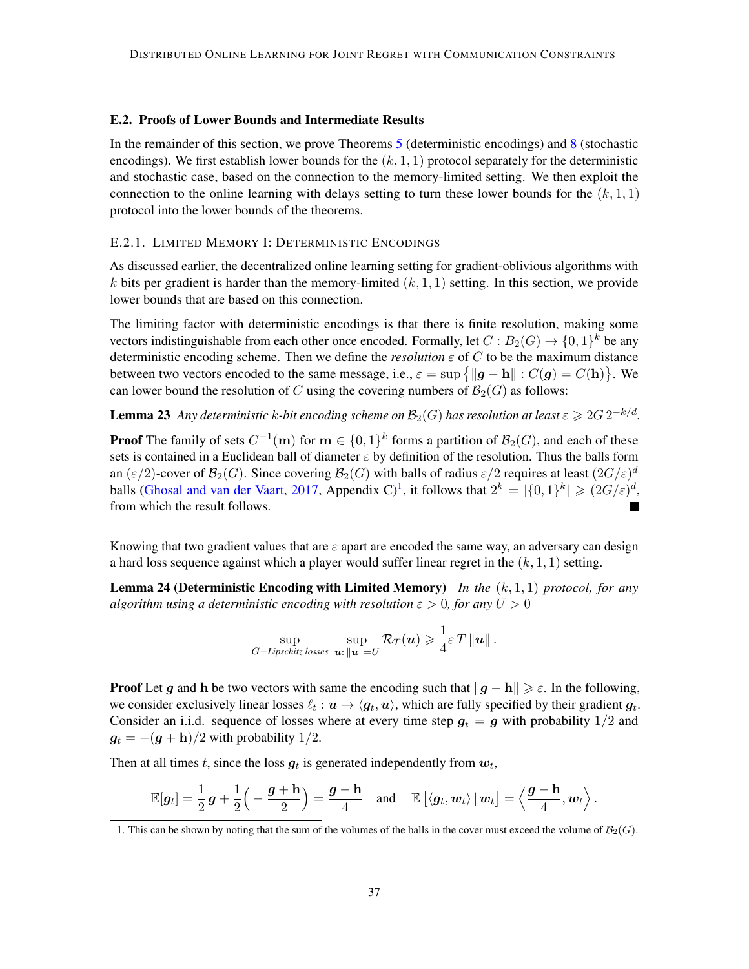#### E.2. Proofs of Lower Bounds and Intermediate Results

In the remainder of this section, we prove Theorems [5](#page-9-1) (deterministic encodings) and [8](#page-10-2) (stochastic encodings). We first establish lower bounds for the  $(k, 1, 1)$  protocol separately for the deterministic and stochastic case, based on the connection to the memory-limited setting. We then exploit the connection to the online learning with delays setting to turn these lower bounds for the  $(k, 1, 1)$ protocol into the lower bounds of the theorems.

#### <span id="page-36-0"></span>E.2.1. LIMITED MEMORY I: DETERMINISTIC ENCODINGS

As discussed earlier, the decentralized online learning setting for gradient-oblivious algorithms with k bits per gradient is harder than the memory-limited  $(k, 1, 1)$  setting. In this section, we provide lower bounds that are based on this connection.

The limiting factor with deterministic encodings is that there is finite resolution, making some vectors indistinguishable from each other once encoded. Formally, let  $C : B_2(G) \to \{0,1\}^k$  be any deterministic encoding scheme. Then we define the *resolution*  $\varepsilon$  of C to be the maximum distance between two vectors encoded to the same message, i.e.,  $\varepsilon = \sup \{ \| \mathbf{g} - \mathbf{h} \| : C(\mathbf{g}) = C(\mathbf{h}) \}$ . We can lower bound the resolution of C using the covering numbers of  $\mathcal{B}_2(G)$  as follows:

**Lemma 23** Any deterministic k-bit encoding scheme on  $\mathcal{B}_2(G)$  has resolution at least  $\varepsilon \geqslant 2G \, 2^{-k/d}.$ 

**Proof** The family of sets  $C^{-1}(\mathbf{m})$  for  $\mathbf{m} \in \{0,1\}^k$  forms a partition of  $\mathcal{B}_2(G)$ , and each of these sets is contained in a Euclidean ball of diameter  $\varepsilon$  by definition of the resolution. Thus the balls form an ( $\varepsilon/2$ )-cover of  $\mathcal{B}_2(G)$ . Since covering  $\mathcal{B}_2(G)$  with balls of radius  $\varepsilon/2$  requires at least  $(2G/\varepsilon)^d$ balls [\(Ghosal and van der Vaart,](#page-14-13) [2017,](#page-14-13) Appendix C)<sup>[1](#page-36-1)</sup>, it follows that  $2^k = |\{0, 1\}^k| \geqslant (2G/\varepsilon)^d$ , from which the result follows.

Knowing that two gradient values that are  $\varepsilon$  apart are encoded the same way, an adversary can design a hard loss sequence against which a player would suffer linear regret in the  $(k, 1, 1)$  setting.

Lemma 24 (Deterministic Encoding with Limited Memory) *In the* (k, 1, 1) *protocol, for any algorithm using a deterministic encoding with resolution*  $\varepsilon > 0$ *, for any*  $U > 0$ 

<span id="page-36-2"></span>
$$
\sup_{G-Lipschitz\ losses} \sup_{\mathbf{u}: \|\mathbf{u}\| = U} \mathcal{R}_T(\mathbf{u}) \geqslant \frac{1}{4} \varepsilon T \|\mathbf{u}\|.
$$

**Proof** Let g and h be two vectors with same the encoding such that  $||g - h|| \geq \varepsilon$ . In the following, we consider exclusively linear losses  $\ell_t : \boldsymbol{u} \mapsto \langle \boldsymbol{g}_t, \boldsymbol{u} \rangle$ , which are fully specified by their gradient  $\boldsymbol{g}_t$ . Consider an i.i.d. sequence of losses where at every time step  $g_t = g$  with probability 1/2 and  $g_t = -(g + h)/2$  with probability 1/2.

Then at all times t, since the loss  $g_t$  is generated independently from  $w_t$ ,

$$
\mathbb{E}[\boldsymbol{g}_t] = \frac{1}{2}\,\boldsymbol{g} + \frac{1}{2}\left(-\frac{\boldsymbol{g} + \mathbf{h}}{2}\right) = \frac{\boldsymbol{g} - \mathbf{h}}{4} \quad \text{and} \quad \mathbb{E}\left[\langle \boldsymbol{g}_t, \boldsymbol{w}_t\rangle \,|\, \boldsymbol{w}_t\right] = \left\langle \frac{\boldsymbol{g} - \mathbf{h}}{4}, \boldsymbol{w}_t\right\rangle.
$$

<span id="page-36-1"></span><sup>1.</sup> This can be shown by noting that the sum of the volumes of the balls in the cover must exceed the volume of  $\mathcal{B}_2(G)$ .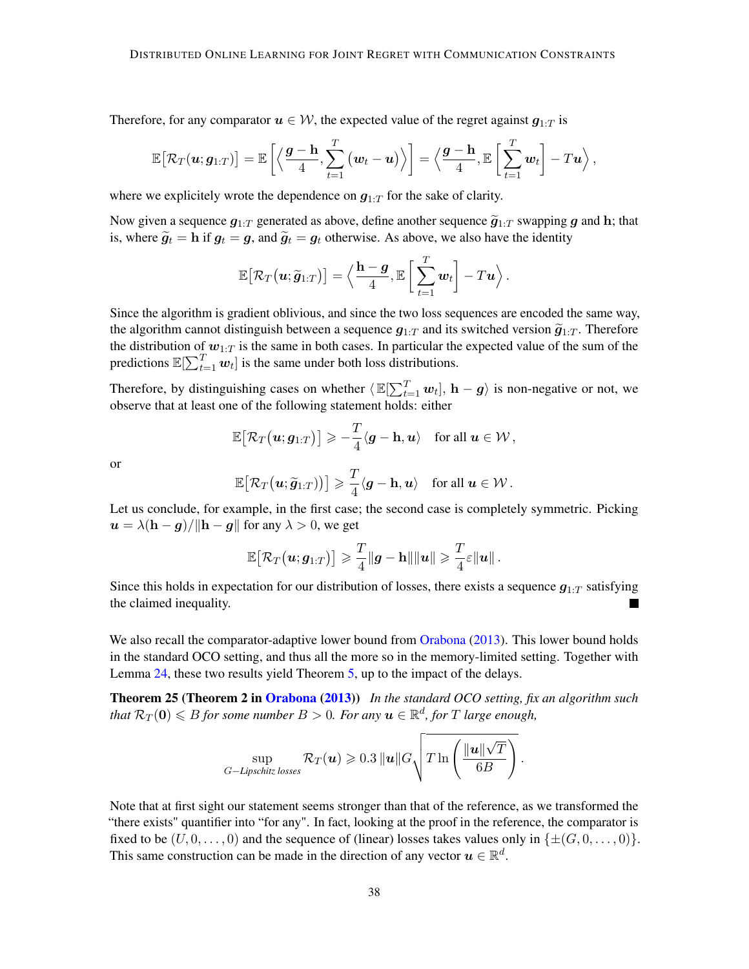Therefore, for any comparator  $u \in \mathcal{W}$ , the expected value of the regret against  $g_{1:T}$  is

$$
\mathbb{E}\big[\mathcal{R}_T(\boldsymbol{u};g_{1:T})\big]=\mathbb{E}\left[\left\langle\frac{\boldsymbol{g}-\mathbf{h}}{4},\sum_{t=1}^T\big(\boldsymbol{w}_t-\boldsymbol{u}\big)\right\rangle\right]=\left\langle\frac{\boldsymbol{g}-\mathbf{h}}{4},\mathbb{E}\left[\sum_{t=1}^T\boldsymbol{w}_t\right]-T\boldsymbol{u}\right\rangle,
$$

where we explicitely wrote the dependence on  $g_{1:T}$  for the sake of clarity.

Now given a sequence  $g_{1:T}$  generated as above, define another sequence  $\tilde{g}_{1:T}$  swapping g and h; that is, where  $\tilde{q}_t = h$  if  $g_t = g$ , and  $\tilde{q}_t = g_t$  otherwise. As above, we also have the identity

$$
\mathbb{E}\big[\mathcal{R}_T\big(\boldsymbol{u}; \widetilde{\boldsymbol{g}}_{1:T}\big)\big] = \Big\langle \frac{\mathbf{h} - \boldsymbol{g}}{4}, \mathbb{E}\left[\sum_{t=1}^T \boldsymbol{w}_t\right] - T \boldsymbol{u} \Big\rangle\,.
$$

Since the algorithm is gradient oblivious, and since the two loss sequences are encoded the same way, the algorithm cannot distinguish between a sequence  $g_{1:T}$  and its switched version  $\tilde{g}_{1:T}$ . Therefore the distribution of  $w_{1:T}$  is the same in both cases. In particular the expected value of the sum of the predictions  $\mathbb{E}[\sum_{t=1}^T w_t]$  is the same under both loss distributions.

Therefore, by distinguishing cases on whether  $\langle E[\sum_{t=1}^T w_t], h-g \rangle$  is non-negative or not, we observe that at least one of the following statement holds: either

$$
\mathbb{E}\big[\mathcal{R}_T\big(\boldsymbol{u};g_{1:T}\big)\big]\geqslant -\frac{T}{4}\langle \boldsymbol{g}-\mathbf{h},\boldsymbol{u}\rangle\quad\text{for all }\boldsymbol{u}\in\mathcal{W}\,,
$$

or

$$
\mathbb{E}\big[\mathcal{R}_T\big(\boldsymbol{u}; \widetilde{\boldsymbol{g}}_{1:T})\big)\big] \geqslant \frac{T}{4} \langle \boldsymbol{g} - \mathbf{h}, \boldsymbol{u} \rangle \quad \text{for all } \boldsymbol{u} \in \mathcal{W} \, .
$$

Let us conclude, for example, in the first case; the second case is completely symmetric. Picking  $u = \lambda(h - g)/\Vert h - g \Vert$  for any  $\lambda > 0$ , we get

<span id="page-37-0"></span>
$$
\mathbb{E}\big[\mathcal{R}_T\big(\boldsymbol{u};g_{1:T}\big)\big]\geqslant \frac{T}{4}\|\boldsymbol{g}-\mathbf{h}\|\|\boldsymbol{u}\|\geqslant \frac{T}{4}\varepsilon\|\boldsymbol{u}\| \,.
$$

Since this holds in expectation for our distribution of losses, there exists a sequence  $g_{1:T}$  satisfying the claimed inequality.

We also recall the comparator-adaptive lower bound from [Orabona](#page-16-2) [\(2013\)](#page-16-2). This lower bound holds in the standard OCO setting, and thus all the more so in the memory-limited setting. Together with Lemma [24,](#page-36-2) these two results yield Theorem [5,](#page-9-1) up to the impact of the delays.

Theorem 25 (Theorem 2 in [Orabona](#page-16-2) [\(2013\)](#page-16-2)) *In the standard OCO setting, fix an algorithm such*  $\mathcal{R}_T(\mathbf{0}) \leqslant B$  *for some number*  $B > 0$ . For any  $\boldsymbol{u} \in \mathbb{R}^d$ , for  $T$  large enough,

$$
\sup_{G-Lipschitz\ losses} \mathcal{R}_T(\boldsymbol{u}) \geqslant 0.3 \, \|\boldsymbol{u}\| G \sqrt{T \ln \left(\frac{\|\boldsymbol{u}\| \sqrt{T}}{6B}\right)} \, .
$$

Note that at first sight our statement seems stronger than that of the reference, as we transformed the "there exists" quantifier into "for any". In fact, looking at the proof in the reference, the comparator is fixed to be  $(U, 0, \ldots, 0)$  and the sequence of (linear) losses takes values only in  $\{\pm (G, 0, \ldots, 0)\}.$ This same construction can be made in the direction of any vector  $u \in \mathbb{R}^d$ .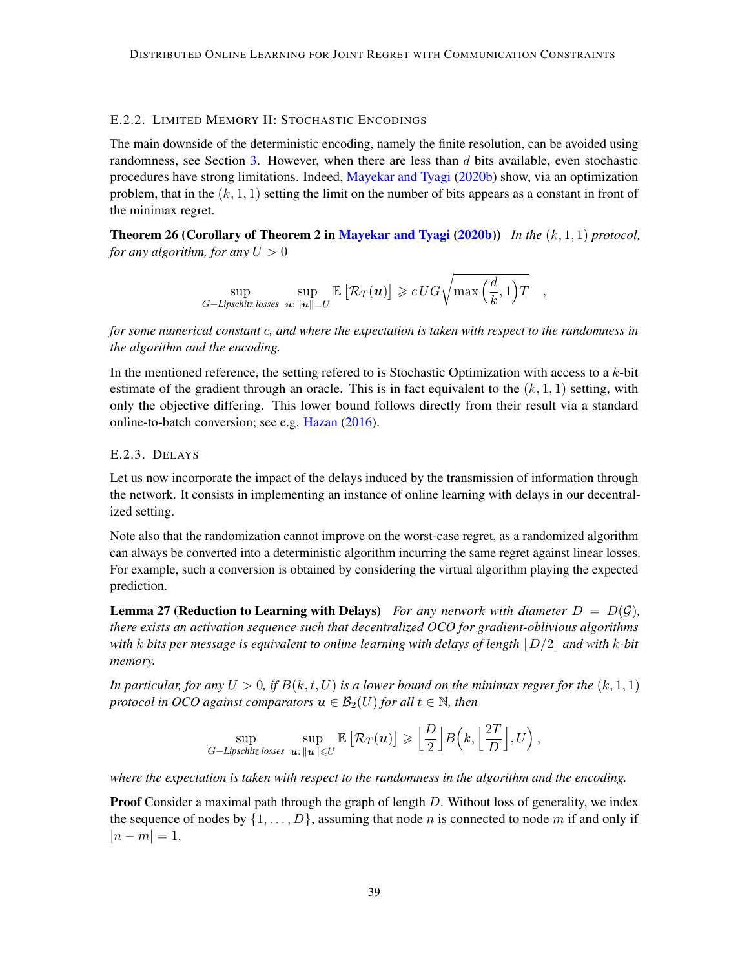#### <span id="page-38-0"></span>E.2.2. LIMITED MEMORY II: STOCHASTIC ENCODINGS

The main downside of the deterministic encoding, namely the finite resolution, can be avoided using randomness, see Section [3.](#page-10-3) However, when there are less than  $d$  bits available, even stochastic procedures have strong limitations. Indeed, [Mayekar and Tyagi](#page-15-6) [\(2020b\)](#page-15-6) show, via an optimization problem, that in the  $(k, 1, 1)$  setting the limit on the number of bits appears as a constant in front of the minimax regret.

Theorem 26 (Corollary of Theorem 2 in [Mayekar and Tyagi](#page-15-6) [\(2020b\)](#page-15-6)) *In the* (k, 1, 1) *protocol, for any algorithm, for any*  $U > 0$ 

<span id="page-38-2"></span>
$$
\sup_{G-Lipschitz\,\,losses}\,\sup_{\bm{u}:\,\|\bm{u}\|=U}\mathbb{E}\left[\mathcal{R}_T(\bm{u})\right]\geqslant c\, UG\sqrt{\max\left(\frac{d}{k},1\right)T}\quad,
$$

*for some numerical constant* c*, and where the expectation is taken with respect to the randomness in the algorithm and the encoding.*

In the mentioned reference, the setting refered to is Stochastic Optimization with access to a k-bit estimate of the gradient through an oracle. This is in fact equivalent to the  $(k, 1, 1)$  setting, with only the objective differing. This lower bound follows directly from their result via a standard online-to-batch conversion; see e.g. [Hazan](#page-14-2) [\(2016\)](#page-14-2).

#### E.2.3. DELAYS

Let us now incorporate the impact of the delays induced by the transmission of information through the network. It consists in implementing an instance of online learning with delays in our decentralized setting.

Note also that the randomization cannot improve on the worst-case regret, as a randomized algorithm can always be converted into a deterministic algorithm incurring the same regret against linear losses. For example, such a conversion is obtained by considering the virtual algorithm playing the expected prediction.

<span id="page-38-1"></span>**Lemma 27 (Reduction to Learning with Delays)** For any network with diameter  $D = D(\mathcal{G})$ , *there exists an activation sequence such that decentralized OCO for gradient-oblivious algorithms with* k *bits per message is equivalent to online learning with delays of length*  $|D/2|$  *and with* k-*bit memory.*

*In particular, for any*  $U > 0$ , if  $B(k, t, U)$  *is a lower bound on the minimax regret for the*  $(k, 1, 1)$ *protocol in OCO against comparators*  $u \in \mathcal{B}_2(U)$  *for all*  $t \in \mathbb{N}$ *, then* 

$$
\sup_{G-Lipschitz\ losses}\ \sup_{\bm{u}:\ \|\bm{u}\|\leqslant U}\mathbb{E}\left[\mathcal{R}_T(\bm{u})\right]\geqslant \Big\lfloor\frac{D}{2}\Big\rfloor B\Big(k,\Big\lfloor\frac{2T}{D}\Big\rfloor,U\Big)\,,
$$

*where the expectation is taken with respect to the randomness in the algorithm and the encoding.*

**Proof** Consider a maximal path through the graph of length  $D$ . Without loss of generality, we index the sequence of nodes by  $\{1, \ldots, D\}$ , assuming that node n is connected to node m if and only if  $|n - m| = 1.$